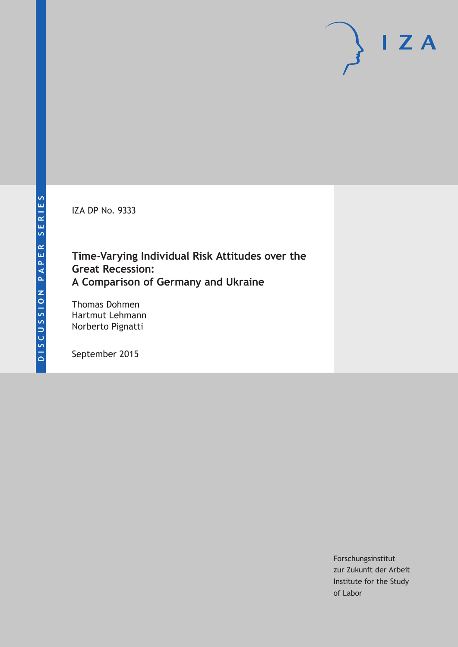IZA DP No. 9333

# **Time-Varying Individual Risk Attitudes over the Great Recession: A Comparison of Germany and Ukraine**

Thomas Dohmen Hartmut Lehmann Norberto Pignatti

September 2015

Forschungsinstitut zur Zukunft der Arbeit Institute for the Study of Labor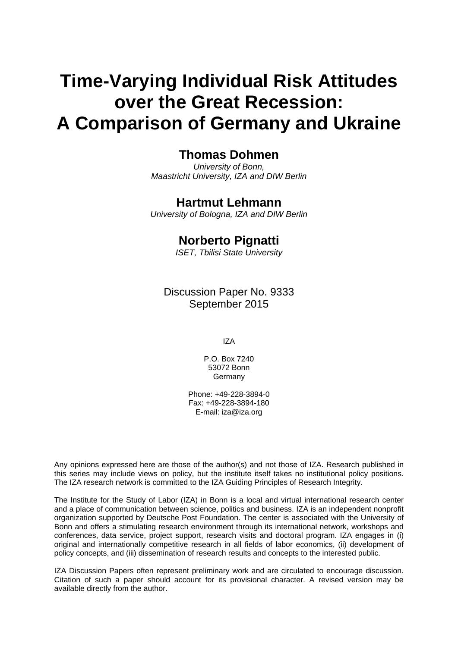# **Time-Varying Individual Risk Attitudes over the Great Recession: A Comparison of Germany and Ukraine**

# **Thomas Dohmen**

*University of Bonn, Maastricht University, IZA and DIW Berlin* 

## **Hartmut Lehmann**

*University of Bologna, IZA and DIW Berlin* 

# **Norberto Pignatti**

*ISET, Tbilisi State University*

Discussion Paper No. 9333 September 2015

IZA

P.O. Box 7240 53072 Bonn **Germany** 

Phone: +49-228-3894-0 Fax: +49-228-3894-180 E-mail: iza@iza.org

Any opinions expressed here are those of the author(s) and not those of IZA. Research published in this series may include views on policy, but the institute itself takes no institutional policy positions. The IZA research network is committed to the IZA Guiding Principles of Research Integrity.

The Institute for the Study of Labor (IZA) in Bonn is a local and virtual international research center and a place of communication between science, politics and business. IZA is an independent nonprofit organization supported by Deutsche Post Foundation. The center is associated with the University of Bonn and offers a stimulating research environment through its international network, workshops and conferences, data service, project support, research visits and doctoral program. IZA engages in (i) original and internationally competitive research in all fields of labor economics, (ii) development of policy concepts, and (iii) dissemination of research results and concepts to the interested public.

IZA Discussion Papers often represent preliminary work and are circulated to encourage discussion. Citation of such a paper should account for its provisional character. A revised version may be available directly from the author.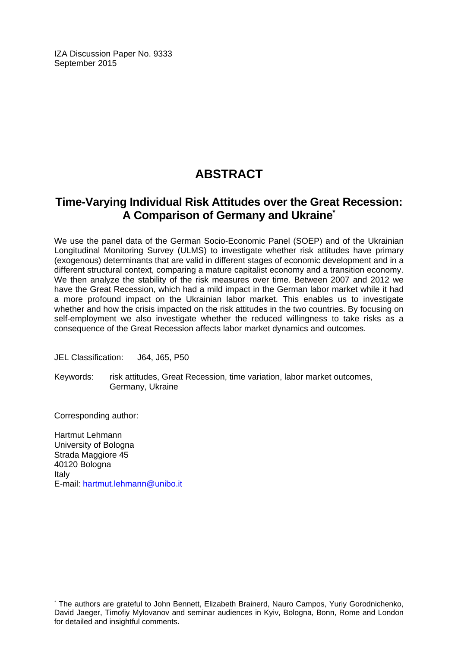IZA Discussion Paper No. 9333 September 2015

# **ABSTRACT**

# **Time-Varying Individual Risk Attitudes over the Great Recession: A Comparison of Germany and Ukraine\***

We use the panel data of the German Socio-Economic Panel (SOEP) and of the Ukrainian Longitudinal Monitoring Survey (ULMS) to investigate whether risk attitudes have primary (exogenous) determinants that are valid in different stages of economic development and in a different structural context, comparing a mature capitalist economy and a transition economy. We then analyze the stability of the risk measures over time. Between 2007 and 2012 we have the Great Recession, which had a mild impact in the German labor market while it had a more profound impact on the Ukrainian labor market. This enables us to investigate whether and how the crisis impacted on the risk attitudes in the two countries. By focusing on self-employment we also investigate whether the reduced willingness to take risks as a consequence of the Great Recession affects labor market dynamics and outcomes.

JEL Classification: J64, J65, P50

Keywords: risk attitudes, Great Recession, time variation, labor market outcomes, Germany, Ukraine

Corresponding author:

 $\overline{a}$ 

Hartmut Lehmann University of Bologna Strada Maggiore 45 40120 Bologna Italy E-mail: hartmut.lehmann@unibo.it

<sup>\*</sup> The authors are grateful to John Bennett, Elizabeth Brainerd, Nauro Campos, Yuriy Gorodnichenko, David Jaeger, Timofiy Mylovanov and seminar audiences in Kyiv, Bologna, Bonn, Rome and London for detailed and insightful comments.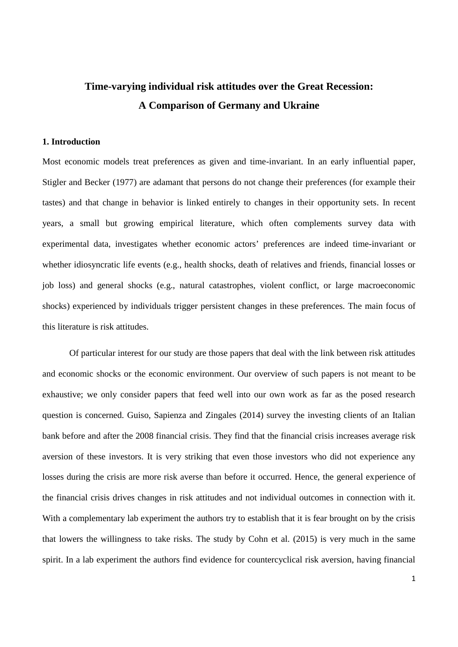# **Time-varying individual risk attitudes over the Great Recession: A Comparison of Germany and Ukraine**

### **1. Introduction**

Most economic models treat preferences as given and time-invariant. In an early influential paper, Stigler and Becker (1977) are adamant that persons do not change their preferences (for example their tastes) and that change in behavior is linked entirely to changes in their opportunity sets. In recent years, a small but growing empirical literature, which often complements survey data with experimental data, investigates whether economic actors' preferences are indeed time-invariant or whether idiosyncratic life events (e.g., health shocks, death of relatives and friends, financial losses or job loss) and general shocks (e.g., natural catastrophes, violent conflict, or large macroeconomic shocks) experienced by individuals trigger persistent changes in these preferences. The main focus of this literature is risk attitudes.

Of particular interest for our study are those papers that deal with the link between risk attitudes and economic shocks or the economic environment. Our overview of such papers is not meant to be exhaustive; we only consider papers that feed well into our own work as far as the posed research question is concerned. Guiso, Sapienza and Zingales (2014) survey the investing clients of an Italian bank before and after the 2008 financial crisis. They find that the financial crisis increases average risk aversion of these investors. It is very striking that even those investors who did not experience any losses during the crisis are more risk averse than before it occurred. Hence, the general experience of the financial crisis drives changes in risk attitudes and not individual outcomes in connection with it. With a complementary lab experiment the authors try to establish that it is fear brought on by the crisis that lowers the willingness to take risks. The study by Cohn et al. (2015) is very much in the same spirit. In a lab experiment the authors find evidence for countercyclical risk aversion, having financial

1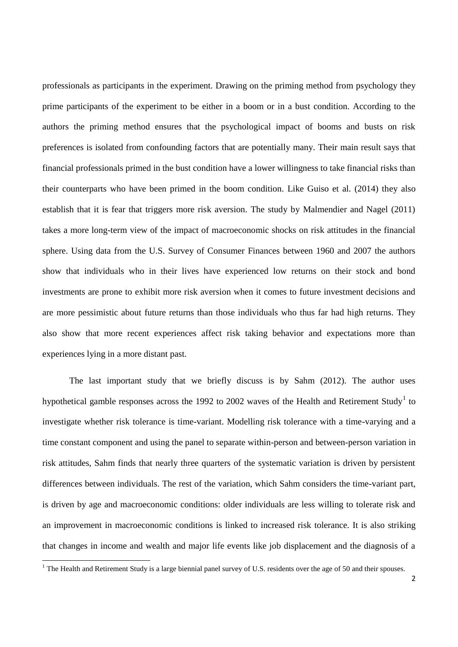professionals as participants in the experiment. Drawing on the priming method from psychology they prime participants of the experiment to be either in a boom or in a bust condition. According to the authors the priming method ensures that the psychological impact of booms and busts on risk preferences is isolated from confounding factors that are potentially many. Their main result says that financial professionals primed in the bust condition have a lower willingness to take financial risks than their counterparts who have been primed in the boom condition. Like Guiso et al. (2014) they also establish that it is fear that triggers more risk aversion. The study by Malmendier and Nagel (2011) takes a more long-term view of the impact of macroeconomic shocks on risk attitudes in the financial sphere. Using data from the U.S. Survey of Consumer Finances between 1960 and 2007 the authors show that individuals who in their lives have experienced low returns on their stock and bond investments are prone to exhibit more risk aversion when it comes to future investment decisions and are more pessimistic about future returns than those individuals who thus far had high returns. They also show that more recent experiences affect risk taking behavior and expectations more than experiences lying in a more distant past.

The last important study that we briefly discuss is by Sahm (2012). The author uses hypothetical gamble responses across the 1992 to 2002 waves of the Health and Retirement Study<sup>1</sup> to investigate whether risk tolerance is time-variant. Modelling risk tolerance with a time-varying and a time constant component and using the panel to separate within-person and between-person variation in risk attitudes, Sahm finds that nearly three quarters of the systematic variation is driven by persistent differences between individuals. The rest of the variation, which Sahm considers the time-variant part, is driven by age and macroeconomic conditions: older individuals are less willing to tolerate risk and an improvement in macroeconomic conditions is linked to increased risk tolerance. It is also striking that changes in income and wealth and major life events like job displacement and the diagnosis of a

 $<sup>1</sup>$  The Health and Retirement Study is a large biennial panel survey of U.S. residents over the age of 50 and their spouses.</sup>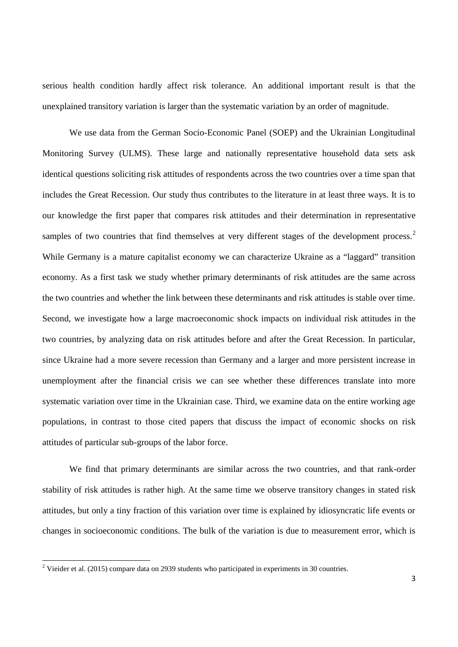serious health condition hardly affect risk tolerance. An additional important result is that the unexplained transitory variation is larger than the systematic variation by an order of magnitude.

We use data from the German Socio-Economic Panel (SOEP) and the Ukrainian Longitudinal Monitoring Survey (ULMS). These large and nationally representative household data sets ask identical questions soliciting risk attitudes of respondents across the two countries over a time span that includes the Great Recession. Our study thus contributes to the literature in at least three ways. It is to our knowledge the first paper that compares risk attitudes and their determination in representative samples of two countries that find themselves at very different stages of the development process.<sup>2</sup> While Germany is a mature capitalist economy we can characterize Ukraine as a "laggard" transition economy. As a first task we study whether primary determinants of risk attitudes are the same across the two countries and whether the link between these determinants and risk attitudes is stable over time. Second, we investigate how a large macroeconomic shock impacts on individual risk attitudes in the two countries, by analyzing data on risk attitudes before and after the Great Recession. In particular, since Ukraine had a more severe recession than Germany and a larger and more persistent increase in unemployment after the financial crisis we can see whether these differences translate into more systematic variation over time in the Ukrainian case. Third, we examine data on the entire working age populations, in contrast to those cited papers that discuss the impact of economic shocks on risk attitudes of particular sub-groups of the labor force.

We find that primary determinants are similar across the two countries, and that rank-order stability of risk attitudes is rather high. At the same time we observe transitory changes in stated risk attitudes, but only a tiny fraction of this variation over time is explained by idiosyncratic life events or changes in socioeconomic conditions. The bulk of the variation is due to measurement error, which is

<sup>&</sup>lt;sup>2</sup> Vieider et al. (2015) compare data on 2939 students who participated in experiments in 30 countries.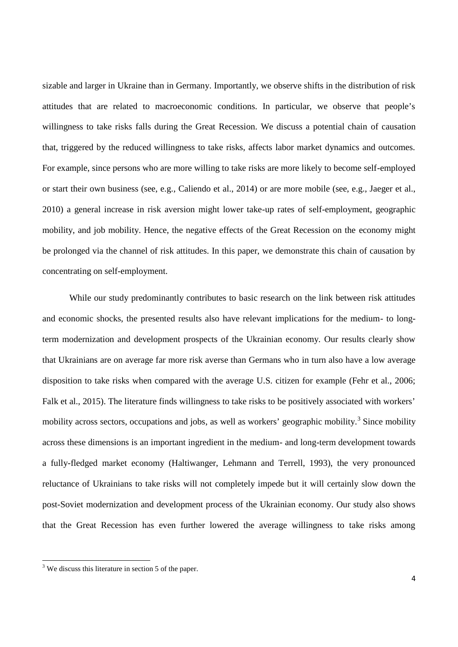sizable and larger in Ukraine than in Germany. Importantly, we observe shifts in the distribution of risk attitudes that are related to macroeconomic conditions. In particular, we observe that people's willingness to take risks falls during the Great Recession. We discuss a potential chain of causation that, triggered by the reduced willingness to take risks, affects labor market dynamics and outcomes. For example, since persons who are more willing to take risks are more likely to become self-employed or start their own business (see, e.g., Caliendo et al., 2014) or are more mobile (see, e.g., Jaeger et al., 2010) a general increase in risk aversion might lower take-up rates of self-employment, geographic mobility, and job mobility. Hence, the negative effects of the Great Recession on the economy might be prolonged via the channel of risk attitudes. In this paper, we demonstrate this chain of causation by concentrating on self-employment.

While our study predominantly contributes to basic research on the link between risk attitudes and economic shocks, the presented results also have relevant implications for the medium- to longterm modernization and development prospects of the Ukrainian economy. Our results clearly show that Ukrainians are on average far more risk averse than Germans who in turn also have a low average disposition to take risks when compared with the average U.S. citizen for example (Fehr et al., 2006; Falk et al., 2015). The literature finds willingness to take risks to be positively associated with workers' mobility across sectors, occupations and jobs, as well as workers' geographic mobility.<sup>3</sup> Since mobility across these dimensions is an important ingredient in the medium- and long-term development towards a fully-fledged market economy (Haltiwanger, Lehmann and Terrell, 1993), the very pronounced reluctance of Ukrainians to take risks will not completely impede but it will certainly slow down the post-Soviet modernization and development process of the Ukrainian economy. Our study also shows that the Great Recession has even further lowered the average willingness to take risks among

 $3$  We discuss this literature in section 5 of the paper.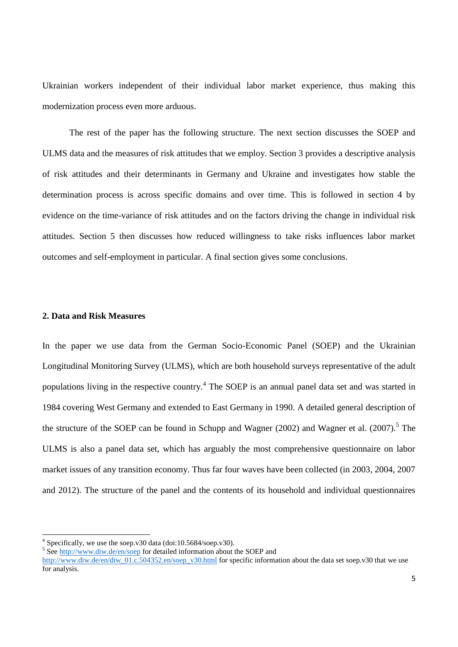Ukrainian workers independent of their individual labor market experience, thus making this modernization process even more arduous.

The rest of the paper has the following structure. The next section discusses the SOEP and ULMS data and the measures of risk attitudes that we employ. Section 3 provides a descriptive analysis of risk attitudes and their determinants in Germany and Ukraine and investigates how stable the determination process is across specific domains and over time. This is followed in section 4 by evidence on the time-variance of risk attitudes and on the factors driving the change in individual risk attitudes. Section 5 then discusses how reduced willingness to take risks influences labor market outcomes and self-employment in particular. A final section gives some conclusions.

### **2. Data and Risk Measures**

In the paper we use data from the German Socio-Economic Panel (SOEP) and the Ukrainian Longitudinal Monitoring Survey (ULMS), which are both household surveys representative of the adult populations living in the respective country.<sup>4</sup> The SOEP is an annual panel data set and was started in 1984 covering West Germany and extended to East Germany in 1990. A detailed general description of the structure of the SOEP can be found in Schupp and Wagner (2002) and Wagner et al. (2007).<sup>5</sup> The ULMS is also a panel data set, which has arguably the most comprehensive questionnaire on labor market issues of any transition economy. Thus far four waves have been collected (in 2003, 2004, 2007 and 2012). The structure of the panel and the contents of its household and individual questionnaires

<sup>&</sup>lt;sup>4</sup> Specifically, we use the soep.v30 data (doi:10.5684/soep.v30).<br><sup>5</sup> See http://www.diw.de/en/soep for detailed information about the SOEP and

http://www.diw.de/en/diw\_01.c.504352.en/soep\_v30.html for specific information about the data set soep.v30 that we use for analysis.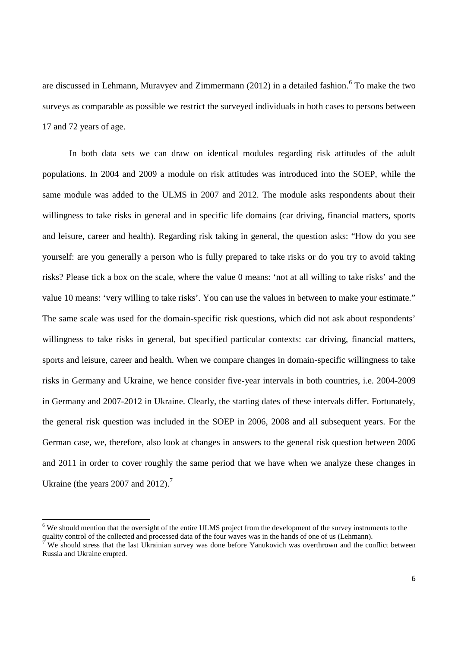are discussed in Lehmann, Muravyev and Zimmermann  $(2012)$  in a detailed fashion.<sup>6</sup> To make the two surveys as comparable as possible we restrict the surveyed individuals in both cases to persons between 17 and 72 years of age.

In both data sets we can draw on identical modules regarding risk attitudes of the adult populations. In 2004 and 2009 a module on risk attitudes was introduced into the SOEP, while the same module was added to the ULMS in 2007 and 2012. The module asks respondents about their willingness to take risks in general and in specific life domains (car driving, financial matters, sports and leisure, career and health). Regarding risk taking in general, the question asks: "How do you see yourself: are you generally a person who is fully prepared to take risks or do you try to avoid taking risks? Please tick a box on the scale, where the value 0 means: 'not at all willing to take risks' and the value 10 means: 'very willing to take risks'. You can use the values in between to make your estimate." The same scale was used for the domain-specific risk questions, which did not ask about respondents' willingness to take risks in general, but specified particular contexts: car driving, financial matters, sports and leisure, career and health. When we compare changes in domain-specific willingness to take risks in Germany and Ukraine, we hence consider five-year intervals in both countries, i.e. 2004-2009 in Germany and 2007-2012 in Ukraine. Clearly, the starting dates of these intervals differ. Fortunately, the general risk question was included in the SOEP in 2006, 2008 and all subsequent years. For the German case, we, therefore, also look at changes in answers to the general risk question between 2006 and 2011 in order to cover roughly the same period that we have when we analyze these changes in Ukraine (the years 2007 and 2012).<sup>7</sup>

<sup>&</sup>lt;sup>6</sup> We should mention that the oversight of the entire ULMS project from the development of the survey instruments to the quality control of the collected and processed data of the four waves was in the hands of one of us (Lehmann).<br><sup>7</sup> We should stress that the last Ukrainian survey was done before Yanukovich was overthrown and the conflict

Russia and Ukraine erupted.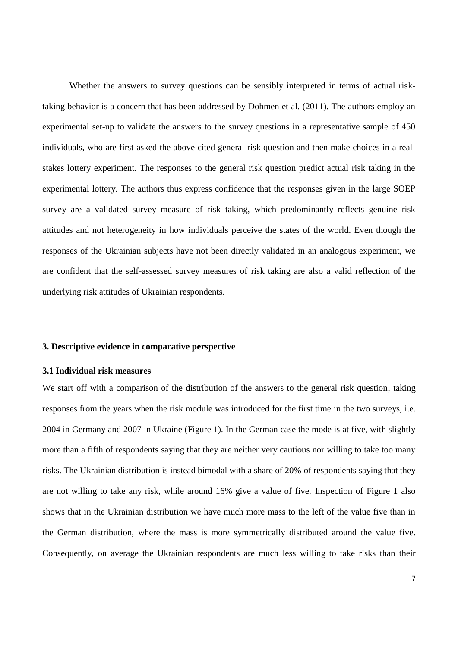Whether the answers to survey questions can be sensibly interpreted in terms of actual risktaking behavior is a concern that has been addressed by Dohmen et al. (2011). The authors employ an experimental set-up to validate the answers to the survey questions in a representative sample of 450 individuals, who are first asked the above cited general risk question and then make choices in a real stakes lottery experiment. The responses to the general risk question predict actual risk taking in the experimental lottery. The authors thus express confidence that the responses given in the large SOEP survey are a validated survey measure of risk taking, which predominantly reflects genuine risk attitudes and not heterogeneity in how individuals perceive the states of the world. Even though the responses of the Ukrainian subjects have not been directly validated in an analogous experiment, we are confident that the self-assessed survey measures of risk taking are also a valid reflection of the underlying risk attitudes of Ukrainian respondents.

#### **3. Descriptive evidence in comparative perspective**

#### **3.1 Individual risk measures**

We start off with a comparison of the distribution of the answers to the general risk question, taking responses from the years when the risk module was introduced for the first time in the two surveys, i.e. 2004 in Germany and 2007 in Ukraine (Figure 1). In the German case the mode is at five, with slightly more than a fifth of respondents saying that they are neither very cautious nor willing to take too many risks. The Ukrainian distribution is instead bimodal with a share of 20% of respondents saying that they are not willing to take any risk, while around 16% give a value of five. Inspection of Figure 1 also shows that in the Ukrainian distribution we have much more mass to the left of the value five than in the German distribution, where the mass is more symmetrically distributed around the value five. Consequently, on average the Ukrainian respondents are much less willing to take risks than their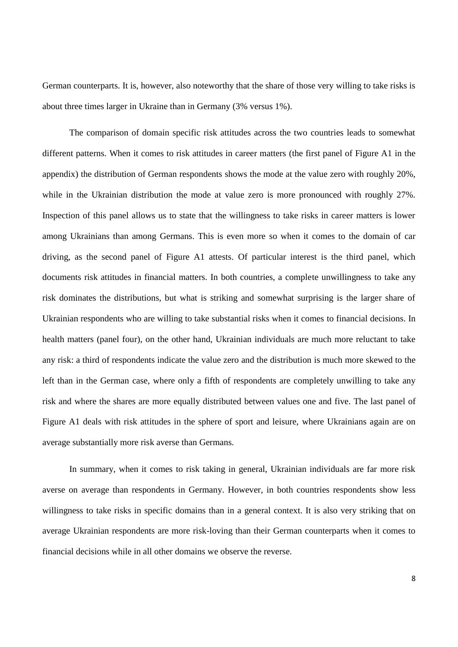German counterparts. It is, however, also noteworthy that the share of those very willing to take risks is about three times larger in Ukraine than in Germany (3% versus 1%).

The comparison of domain specific risk attitudes across the two countries leads to somewhat different patterns. When it comes to risk attitudes in career matters (the first panel of Figure A1 in the appendix) the distribution of German respondents shows the mode at the value zero with roughly 20%, while in the Ukrainian distribution the mode at value zero is more pronounced with roughly 27%. Inspection of this panel allows us to state that the willingness to take risks in career matters is lower among Ukrainians than among Germans. This is even more so when it comes to the domain of car driving, as the second panel of Figure A1 attests. Of particular interest is the third panel, which documents risk attitudes in financial matters. In both countries, a complete unwillingness to take any risk dominates the distributions, but what is striking and somewhat surprising is the larger share of Ukrainian respondents who are willing to take substantial risks when it comes to financial decisions. In health matters (panel four), on the other hand, Ukrainian individuals are much more reluctant to take any risk: a third of respondents indicate the value zero and the distribution is much more skewed to the left than in the German case, where only a fifth of respondents are completely unwilling to take any risk and where the shares are more equally distributed between values one and five. The last panel of Figure A1 deals with risk attitudes in the sphere of sport and leisure, where Ukrainians again are on average substantially more risk averse than Germans.

In summary, when it comes to risk taking in general, Ukrainian individuals are far more risk averse on average than respondents in Germany. However, in both countries respondents show less willingness to take risks in specific domains than in a general context. It is also very striking that on average Ukrainian respondents are more risk-loving than their German counterparts when it comes to financial decisions while in all other domains we observe the reverse.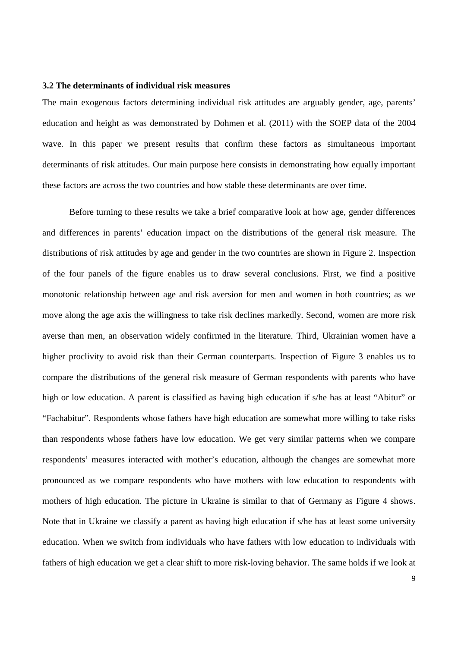#### **3.2 The determinants of individual risk measures**

The main exogenous factors determining individual risk attitudes are arguably gender, age, parents' education and height as was demonstrated by Dohmen et al. (2011) with the SOEP data of the 2004 wave. In this paper we present results that confirm these factors as simultaneous important determinants of risk attitudes. Our main purpose here consists in demonstrating how equally important these factors are across the two countries and how stable these determinants are over time.

Before turning to these results we take a brief comparative look at how age, gender differences and differences in parents' education impact on the distributions of the general risk measure. The distributions of risk attitudes by age and gender in the two countries are shown in Figure 2. Inspection of the four panels of the figure enables us to draw several conclusions. First, we find a positive monotonic relationship between age and risk aversion for men and women in both countries; as we move along the age axis the willingness to take risk declines markedly. Second, women are more risk averse than men, an observation widely confirmed in the literature. Third, Ukrainian women have a higher proclivity to avoid risk than their German counterparts. Inspection of Figure 3 enables us to compare the distributions of the general risk measure of German respondents with parents who have high or low education. A parent is classified as having high education if s/he has at least "Abitur" or "Fachabitur". Respondents whose fathers have high education are somewhat more willing to take risks than respondents whose fathers have low education. We get very similar patterns when we compare respondents' measures interacted with mother's education, although the changes are somewhat more pronounced as we compare respondents who have mothers with low education to respondents with mothers of high education. The picture in Ukraine is similar to that of Germany as Figure 4 shows. Note that in Ukraine we classify a parent as having high education if s/he has at least some university education. When we switch from individuals who have fathers with low education to individuals with fathers of high education we get a clear shift to more risk-loving behavior. The same holds if we look at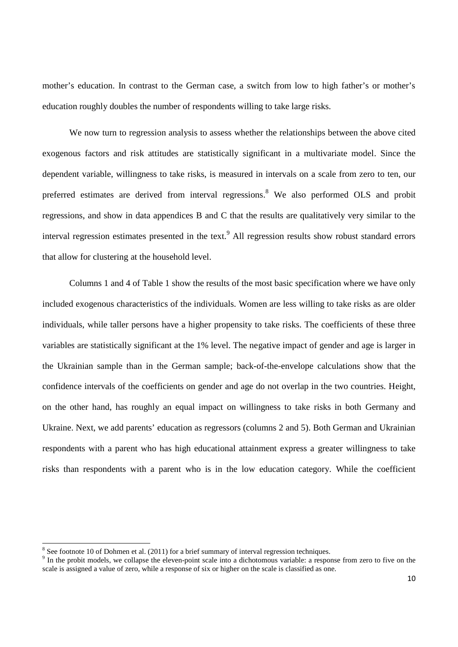mother's education. In contrast to the German case, a switch from low to high father's or mother's education roughly doubles the number of respondents willing to take large risks.

We now turn to regression analysis to assess whether the relationships between the above cited exogenous factors and risk attitudes are statistically significant in a multivariate model. Since the dependent variable, willingness to take risks, is measured in intervals on a scale from zero to ten, our preferred estimates are derived from interval regressions.<sup>8</sup> We also performed OLS and probit regressions, and show in data appendices B and C that the results are qualitatively very similar to the interval regression estimates presented in the text.<sup>9</sup> All regression results show robust standard errors that allow for clustering at the household level.

Columns 1 and 4 of Table 1 show the results of the most basic specification where we have only included exogenous characteristics of the individuals. Women are less willing to take risks as are older individuals, while taller persons have a higher propensity to take risks. The coefficients of these three variables are statistically significant at the 1% level. The negative impact of gender and age is larger in the Ukrainian sample than in the German sample; back-of-the-envelope calculations show that the confidence intervals of the coefficients on gender and age do not overlap in the two countries. Height, on the other hand, has roughly an equal impact on willingness to take risks in both Germany and Ukraine. Next, we add parents' education as regressors (columns 2 and 5). Both German and Ukrainian respondents with a parent who has high educational attainment express a greater willingness to take risks than respondents with a parent who is in the low education category. While the coefficient

 $8$  See footnote 10 of Dohmen et al. (2011) for a brief summary of interval regression techniques.<br><sup>9</sup> In the probit models, we collapse the eleven-point scale into a dichotomous variable: a response from zero to five on scale is assigned a value of zero, while a response of six or higher on the scale is classified as one.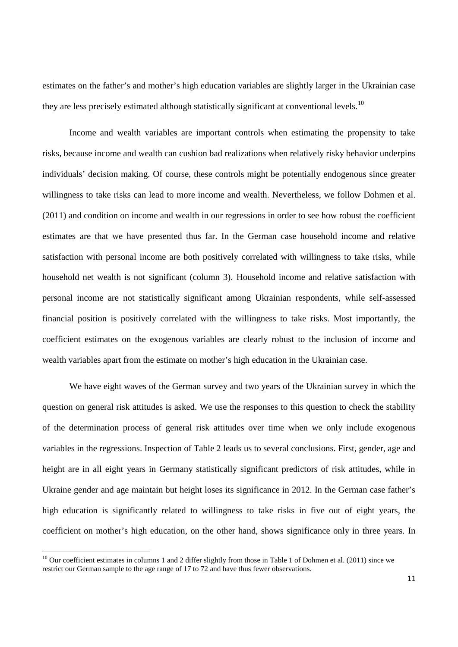estimates on the father's and mother's high education variables are slightly larger in the Ukrainian case they are less precisely estimated although statistically significant at conventional levels.<sup>10</sup>

Income and wealth variables are important controls when estimating the propensity to take risks, because income and wealth can cushion bad realizations when relatively risky behavior underpins individuals' decision making. Of course, these controls might be potentially endogenous since greater willingness to take risks can lead to more income and wealth. Nevertheless, we follow Dohmen et al. (2011) and condition on income and wealth in our regressions in order to see how robust the coefficient estimates are that we have presented thus far. In the German case household income and relative satisfaction with personal income are both positively correlated with willingness to take risks, while household net wealth is not significant (column 3). Household income and relative satisfaction with personal income are not statistically significant among Ukrainian respondents, while self-assessed financial position is positively correlated with the willingness to take risks. Most importantly, the coefficient estimates on the exogenous variables are clearly robust to the inclusion of income and wealth variables apart from the estimate on mother's high education in the Ukrainian case.

We have eight waves of the German survey and two years of the Ukrainian survey in which the question on general risk attitudes is asked. We use the responses to this question to check the stability of the determination process of general risk attitudes over time when we only include exogenous variables in the regressions. Inspection of Table 2 leads us to several conclusions. First, gender, age and height are in all eight years in Germany statistically significant predictors of risk attitudes, while in Ukraine gender and age maintain but height loses its significance in 2012. In the German case father's high education is significantly related to willingness to take risks in five out of eight years, the coefficient on mother's high education, on the other hand, shows significance only in three years. In

 $10$  Our coefficient estimates in columns 1 and 2 differ slightly from those in Table 1 of Dohmen et al. (2011) since we restrict our German sample to the age range of 17 to 72 and have thus fewer observations.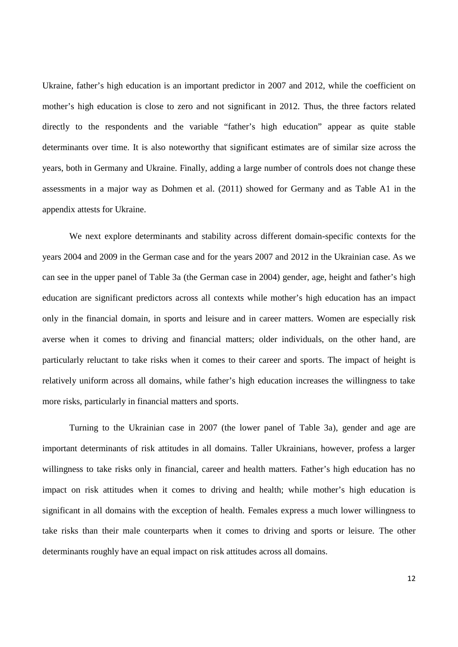Ukraine, father's high education is an important predictor in 2007 and 2012, while the coefficient on mother's high education is close to zero and not significant in 2012. Thus, the three factors related directly to the respondents and the variable "father's high education" appear as quite stable determinants over time. It is also noteworthy that significant estimates are of similar size across the years, both in Germany and Ukraine. Finally, adding a large number of controls does not change these assessments in a major way as Dohmen et al. (2011) showed for Germany and as Table A1 in the appendix attests for Ukraine.

We next explore determinants and stability across different domain-specific contexts for the years 2004 and 2009 in the German case and for the years 2007 and 2012 in the Ukrainian case. As we can see in the upper panel of Table 3a (the German case in 2004) gender, age, height and father's high education are significant predictors across all contexts while mother's high education has an impact only in the financial domain, in sports and leisure and in career matters. Women are especially risk averse when it comes to driving and financial matters; older individuals, on the other hand, are particularly reluctant to take risks when it comes to their career and sports. The impact of height is relatively uniform across all domains, while father's high education increases the willingness to take more risks, particularly in financial matters and sports.

Turning to the Ukrainian case in 2007 (the lower panel of Table 3a), gender and age are important determinants of risk attitudes in all domains. Taller Ukrainians, however, profess a larger willingness to take risks only in financial, career and health matters. Father's high education has no impact on risk attitudes when it comes to driving and health; while mother's high education is significant in all domains with the exception of health. Females express a much lower willingness to take risks than their male counterparts when it comes to driving and sports or leisure. The other determinants roughly have an equal impact on risk attitudes across all domains.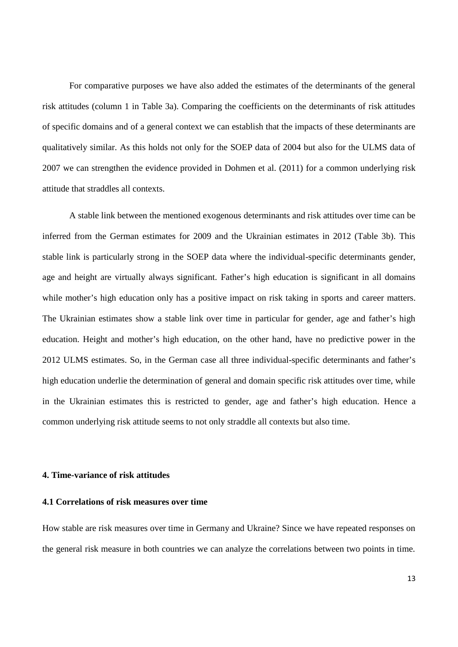For comparative purposes we have also added the estimates of the determinants of the general risk attitudes (column 1 in Table 3a). Comparing the coefficients on the determinants of risk attitudes of specific domains and of a general context we can establish that the impacts of these determinants are qualitatively similar. As this holds not only for the SOEP data of 2004 but also for the ULMS data of 2007 we can strengthen the evidence provided in Dohmen et al. (2011) for a common underlying risk attitude that straddles all contexts.

A stable link between the mentioned exogenous determinants and risk attitudes over time can be inferred from the German estimates for 2009 and the Ukrainian estimates in 2012 (Table 3b). This stable link is particularly strong in the SOEP data where the individual-specific determinants gender, age and height are virtually always significant. Father's high education is significant in all domains while mother's high education only has a positive impact on risk taking in sports and career matters. The Ukrainian estimates show a stable link over time in particular for gender, age and father's high education. Height and mother's high education, on the other hand, have no predictive power in the 2012 ULMS estimates. So, in the German case all three individual-specific determinants and father's high education underlie the determination of general and domain specific risk attitudes over time, while in the Ukrainian estimates this is restricted to gender, age and father's high education. Hence a common underlying risk attitude seems to not only straddle all contexts but also time.

### **4. Time-variance of risk attitudes**

#### **4.1 Correlations of risk measures over time**

How stable are risk measures over time in Germany and Ukraine? Since we have repeated responses on the general risk measure in both countries we can analyze the correlations between two points in time.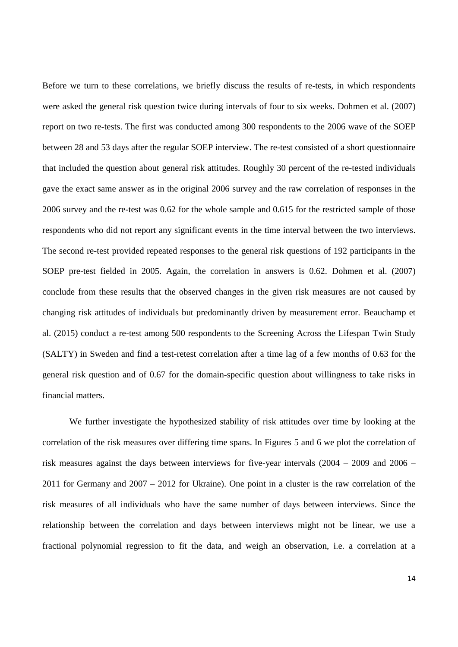Before we turn to these correlations, we briefly discuss the results of re-tests, in which respondents were asked the general risk question twice during intervals of four to six weeks. Dohmen et al. (2007) report on two re-tests. The first was conducted among 300 respondents to the 2006 wave of the SOEP between 28 and 53 days after the regular SOEP interview. The re-test consisted of a short questionnaire that included the question about general risk attitudes. Roughly 30 percent of the re-tested individuals gave the exact same answer as in the original 2006 survey and the raw correlation of responses in the 2006 survey and the re-test was 0.62 for the whole sample and 0.615 for the restricted sample of those respondents who did not report any significant events in the time interval between the two interviews. The second re-test provided repeated responses to the general risk questions of 192 participants in the SOEP pre-test fielded in 2005. Again, the correlation in answers is 0.62. Dohmen et al. (2007) conclude from these results that the observed changes in the given risk measures are not caused by changing risk attitudes of individuals but predominantly driven by measurement error. Beauchamp et al. (2015) conduct a re-test among 500 respondents to the Screening Across the Lifespan Twin Study (SALTY) in Sweden and find a test-retest correlation after a time lag of a few months of 0.63 for the general risk question and of 0.67 for the domain-specific question about willingness to take risks in financial matters.

We further investigate the hypothesized stability of risk attitudes over time by looking at the correlation of the risk measures over differing time spans. In Figures 5 and 6 we plot the correlation of risk measures against the days between interviews for five-year intervals (2004 – 2009 and 2006 – 2011 for Germany and 2007 – 2012 for Ukraine). One point in a cluster is the raw correlation of the risk measures of all individuals who have the same number of days between interviews. Since the relationship between the correlation and days between interviews might not be linear, we use a fractional polynomial regression to fit the data, and weigh an observation, i.e. a correlation at a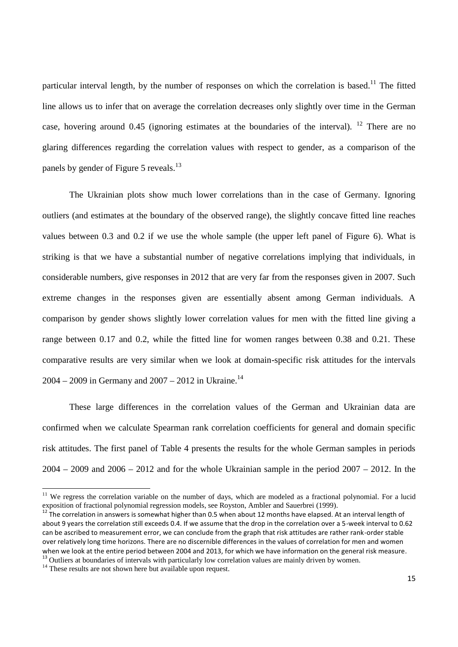particular interval length, by the number of responses on which the correlation is based.<sup>11</sup> The fitted line allows us to infer that on average the correlation decreases only slightly over time in the German case, hovering around 0.45 (ignoring estimates at the boundaries of the interval). <sup>12</sup> There are no glaring differences regarding the correlation values with respect to gender, as a comparison of the panels by gender of Figure 5 reveals.<sup>13</sup>

The Ukrainian plots show much lower correlations than in the case of Germany. Ignoring outliers (and estimates at the boundary of the observed range), the slightly concave fitted line reaches values between 0.3 and 0.2 if we use the whole sample (the upper left panel of Figure 6). What is striking is that we have a substantial number of negative correlations implying that individuals, in considerable numbers, give responses in 2012 that are very far from the responses given in 2007. Such extreme changes in the responses given are essentially absent among German individuals. A comparison by gender shows slightly lower correlation values for men with the fitted line giving a range between 0.17 and 0.2, while the fitted line for women ranges between 0.38 and 0.21. These comparative results are very similar when we look at domain-specific risk attitudes for the intervals  $2004 - 2009$  in Germany and  $2007 - 2012$  in Ukraine.<sup>14</sup>

These large differences in the correlation values of the German and Ukrainian data are confirmed when we calculate Spearman rank correlation coefficients for general and domain specific risk attitudes. The first panel of Table 4 presents the results for the whole German samples in periods  $2004 - 2009$  and  $2006 - 2012$  and for the whole Ukrainian sample in the period  $2007 - 2012$ . In the

 $11$  We regress the correlation variable on the number of days, which are modeled as a fractional polynomial. For a lucid exposition of fractional polynomial regression models, see Royston, Ambler and Sauerbrei (1999).<br><sup>12</sup> The correlation in answers is somewhat higher than 0.5 when about 12 months have elapsed. At an interval length of

about 9 years the correlation still exceeds 0.4. If we assume that the drop in the correlation over a 5-week interval to 0.62 can be ascribed to measurement error, we can conclude from the graph that risk attitudes are rather rank-order stable over relatively long time horizons. There are no discernible differences in the values of correlation for men and women when we look at the entire period between 2004 and 2013, for which we have information on the general risk measure.<br><sup>13</sup> Outliers at boundaries of intervals with particularly low correlation values are mainly driven by wo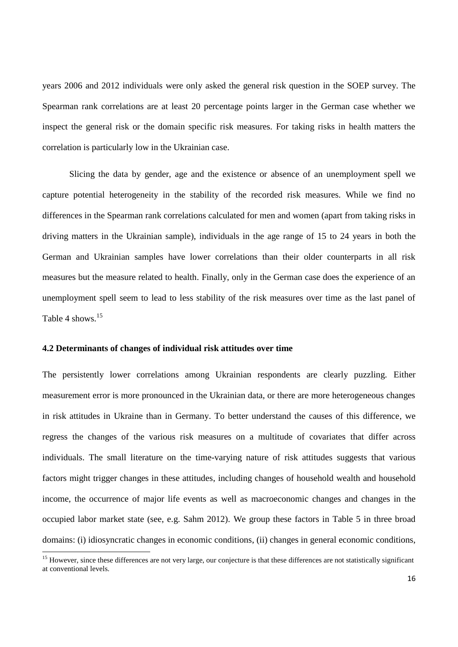years 2006 and 2012 individuals were only asked the general risk question in the SOEP survey. The Spearman rank correlations are at least 20 percentage points larger in the German case whether we inspect the general risk or the domain specific risk measures. For taking risks in health matters the correlation is particularly low in the Ukrainian case.

Slicing the data by gender, age and the existence or absence of an unemployment spell we capture potential heterogeneity in the stability of the recorded risk measures. While we find no differences in the Spearman rank correlations calculated for men and women (apart from taking risks in driving matters in the Ukrainian sample), individuals in the age range of 15 to 24 years in both the German and Ukrainian samples have lower correlations than their older counterparts in all risk measures but the measure related to health. Finally, only in the German case does the experience of an unemployment spell seem to lead to less stability of the risk measures over time as the last panel of Table 4 shows.<sup>15</sup>

### **4.2 Determinants of changes of individual risk attitudes over time**

The persistently lower correlations among Ukrainian respondents are clearly puzzling. Either measurement error is more pronounced in the Ukrainian data, or there are more heterogeneous changes in risk attitudes in Ukraine than in Germany. To better understand the causes of this difference, we regress the changes of the various risk measures on a multitude of covariates that differ across individuals. The small literature on the time-varying nature of risk attitudes suggests that various factors might trigger changes in these attitudes, including changes of household wealth and household income, the occurrence of major life events as well as macroeconomic changes and changes in the occupied labor market state (see, e.g. Sahm 2012). We group these factors in Table 5 in three broad domains: (i) idiosyncratic changes in economic conditions, (ii) changes in general economic conditions,

<sup>&</sup>lt;sup>15</sup> However, since these differences are not very large, our conjecture is that these differences are not statistically significant at conventional levels.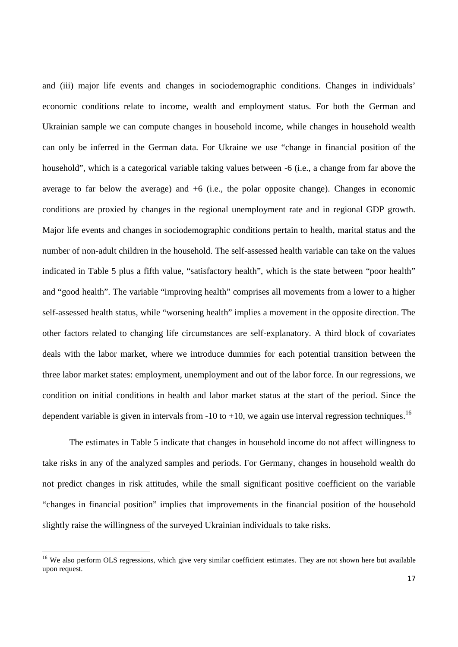and (iii) major life events and changes in sociodemographic conditions. Changes in individuals' economic conditions relate to income, wealth and employment status. For both the German and Ukrainian sample we can compute changes in household income, while changes in household wealth can only be inferred in the German data. For Ukraine we use "change in financial position of the household", which is a categorical variable taking values between -6 (i.e., a change from far above the average to far below the average) and +6 (i.e., the polar opposite change). Changes in economic conditions are proxied by changes in the regional unemployment rate and in regional GDP growth. Major life events and changes in sociodemographic conditions pertain to health, marital status and the number of non-adult children in the household. The self-assessed health variable can take on the values indicated in Table 5 plus a fifth value, "satisfactory health", which is the state between "poor health" and "good health". The variable "improving health" comprises all movements from a lower to a higher self-assessed health status, while "worsening health" implies a movement in the opposite direction. The other factors related to changing life circumstances are self-explanatory. A third block of covariates deals with the labor market, where we introduce dummies for each potential transition between the three labor market states: employment, unemployment and out of the labor force. In our regressions, we condition on initial conditions in health and labor market status at the start of the period. Since the dependent variable is given in intervals from -10 to +10, we again use interval regression techniques.<sup>16</sup>

The estimates in Table 5 indicate that changes in household income do not affect willingness to take risks in any of the analyzed samples and periods. For Germany, changes in household wealth do not predict changes in risk attitudes, while the small significant positive coefficient on the variable "changes in financial position" implies that improvements in the financial position of the household slightly raise the willingness of the surveyed Ukrainian individuals to take risks.

<sup>&</sup>lt;sup>16</sup> We also perform OLS regressions, which give very similar coefficient estimates. They are not shown here but available upon request.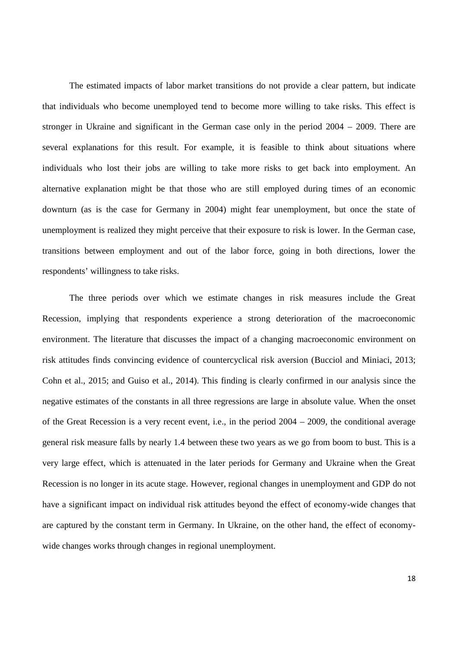The estimated impacts of labor market transitions do not provide a clear pattern, but indicate that individuals who become unemployed tend to become more willing to take risks. This effect is stronger in Ukraine and significant in the German case only in the period 2004 – 2009. There are several explanations for this result. For example, it is feasible to think about situations where individuals who lost their jobs are willing to take more risks to get back into employment. An alternative explanation might be that those who are still employed during times of an economic downturn (as is the case for Germany in 2004) might fear unemployment, but once the state of unemployment is realized they might perceive that their exposure to risk is lower. In the German case, transitions between employment and out of the labor force, going in both directions, lower the respondents' willingness to take risks.

The three periods over which we estimate changes in risk measures include the Great Recession, implying that respondents experience a strong deterioration of the macroeconomic environment. The literature that discusses the impact of a changing macroeconomic environment on risk attitudes finds convincing evidence of countercyclical risk aversion (Bucciol and Miniaci, 2013; Cohn et al., 2015; and Guiso et al., 2014). This finding is clearly confirmed in our analysis since the negative estimates of the constants in all three regressions are large in absolute value. When the onset of the Great Recession is a very recent event, i.e., in the period 2004 – 2009, the conditional average general risk measure falls by nearly 1.4 between these two years as we go from boom to bust. This is a very large effect, which is attenuated in the later periods for Germany and Ukraine when the Great Recession is no longer in its acute stage. However, regional changes in unemployment and GDP do not have a significant impact on individual risk attitudes beyond the effect of economy-wide changes that are captured by the constant term in Germany. In Ukraine, on the other hand, the effect of economy wide changes works through changes in regional unemployment.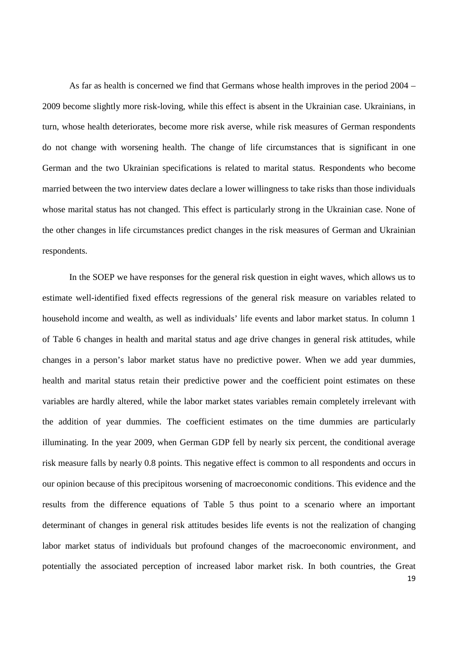As far as health is concerned we find that Germans whose health improves in the period 2004 – 2009 become slightly more risk-loving, while this effect is absent in the Ukrainian case. Ukrainians, in turn, whose health deteriorates, become more risk averse, while risk measures of German respondents do not change with worsening health. The change of life circumstances that is significant in one German and the two Ukrainian specifications is related to marital status. Respondents who become married between the two interview dates declare a lower willingness to take risks than those individuals whose marital status has not changed. This effect is particularly strong in the Ukrainian case. None of the other changes in life circumstances predict changes in the risk measures of German and Ukrainian respondents.

In the SOEP we have responses for the general risk question in eight waves, which allows us to estimate well-identified fixed effects regressions of the general risk measure on variables related to household income and wealth, as well as individuals' life events and labor market status. In column 1 of Table 6 changes in health and marital status and age drive changes in general risk attitudes, while changes in a person's labor market status have no predictive power. When we add year dummies, health and marital status retain their predictive power and the coefficient point estimates on these variables are hardly altered, while the labor market states variables remain completely irrelevant with the addition of year dummies. The coefficient estimates on the time dummies are particularly illuminating. In the year 2009, when German GDP fell by nearly six percent, the conditional average risk measure falls by nearly 0.8 points. This negative effect is common to all respondents and occurs in our opinion because of this precipitous worsening of macroeconomic conditions. This evidence and the results from the difference equations of Table 5 thus point to a scenario where an important determinant of changes in general risk attitudes besides life events is not the realization of changing labor market status of individuals but profound changes of the macroeconomic environment, and potentially the associated perception of increased labor market risk. In both countries, the Great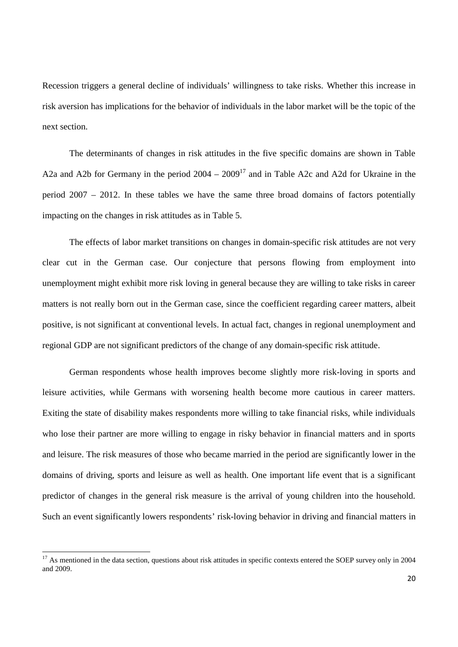Recession triggers a general decline of individuals' willingness to take risks. Whether this increase in risk aversion has implications for the behavior of individuals in the labor market will be the topic of the next section.

The determinants of changes in risk attitudes in the five specific domains are shown in Table A2a and A2b for Germany in the period  $2004 - 2009<sup>17</sup>$  and in Table A2c and A2d for Ukraine in the period 2007 – 2012. In these tables we have the same three broad domains of factors potentially impacting on the changes in risk attitudes as in Table 5.

The effects of labor market transitions on changes in domain-specific risk attitudes are not very clear cut in the German case. Our conjecture that persons flowing from employment into unemployment might exhibit more risk loving in general because they are willing to take risks in career matters is not really born out in the German case, since the coefficient regarding career matters, albeit positive, is not significant at conventional levels. In actual fact, changes in regional unemployment and regional GDP are not significant predictors of the change of any domain-specific risk attitude.

German respondents whose health improves become slightly more risk-loving in sports and leisure activities, while Germans with worsening health become more cautious in career matters. Exiting the state of disability makes respondents more willing to take financial risks, while individuals who lose their partner are more willing to engage in risky behavior in financial matters and in sports and leisure. The risk measures of those who became married in the period are significantly lower in the domains of driving, sports and leisure as well as health. One important life event that is a significant predictor of changes in the general risk measure is the arrival of young children into the household. Such an event significantly lowers respondents' risk-loving behavior in driving and financial matters in

<sup>&</sup>lt;sup>17</sup> As mentioned in the data section, questions about risk attitudes in specific contexts entered the SOEP survey only in 2004 and 2009.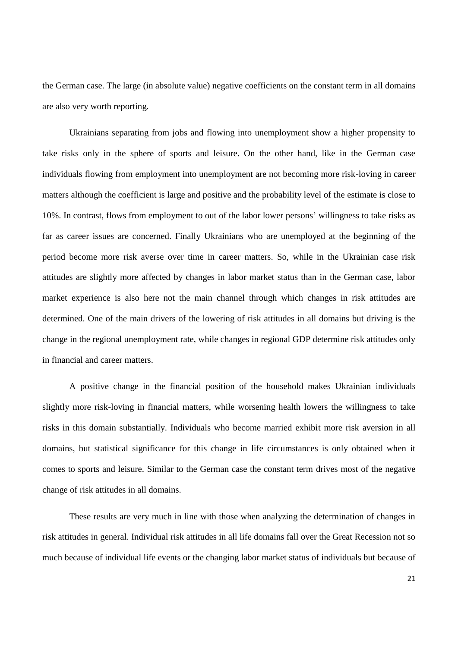the German case. The large (in absolute value) negative coefficients on the constant term in all domains are also very worth reporting.

Ukrainians separating from jobs and flowing into unemployment show a higher propensity to take risks only in the sphere of sports and leisure. On the other hand, like in the German case individuals flowing from employment into unemployment are not becoming more risk-loving in career matters although the coefficient is large and positive and the probability level of the estimate is close to 10%. In contrast, flows from employment to out of the labor lower persons' willingness to take risks as far as career issues are concerned. Finally Ukrainians who are unemployed at the beginning of the period become more risk averse over time in career matters. So, while in the Ukrainian case risk attitudes are slightly more affected by changes in labor market status than in the German case, labor market experience is also here not the main channel through which changes in risk attitudes are determined. One of the main drivers of the lowering of risk attitudes in all domains but driving is the change in the regional unemployment rate, while changes in regional GDP determine risk attitudes only in financial and career matters.

A positive change in the financial position of the household makes Ukrainian individuals slightly more risk-loving in financial matters, while worsening health lowers the willingness to take risks in this domain substantially. Individuals who become married exhibit more risk aversion in all domains, but statistical significance for this change in life circumstances is only obtained when it comes to sports and leisure. Similar to the German case the constant term drives most of the negative change of risk attitudes in all domains.

These results are very much in line with those when analyzing the determination of changes in risk attitudes in general. Individual risk attitudes in all life domains fall over the Great Recession not so much because of individual life events or the changing labor market status of individuals but because of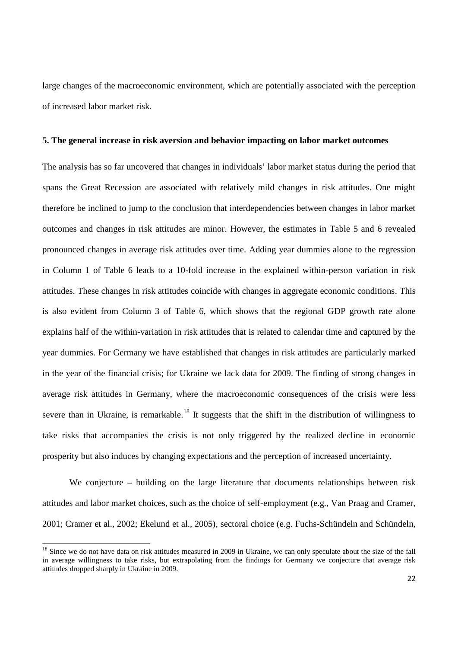large changes of the macroeconomic environment, which are potentially associated with the perception of increased labor market risk.

#### **5. The general increase in risk aversion and behavior impacting on labor market outcomes**

The analysis has so far uncovered that changes in individuals' labor market status during the period that spans the Great Recession are associated with relatively mild changes in risk attitudes. One might therefore be inclined to jump to the conclusion that interdependencies between changes in labor market outcomes and changes in risk attitudes are minor. However, the estimates in Table 5 and 6 revealed pronounced changes in average risk attitudes over time. Adding year dummies alone to the regression in Column 1 of Table 6 leads to a 10-fold increase in the explained within-person variation in risk attitudes. These changes in risk attitudes coincide with changes in aggregate economic conditions. This is also evident from Column 3 of Table 6, which shows that the regional GDP growth rate alone explains half of the within-variation in risk attitudes that is related to calendar time and captured by the year dummies. For Germany we have established that changes in risk attitudes are particularly marked in the year of the financial crisis; for Ukraine we lack data for 2009. The finding of strong changes in average risk attitudes in Germany, where the macroeconomic consequences of the crisis were less severe than in Ukraine, is remarkable.<sup>18</sup> It suggests that the shift in the distribution of willingness to take risks that accompanies the crisis is not only triggered by the realized decline in economic prosperity but also induces by changing expectations and the perception of increased uncertainty.

We conjecture – building on the large literature that documents relationships between risk attitudes and labor market choices, such as the choice of self-employment (e.g., Van Praag and Cramer, 2001; Cramer et al., 2002; Ekelund et al., 2005), sectoral choice (e.g. Fuchs-Schündeln and Schündeln,

<sup>&</sup>lt;sup>18</sup> Since we do not have data on risk attitudes measured in 2009 in Ukraine, we can only speculate about the size of the fall in average willingness to take risks, but extrapolating from the findings for Germany we conjecture that average risk attitudes dropped sharply in Ukraine in 2009.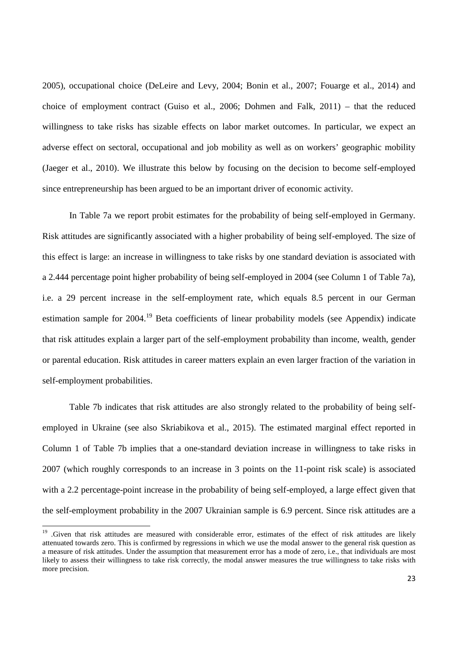2005), occupational choice (DeLeire and Levy, 2004; Bonin et al., 2007; Fouarge et al., 2014) and choice of employment contract (Guiso et al., 2006; Dohmen and Falk, 2011) – that the reduced willingness to take risks has sizable effects on labor market outcomes. In particular, we expect an adverse effect on sectoral, occupational and job mobility as well as on workers' geographic mobility (Jaeger et al., 2010). We illustrate this below by focusing on the decision to become self-employed since entrepreneurship has been argued to be an important driver of economic activity.

In Table 7a we report probit estimates for the probability of being self-employed in Germany. Risk attitudes are significantly associated with a higher probability of being self-employed. The size of this effect is large: an increase in willingness to take risks by one standard deviation is associated with a 2.444 percentage point higher probability of being self-employed in 2004 (see Column 1 of Table 7a), i.e. a 29 percent increase in the self-employment rate, which equals 8.5 percent in our German estimation sample for 2004.<sup>19</sup> Beta coefficients of linear probability models (see Appendix) indicate that risk attitudes explain a larger part of the self-employment probability than income, wealth, gender or parental education. Risk attitudes in career matters explain an even larger fraction of the variation in self-employment probabilities.

Table 7b indicates that risk attitudes are also strongly related to the probability of being self employed in Ukraine (see also Skriabikova et al., 2015). The estimated marginal effect reported in Column 1 of Table 7b implies that a one-standard deviation increase in willingness to take risks in 2007 (which roughly corresponds to an increase in 3 points on the 11-point risk scale) is associated with a 2.2 percentage-point increase in the probability of being self-employed, a large effect given that the self-employment probability in the 2007 Ukrainian sample is 6.9 percent. Since risk attitudes are a

<sup>&</sup>lt;sup>19</sup> .Given that risk attitudes are measured with considerable error, estimates of the effect of risk attitudes are likely attenuated towards zero. This is confirmed by regressions in which we use the modal answer to the general risk question as a measure of risk attitudes. Under the assumption that measurement error has a mode of zero, i.e., that individuals are most likely to assess their willingness to take risk correctly, the modal answer measures the true willingness to take risks with more precision.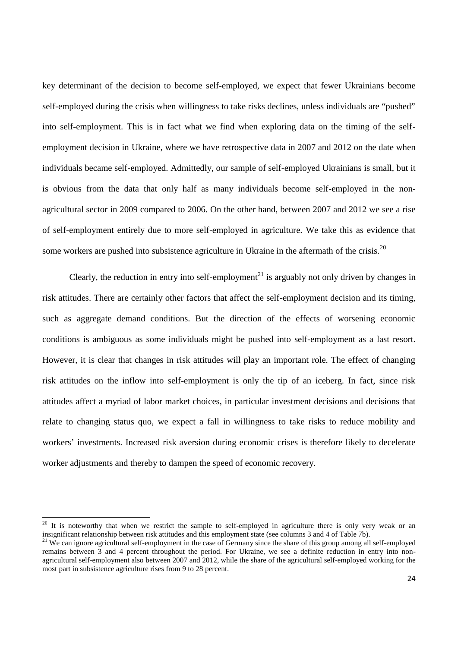key determinant of the decision to become self-employed, we expect that fewer Ukrainians become self-employed during the crisis when willingness to take risks declines, unless individuals are "pushed" into self-employment. This is in fact what we find when exploring data on the timing of the self employment decision in Ukraine, where we have retrospective data in 2007 and 2012 on the date when individuals became self-employed. Admittedly, our sample of self-employed Ukrainians is small, but it is obvious from the data that only half as many individuals become self-employed in the non agricultural sector in 2009 compared to 2006. On the other hand, between 2007 and 2012 we see a rise of self-employment entirely due to more self-employed in agriculture. We take this as evidence that some workers are pushed into subsistence agriculture in Ukraine in the aftermath of the crisis.<sup>20</sup>

Clearly, the reduction in entry into self-employment<sup>21</sup> is arguably not only driven by changes in risk attitudes. There are certainly other factors that affect the self-employment decision and its timing, such as aggregate demand conditions. But the direction of the effects of worsening economic conditions is ambiguous as some individuals might be pushed into self-employment as a last resort. However, it is clear that changes in risk attitudes will play an important role. The effect of changing risk attitudes on the inflow into self-employment is only the tip of an iceberg. In fact, since risk attitudes affect a myriad of labor market choices, in particular investment decisions and decisions that relate to changing status quo, we expect a fall in willingness to take risks to reduce mobility and workers' investments. Increased risk aversion during economic crises is therefore likely to decelerate worker adjustments and thereby to dampen the speed of economic recovery.

<sup>&</sup>lt;sup>20</sup> It is noteworthy that when we restrict the sample to self-employed in agriculture there is only very weak or an insignificant relationship between risk attitudes and this employment state (see columns 3 and 4 of Tabl

<sup>&</sup>lt;sup>21</sup> We can ignore agricultural self-employment in the case of Germany since the share of this group among all self-employed remains between 3 and 4 percent throughout the period. For Ukraine, we see a definite reduction in entry into non agricultural self-employment also between 2007 and 2012, while the share of the agricultural self-employed working for the most part in subsistence agriculture rises from 9 to 28 percent.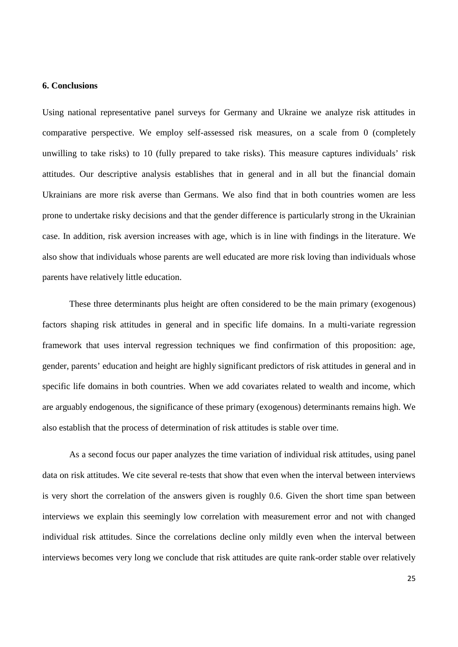#### **6. Conclusions**

Using national representative panel surveys for Germany and Ukraine we analyze risk attitudes in comparative perspective. We employ self-assessed risk measures, on a scale from 0 (completely unwilling to take risks) to 10 (fully prepared to take risks). This measure captures individuals' risk attitudes. Our descriptive analysis establishes that in general and in all but the financial domain Ukrainians are more risk averse than Germans. We also find that in both countries women are less prone to undertake risky decisions and that the gender difference is particularly strong in the Ukrainian case. In addition, risk aversion increases with age, which is in line with findings in the literature. We also show that individuals whose parents are well educated are more risk loving than individuals whose parents have relatively little education.

These three determinants plus height are often considered to be the main primary (exogenous) factors shaping risk attitudes in general and in specific life domains. In a multi-variate regression framework that uses interval regression techniques we find confirmation of this proposition: age, gender, parents' education and height are highly significant predictors of risk attitudes in general and in specific life domains in both countries. When we add covariates related to wealth and income, which are arguably endogenous, the significance of these primary (exogenous) determinants remains high. We also establish that the process of determination of risk attitudes is stable over time.

As a second focus our paper analyzes the time variation of individual risk attitudes, using panel data on risk attitudes. We cite several re-tests that show that even when the interval between interviews is very short the correlation of the answers given is roughly 0.6. Given the short time span between interviews we explain this seemingly low correlation with measurement error and not with changed individual risk attitudes. Since the correlations decline only mildly even when the interval between interviews becomes very long we conclude that risk attitudes are quite rank-order stable over relatively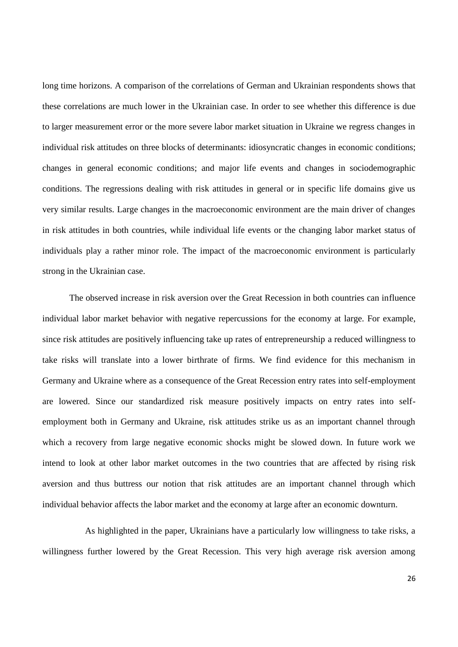long time horizons. A comparison of the correlations of German and Ukrainian respondents shows that these correlations are much lower in the Ukrainian case. In order to see whether this difference is due to larger measurement error or the more severe labor market situation in Ukraine we regress changes in individual risk attitudes on three blocks of determinants: idiosyncratic changes in economic conditions; changes in general economic conditions; and major life events and changes in sociodemographic conditions. The regressions dealing with risk attitudes in general or in specific life domains give us very similar results. Large changes in the macroeconomic environment are the main driver of changes in risk attitudes in both countries, while individual life events or the changing labor market status of individuals play a rather minor role. The impact of the macroeconomic environment is particularly strong in the Ukrainian case.

The observed increase in risk aversion over the Great Recession in both countries can influence individual labor market behavior with negative repercussions for the economy at large. For example, since risk attitudes are positively influencing take up rates of entrepreneurship a reduced willingness to take risks will translate into a lower birthrate of firms. We find evidence for this mechanism in Germany and Ukraine where as a consequence of the Great Recession entry rates into self-employment are lowered. Since our standardized risk measure positively impacts on entry rates into self employment both in Germany and Ukraine, risk attitudes strike us as an important channel through which a recovery from large negative economic shocks might be slowed down. In future work we intend to look at other labor market outcomes in the two countries that are affected by rising risk aversion and thus buttress our notion that risk attitudes are an important channel through which individual behavior affects the labor market and the economy at large after an economic downturn.

As highlighted in the paper, Ukrainians have a particularly low willingness to take risks, a willingness further lowered by the Great Recession. This very high average risk aversion among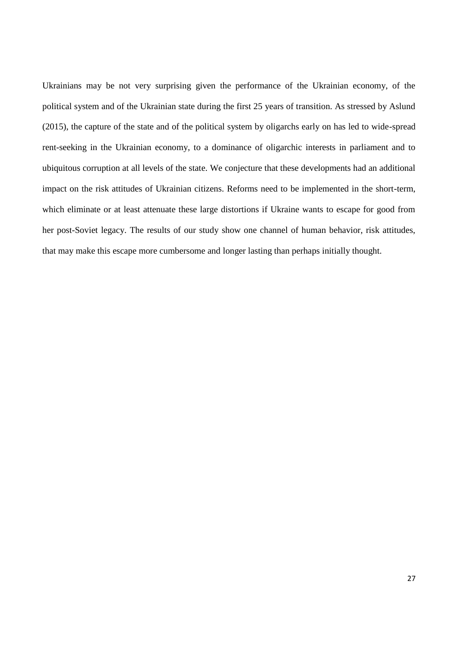Ukrainians may be not very surprising given the performance of the Ukrainian economy, of the political system and of the Ukrainian state during the first 25 years of transition. As stressed by Aslund (2015), the capture of the state and of the political system by oligarchs early on has led to wide-spread rent-seeking in the Ukrainian economy, to a dominance of oligarchic interests in parliament and to ubiquitous corruption at all levels of the state. We conjecture that these developments had an additional impact on the risk attitudes of Ukrainian citizens. Reforms need to be implemented in the short-term, which eliminate or at least attenuate these large distortions if Ukraine wants to escape for good from her post-Soviet legacy. The results of our study show one channel of human behavior, risk attitudes, that may make this escape more cumbersome and longer lasting than perhaps initially thought.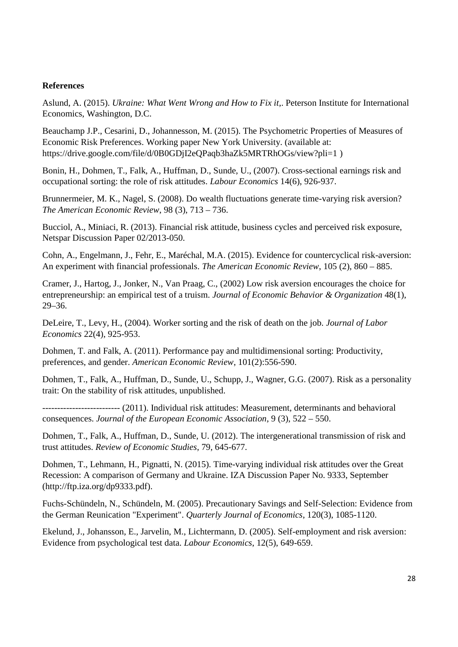### **References**

Aslund, A. (2015). *Ukraine: What Went Wrong and How to Fix it*,. Peterson Institute for International Economics, Washington, D.C.

Beauchamp J.P., Cesarini, D., Johannesson, M. (2015). The Psychometric Properties of Measures of Economic Risk Preferences. Working paper New York University. (available at: https://drive.google.com/file/d/0B0GDjI2eQPaqb3haZk5MRTRhOGs/view?pli=1 )

Bonin, H., Dohmen, T., Falk, A., Huffman, D., Sunde, U., (2007). Cross-sectional earnings risk and occupational sorting: the role of risk attitudes. *Labour Economics* 14(6), 926-937.

Brunnermeier, M. K., Nagel, S. (2008). Do wealth fluctuations generate time-varying risk aversion? *The American Economic Review*, 98 (3), 713 – 736.

Bucciol, A., Miniaci, R. (2013). Financial risk attitude, business cycles and perceived risk exposure, Netspar Discussion Paper 02/2013-050.

Cohn, A., Engelmann, J., Fehr, E., Maréchal, M.A. (2015). Evidence for countercyclical risk-aversion: An experiment with financial professionals. *The American Economic Review*, 105 (2), 860 – 885.

Cramer, J., Hartog, J., Jonker, N., Van Praag, C., (2002) Low risk aversion encourages the choice for entrepreneurship: an empirical test of a truism. *Journal of Economic Behavior & Organization* 48(1), 29–36.

DeLeire, T., Levy, H., (2004). Worker sorting and the risk of death on the job. *Journal of Labor Economics* 22(4), 925-953.

Dohmen, T. and Falk, A. (2011). Performance pay and multidimensional sorting: Productivity, preferences, and gender. *American Economic Review*, 101(2):556-590.

Dohmen, T., Falk, A., Huffman, D., Sunde, U., Schupp, J., Wagner, G.G. (2007). Risk as a personality trait: On the stability of risk attitudes, unpublished.

-------------------------- (2011). Individual risk attitudes: Measurement, determinants and behavioral consequences. *Journal of the European Economic Association*, 9 (3), 522 – 550.

Dohmen, T., Falk, A., Huffman, D., Sunde, U. (2012). The intergenerational transmission of risk and trust attitudes. *Review of Economic Studies*, 79, 645-677.

Dohmen, T., Lehmann, H., Pignatti, N. (2015). Time-varying individual risk attitudes over the Great Recession: A comparison of Germany and Ukraine. IZA Discussion Paper No. 9333, September (http://ftp.iza.org/dp9333.pdf).

Fuchs-Schündeln, N., Schündeln, M. (2005). Precautionary Savings and Self-Selection: Evidence from the German Reunication "Experiment". *Quarterly Journal of Economics*, 120(3), 1085-1120.

Ekelund, J., Johansson, E., Jarvelin, M., Lichtermann, D. (2005). Self-employment and risk aversion: Evidence from psychological test data. *Labour Economics*, 12(5), 649-659.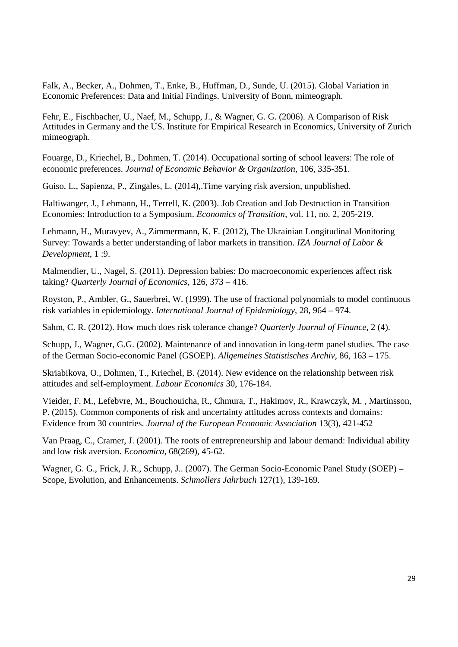Falk, A., Becker, A., Dohmen, T., Enke, B., Huffman, D., Sunde, U. (2015). Global Variation in Economic Preferences: Data and Initial Findings. University of Bonn, mimeograph.

Fehr, E., Fischbacher, U., Naef, M., Schupp, J., & Wagner, G. G. (2006). A Comparison of Risk Attitudes in Germany and the US. Institute for Empirical Research in Economics, University of Zurich mimeograph.

Fouarge, D., Kriechel, B., Dohmen, T. (2014). Occupational sorting of school leavers: The role of economic preferences. *Journal of Economic Behavior & Organization*, 106, 335-351.

Guiso, L., Sapienza, P., Zingales, L. (2014),.Time varying risk aversion, unpublished.

Haltiwanger, J., Lehmann, H., Terrell, K. (2003). Job Creation and Job Destruction in Transition Economies: Introduction to a Symposium. *Economics of Transition*, vol. 11, no. 2, 205-219.

Lehmann, H., Muravyev, A., Zimmermann, K. F. (2012), The Ukrainian Longitudinal Monitoring Survey: Towards a better understanding of labor markets in transition. *IZA Journal of Labor & Development*, 1 :9.

Malmendier, U., Nagel, S. (2011). Depression babies: Do macroeconomic experiences affect risk taking? *Quarterly Journal of Economics*, 126, 373 – 416.

Royston, P., Ambler, G., Sauerbrei, W. (1999). The use of fractional polynomials to model continuous risk variables in epidemiology. *International Journal of Epidemiology*, 28, 964 – 974.

Sahm, C. R. (2012). How much does risk tolerance change? *Quarterly Journal of Finance*, 2 (4).

Schupp, J., Wagner, G.G. (2002). Maintenance of and innovation in long-term panel studies. The case of the German Socio-economic Panel (GSOEP). *Allgemeines Statistisches Archiv*, 86, 163 – 175.

Skriabikova, O., Dohmen, T., Kriechel, B. (2014). New evidence on the relationship between risk attitudes and self-employment. *Labour Economics* 30, 176-184.

Vieider, F. M., Lefebvre, M., Bouchouicha, R., Chmura, T., Hakimov, R., Krawczyk, M. , Martinsson, P. (2015). Common components of risk and uncertainty attitudes across contexts and domains: Evidence from 30 countries. *Journal of the European Economic Association* 13(3), 421-452

Van Praag, C., Cramer, J. (2001). The roots of entrepreneurship and labour demand: Individual ability and low risk aversion. *Economica*, 68(269), 45-62.

Wagner, G. G., Frick, J. R., Schupp, J.. (2007). The German Socio-Economic Panel Study (SOEP) – Scope, Evolution, and Enhancements. *Schmollers Jahrbuch* 127(1), 139-169.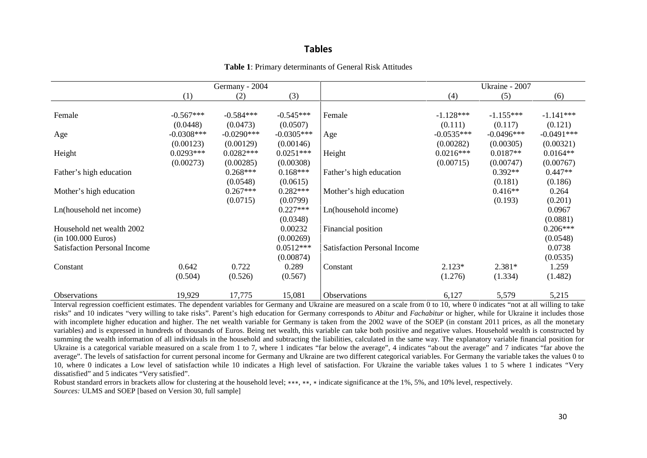### **Tables**

|                                     | Germany - 2004 |              |              |                                     | Ukraine - 2007 |              |              |
|-------------------------------------|----------------|--------------|--------------|-------------------------------------|----------------|--------------|--------------|
|                                     | (1)            | (2)          | (3)          |                                     | (4)            | (5)          | (6)          |
| Female                              | $-0.567***$    | $-0.584***$  | $-0.545***$  | Female                              | $-1.128***$    | $-1.155***$  | $-1.141***$  |
|                                     | (0.0448)       | (0.0473)     | (0.0507)     |                                     | (0.111)        | (0.117)      | (0.121)      |
| Age                                 | $-0.0308$ ***  | $-0.0290***$ | $-0.0305***$ | Age                                 | $-0.0535***$   | $-0.0496***$ | $-0.0491***$ |
|                                     | (0.00123)      | (0.00129)    | (0.00146)    |                                     | (0.00282)      | (0.00305)    | (0.00321)    |
| Height                              | $0.0293***$    | $0.0282***$  | $0.0251***$  | Height                              | $0.0216***$    | $0.0187**$   | $0.0164**$   |
|                                     | (0.00273)      | (0.00285)    | (0.00308)    |                                     | (0.00715)      | (0.00747)    | (0.00767)    |
| Father's high education             |                | $0.268***$   | $0.168***$   | Father's high education             |                | $0.392**$    | $0.447**$    |
|                                     |                | (0.0548)     | (0.0615)     |                                     |                | (0.181)      | (0.186)      |
| Mother's high education             |                | $0.267***$   | $0.282***$   | Mother's high education             |                | $0.416**$    | 0.264        |
|                                     |                | (0.0715)     | (0.0799)     |                                     |                | (0.193)      | (0.201)      |
| Ln(household net income)            |                |              | $0.227***$   | Ln(household income)                |                |              | 0.0967       |
|                                     |                |              | (0.0348)     |                                     |                |              | (0.0881)     |
| Household net wealth 2002           |                |              | 0.00232      | Financial position                  |                |              | $0.206***$   |
| (in 100.000 Euros)                  |                |              | (0.00269)    |                                     |                |              | (0.0548)     |
| <b>Satisfaction Personal Income</b> |                |              | $0.0512***$  | <b>Satisfaction Personal Income</b> |                |              | 0.0738       |
|                                     |                |              | (0.00874)    |                                     |                |              | (0.0535)     |
| Constant                            | 0.642          | 0.722        | 0.289        | Constant                            | $2.123*$       | $2.381*$     | 1.259        |
|                                     | (0.504)        | (0.526)      | (0.567)      |                                     | (1.276)        | (1.334)      | (1.482)      |
| Observations                        | 19,929         | 17,775       | 15,081       | Observations                        | 6,127          | 5,579        | 5,215        |

**Table 1**: Primary determinants of General Risk Attitudes

Interval regression coefficient estimates. The dependent variables for Germany and Ukraine are measured on a scale from 0 to 10, where 0 indicates "not at all willing to take risks" and 10 indicates "very willing to take risks". Parent's high education for Germany corresponds to *Abitur* and *Fachabitur* or higher, while for Ukraine it includes those with incomplete higher education and higher. The net wealth variable for Germany is taken from the 2002 wave of the SOEP (in constant 2011 prices, as all the monetary variables) and is expressed in hundreds of thousands of Euros. Being net wealth, this variable can take both positive and negative values. Household wealth is constructed by summing the wealth information of all individuals in the household and subtracting the liabilities, calculated in the same way. The explanatory variable financial position for Ukraine is a categorical variable measured on a scale from 1 to 7, where 1 indicates "far below the average", 4 indicates "about the average" and 7 indicates "far above the average". The levels of satisfaction for current personal income for Germany and Ukraine are two different categorical variables. For Germany the variable takes the values 0 to 10, where 0 indicates a Low level of satisfaction while 10 indicates a High level of satisfaction. For Ukraine the variable takes values 1 to 5 where 1 indicates "Very dissatisfied" and 5 indicates "Very satisfied".

Robust standard errors in brackets allow for clustering at the household level; \*\*\*, \*\*, \*indicate significance at the 1%, 5%, and 10% level, respectively. *Sources:* ULMS and SOEP [based on Version 30, full sample]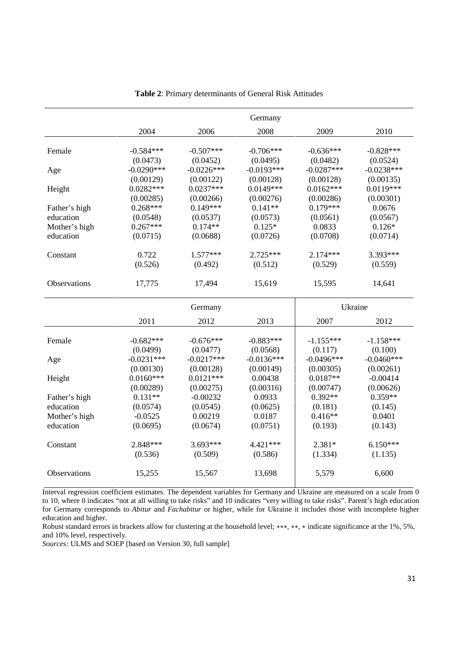|               |              |              | Germany      |              |              |
|---------------|--------------|--------------|--------------|--------------|--------------|
|               | 2004         | 2006         | 2008         | 2009         | 2010         |
| Female        | $-0.584***$  | $-0.507***$  | $-0.706***$  | $-0.636***$  | $-0.828***$  |
|               | (0.0473)     | (0.0452)     | (0.0495)     | (0.0482)     | (0.0524)     |
| Age           | $-0.0290***$ | $-0.0226***$ | $-0.0193***$ | $-0.0287***$ | $-0.0238***$ |
|               | (0.00129)    | (0.00122)    | (0.00128)    | (0.00128)    | (0.00135)    |
| Height        | $0.0282***$  | $0.0237***$  | $0.0149***$  | $0.0162***$  | $0.0119***$  |
|               | (0.00285)    | (0.00266)    | (0.00276)    | (0.00286)    | (0.00301)    |
| Father's high | $0.268***$   | $0.149***$   | $0.141**$    | $0.179***$   | 0.0676       |
| education     | (0.0548)     | (0.0537)     | (0.0573)     | (0.0561)     | (0.0567)     |
| Mother's high | $0.267***$   | $0.174**$    | $0.125*$     | 0.0833       | $0.126*$     |
| education     | (0.0715)     | (0.0688)     | (0.0726)     | (0.0708)     | (0.0714)     |
| Constant      | 0.722        | $1.577***$   | $2.725***$   | $2.174***$   | 3.393***     |
|               | (0.526)      | (0.492)      | (0.512)      | (0.529)      | (0.559)      |
| Observations  | 17,775       | 17,494       | 15,619       | 15,595       | 14,641       |
|               |              | Germany      |              |              | Ukraine      |
|               | 2011         | 2012         | 2013         | 2007         | 2012         |
| Female        | $-0.682***$  | $-0.676***$  | $-0.883***$  | $-1.155***$  | $-1.158***$  |
|               | (0.0499)     | (0.0477)     | (0.0568)     | (0.117)      | (0.100)      |
| Age           | $-0.0231***$ | $-0.0217***$ | $-0.0136***$ | $-0.0496***$ | $-0.0460***$ |
|               | (0.00130)    | (0.00128)    | (0.00149)    | (0.00305)    | (0.00261)    |
| Height        | $0.0160***$  | $0.0121***$  | 0.00438      | $0.0187**$   | $-0.00414$   |
|               | (0.00289)    | (0.00275)    | (0.00316)    | (0.00747)    | (0.00626)    |
| Father's high | $0.131**$    | $-0.00232$   | 0.0933       | $0.392**$    | $0.359**$    |
| education     | (0.0574)     | (0.0545)     | (0.0625)     | (0.181)      | (0.145)      |
| Mother's high | $-0.0525$    | 0.00219      | 0.0187       | $0.416**$    | 0.0401       |
| education     | (0.0695)     | (0.0674)     | (0.0751)     | (0.193)      | (0.143)      |
|               |              |              |              |              |              |
|               |              |              |              |              |              |
| Constant      | 2.848***     | $3.693***$   | $4.421***$   | $2.381*$     | $6.150***$   |
|               | (0.536)      | (0.509)      | (0.586)      | (1.334)      | (1.135)      |

**Table 2**: Primary determinants of General Risk Attitudes

Interval regression coefficient estimates. The dependent variables for Germany and Ukraine are measured on a scale from 0 to 10, where 0 indicates "not at all willing to take risks" and 10 indicates "very willing to take risks". Parent's high education for Germany corresponds to *Abitur* and *Fachabitur* or higher, while for Ukraine it includes those with incomplete higher education and higher.

Robust standard errors in brackets allow for clustering at the household level; \*\*\*, \*\*, \* indicate significance at the 1%, 5%, and 10% level, respectively.

*Sources:* ULMS and SOEP [based on Version 30, full sample]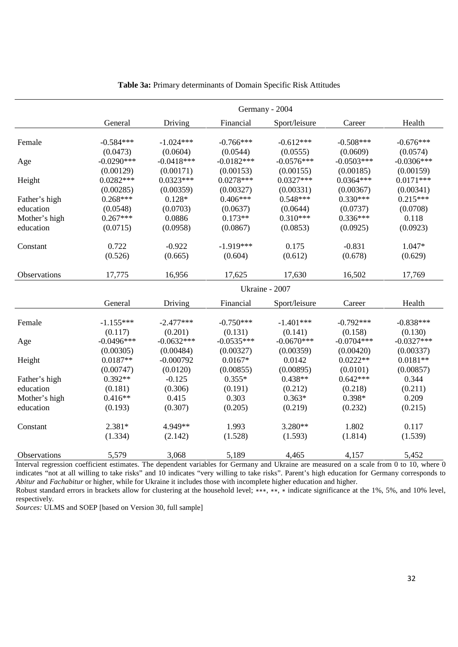|               | Germany - 2004 |              |              |               |              |              |  |  |
|---------------|----------------|--------------|--------------|---------------|--------------|--------------|--|--|
|               | General        | Driving      | Financial    | Sport/leisure | Career       | Health       |  |  |
| Female        | $-0.584***$    | $-1.024***$  | $-0.766***$  | $-0.612***$   | $-0.508***$  | $-0.676***$  |  |  |
|               | (0.0473)       | (0.0604)     | (0.0544)     | (0.0555)      | (0.0609)     | (0.0574)     |  |  |
| Age           | $-0.0290***$   | $-0.0418***$ | $-0.0182***$ | $-0.0576***$  | $-0.0503***$ | $-0.0306***$ |  |  |
|               | (0.00129)      | (0.00171)    | (0.00153)    | (0.00155)     | (0.00185)    | (0.00159)    |  |  |
| Height        | $0.0282***$    | $0.0323***$  | $0.0278***$  | $0.0327***$   | $0.0364***$  | $0.0171***$  |  |  |
|               | (0.00285)      | (0.00359)    | (0.00327)    | (0.00331)     | (0.00367)    | (0.00341)    |  |  |
| Father's high | $0.268***$     | $0.128*$     | $0.406***$   | $0.548***$    | $0.330***$   | $0.215***$   |  |  |
| education     | (0.0548)       | (0.0703)     | (0.0637)     | (0.0644)      | (0.0737)     | (0.0708)     |  |  |
| Mother's high | $0.267***$     | 0.0886       | $0.173**$    | $0.310***$    | $0.336***$   | 0.118        |  |  |
| education     | (0.0715)       | (0.0958)     | (0.0867)     | (0.0853)      | (0.0925)     | (0.0923)     |  |  |
| Constant      | 0.722          | $-0.922$     | $-1.919***$  | 0.175         | $-0.831$     | 1.047*       |  |  |
|               | (0.526)        | (0.665)      | (0.604)      | (0.612)       | (0.678)      | (0.629)      |  |  |
| Observations  | 17,775         | 16,956       | 17,625       | 17,630        | 16,502       | 17,769       |  |  |
|               | Ukraine - 2007 |              |              |               |              |              |  |  |
|               | General        | Driving      | Financial    | Sport/leisure | Career       | Health       |  |  |
| Female        | $-1.155***$    | $-2.477***$  | $-0.750***$  | $-1.401***$   | $-0.792***$  | $-0.838***$  |  |  |
|               | (0.117)        | (0.201)      | (0.131)      | (0.141)       | (0.158)      | (0.130)      |  |  |
| Age           | $-0.0496***$   | $-0.0632***$ | $-0.0535***$ | $-0.0670***$  | $-0.0704***$ | $-0.0327***$ |  |  |
|               | (0.00305)      | (0.00484)    | (0.00327)    | (0.00359)     | (0.00420)    | (0.00337)    |  |  |
| Height        | $0.0187**$     | $-0.000792$  | $0.0167*$    | 0.0142        | $0.0222**$   | $0.0181**$   |  |  |
|               | (0.00747)      | (0.0120)     | (0.00855)    | (0.00895)     | (0.0101)     | (0.00857)    |  |  |
| Father's high | $0.392**$      | $-0.125$     | $0.355*$     | $0.438**$     | $0.642***$   | 0.344        |  |  |
| education     | (0.181)        | (0.306)      | (0.191)      | (0.212)       | (0.218)      | (0.211)      |  |  |
| Mother's high | $0.416**$      | 0.415        | 0.303        | $0.363*$      | $0.398*$     | 0.209        |  |  |
| education     | (0.193)        | (0.307)      | (0.205)      | (0.219)       | (0.232)      | (0.215)      |  |  |
| Constant      | 2.381*         | 4.949**      | 1.993        | 3.280**       | 1.802        | 0.117        |  |  |
|               | (1.334)        | (2.142)      | (1.528)      | (1.593)       | (1.814)      | (1.539)      |  |  |
| Observations  | 5,579          | 3,068        | 5,189        | 4,465         | 4,157        | 5,452        |  |  |

**Table 3a:** Primary determinants of Domain Specific Risk Attitudes

Interval regression coefficient estimates. The dependent variables for Germany and Ukraine are measured on a scale from 0 to 10, where 0 indicates "not at all willing to take risks" and 10 indicates "very willing to take risks". Parent's high education for Germany corresponds to *Abitur* and *Fachabitur* or higher, while for Ukraine it includes those with incomplete higher education and higher.

Robust standard errors in brackets allow for clustering at the household level; \*\*\*, \*\*, \* indicate significance at the 1%, 5%, and 10% level, respectively.

*Sources:* ULMS and SOEP [based on Version 30, full sample]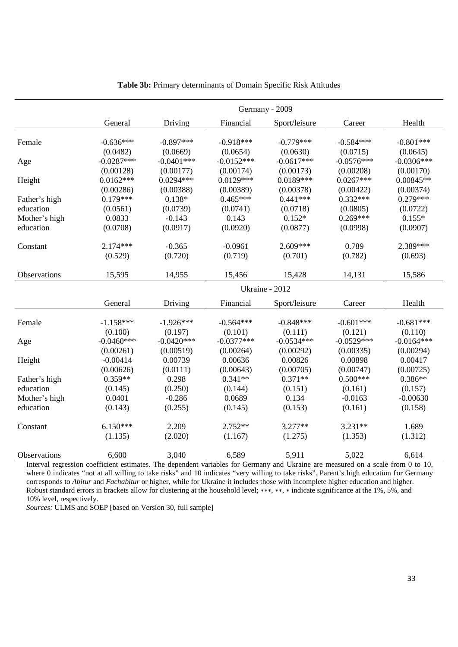|               | Germany - 2009 |              |              |               |              |              |  |  |
|---------------|----------------|--------------|--------------|---------------|--------------|--------------|--|--|
|               | General        | Driving      | Financial    | Sport/leisure | Career       | Health       |  |  |
| Female        | $-0.636***$    | $-0.897***$  | $-0.918***$  | $-0.779***$   | $-0.584***$  | $-0.801***$  |  |  |
|               | (0.0482)       | (0.0669)     | (0.0654)     | (0.0630)      | (0.0715)     | (0.0645)     |  |  |
| Age           | $-0.0287***$   | $-0.0401***$ | $-0.0152***$ | $-0.0617***$  | $-0.0576***$ | $-0.0306***$ |  |  |
|               | (0.00128)      | (0.00177)    | (0.00174)    | (0.00173)     | (0.00208)    | (0.00170)    |  |  |
| Height        | $0.0162***$    | $0.0294***$  | $0.0129***$  | $0.0189***$   | $0.0267***$  | $0.00845**$  |  |  |
|               | (0.00286)      | (0.00388)    | (0.00389)    | (0.00378)     | (0.00422)    | (0.00374)    |  |  |
| Father's high | $0.179***$     | $0.138*$     | $0.465***$   | $0.441***$    | $0.332***$   | $0.279***$   |  |  |
| education     | (0.0561)       | (0.0739)     | (0.0741)     | (0.0718)      | (0.0805)     | (0.0722)     |  |  |
| Mother's high | 0.0833         | $-0.143$     | 0.143        | $0.152*$      | $0.269***$   | $0.155*$     |  |  |
| education     | (0.0708)       | (0.0917)     | (0.0920)     | (0.0877)      | (0.0998)     | (0.0907)     |  |  |
| Constant      | $2.174***$     | $-0.365$     | $-0.0961$    | $2.609***$    | 0.789        | 2.389***     |  |  |
|               | (0.529)        | (0.720)      | (0.719)      | (0.701)       | (0.782)      | (0.693)      |  |  |
| Observations  | 15,595         | 14,955       | 15,456       | 15,428        | 14,131       | 15,586       |  |  |
|               | Ukraine - 2012 |              |              |               |              |              |  |  |
|               | General        | Driving      | Financial    | Sport/leisure | Career       | Health       |  |  |
| Female        | $-1.158***$    | $-1.926***$  | $-0.564***$  | $-0.848***$   | $-0.601***$  | $-0.681***$  |  |  |
|               | (0.100)        | (0.197)      | (0.101)      | (0.111)       | (0.121)      | (0.110)      |  |  |
| Age           | $-0.0460***$   | $-0.0420***$ | $-0.0377***$ | $-0.0534***$  | $-0.0529***$ | $-0.0164***$ |  |  |
|               | (0.00261)      | (0.00519)    | (0.00264)    | (0.00292)     | (0.00335)    | (0.00294)    |  |  |
| Height        | $-0.00414$     | 0.00739      | 0.00636      | 0.00826       | 0.00898      | 0.00417      |  |  |
|               | (0.00626)      | (0.0111)     | (0.00643)    | (0.00705)     | (0.00747)    | (0.00725)    |  |  |
| Father's high | $0.359**$      | 0.298        | $0.341**$    | $0.371**$     | $0.500***$   | $0.386**$    |  |  |
| education     | (0.145)        | (0.250)      | (0.144)      | (0.151)       | (0.161)      | (0.157)      |  |  |
| Mother's high | 0.0401         | $-0.286$     | 0.0689       | 0.134         | $-0.0163$    | $-0.00630$   |  |  |
| education     | (0.143)        | (0.255)      | (0.145)      | (0.153)       | (0.161)      | (0.158)      |  |  |
| Constant      | $6.150***$     | 2.209        | $2.752**$    | $3.277**$     | $3.231**$    | 1.689        |  |  |
|               | (1.135)        | (2.020)      | (1.167)      | (1.275)       | (1.353)      | (1.312)      |  |  |
| Observations  | 6,600          | 3,040        | 6,589        | 5,911         | 5,022        | 6,614        |  |  |

**Table 3b:** Primary determinants of Domain Specific Risk Attitudes

Interval regression coefficient estimates. The dependent variables for Germany and Ukraine are measured on a scale from 0 to 10, where 0 indicates "not at all willing to take risks" and 10 indicates "very willing to take risks". Parent's high education for Germany corresponds to *Abitur* and *Fachabitur* or higher, while for Ukraine it includes those with incomplete higher education and higher. Robust standard errors in brackets allow for clustering at the household level; \*\*\*, \*\*, \* indicate significance at the 1%, 5%, and 10% level, respectively.

*Sources:* ULMS and SOEP [based on Version 30, full sample]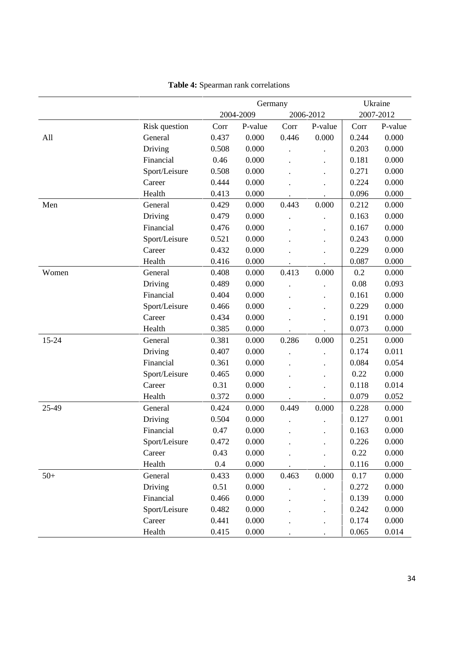|       |                      |       | Germany   | Ukraine |           |       |           |
|-------|----------------------|-------|-----------|---------|-----------|-------|-----------|
|       |                      |       | 2004-2009 |         | 2006-2012 |       | 2007-2012 |
|       | <b>Risk question</b> | Corr  | P-value   | Corr    | P-value   | Corr  | P-value   |
| All   | General              | 0.437 | 0.000     | 0.446   | 0.000     | 0.244 | 0.000     |
|       | Driving              | 0.508 | 0.000     |         |           | 0.203 | 0.000     |
|       | Financial            | 0.46  | 0.000     |         |           | 0.181 | 0.000     |
|       | Sport/Leisure        | 0.508 | 0.000     |         |           | 0.271 | 0.000     |
|       | Career               | 0.444 | 0.000     |         |           | 0.224 | 0.000     |
|       | Health               | 0.413 | 0.000     |         |           | 0.096 | 0.000     |
| Men   | General              | 0.429 | 0.000     | 0.443   | 0.000     | 0.212 | 0.000     |
|       | Driving              | 0.479 | 0.000     |         |           | 0.163 | 0.000     |
|       | Financial            | 0.476 | 0.000     |         |           | 0.167 | 0.000     |
|       | Sport/Leisure        | 0.521 | 0.000     |         |           | 0.243 | 0.000     |
|       | Career               | 0.432 | 0.000     |         |           | 0.229 | 0.000     |
|       | Health               | 0.416 | 0.000     |         |           | 0.087 | 0.000     |
| Women | General              | 0.408 | 0.000     | 0.413   | 0.000     | 0.2   | 0.000     |
|       | Driving              | 0.489 | 0.000     |         |           | 0.08  | 0.093     |
|       | Financial            | 0.404 | 0.000     |         |           | 0.161 | 0.000     |
|       | Sport/Leisure        | 0.466 | 0.000     |         |           | 0.229 | 0.000     |
|       | Career               | 0.434 | 0.000     |         |           | 0.191 | 0.000     |
|       | Health               | 0.385 | 0.000     |         |           | 0.073 | 0.000     |
| 15-24 | General              | 0.381 | 0.000     | 0.286   | 0.000     | 0.251 | 0.000     |
|       | Driving              | 0.407 | 0.000     |         |           | 0.174 | 0.011     |
|       | Financial            | 0.361 | 0.000     |         |           | 0.084 | 0.054     |
|       | Sport/Leisure        | 0.465 | 0.000     |         |           | 0.22  | 0.000     |
|       | Career               | 0.31  | 0.000     |         |           | 0.118 | 0.014     |
|       | Health               | 0.372 | $0.000\,$ |         |           | 0.079 | 0.052     |
| 25-49 | General              | 0.424 | 0.000     | 0.449   | 0.000     | 0.228 | 0.000     |
|       | Driving              | 0.504 | 0.000     |         |           | 0.127 | 0.001     |
|       | Financial            | 0.47  | 0.000     |         |           | 0.163 | 0.000     |
|       | Sport/Leisure        | 0.472 | 0.000     |         |           | 0.226 | 0.000     |
|       | Career               | 0.43  | 0.000     |         |           | 0.22  | 0.000     |
|       | Health               | 0.4   | 0.000     |         |           | 0.116 | 0.000     |
| $50+$ | General              | 0.433 | 0.000     | 0.463   | 0.000     | 0.17  | 0.000     |
|       | Driving              | 0.51  | 0.000     |         |           | 0.272 | 0.000     |
|       | Financial            | 0.466 | 0.000     |         |           | 0.139 | 0.000     |
|       | Sport/Leisure        | 0.482 | 0.000     |         |           | 0.242 | 0.000     |
|       | Career               | 0.441 | 0.000     |         |           | 0.174 | 0.000     |
|       | Health               | 0.415 | 0.000     |         |           | 0.065 | 0.014     |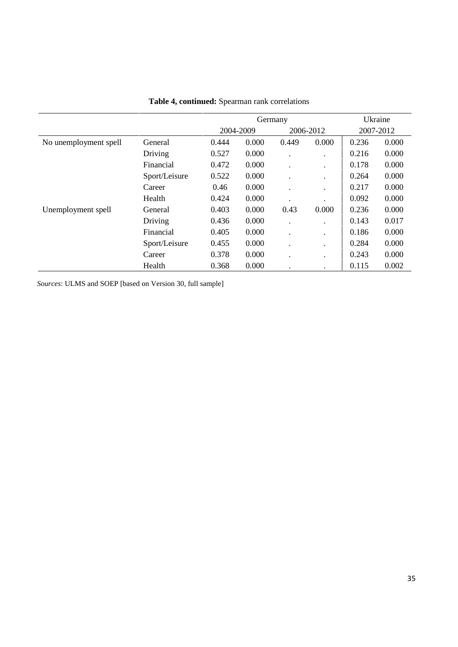|                       |               |       | Germany   | Ukraine              |           |           |       |
|-----------------------|---------------|-------|-----------|----------------------|-----------|-----------|-------|
|                       |               |       | 2004-2009 |                      | 2006-2012 | 2007-2012 |       |
| No unemployment spell | General       | 0.444 | 0.000     | 0.449                | 0.000     | 0.236     | 0.000 |
|                       | Driving       | 0.527 | 0.000     | $\ddot{\phantom{0}}$ | $\cdot$   | 0.216     | 0.000 |
|                       | Financial     | 0.472 | 0.000     | $\bullet$            | $\cdot$   | 0.178     | 0.000 |
|                       | Sport/Leisure | 0.522 | 0.000     | $\ddot{\phantom{1}}$ | $\cdot$   | 0.264     | 0.000 |
|                       | Career        | 0.46  | 0.000     | $\ddot{\phantom{0}}$ | $\cdot$   | 0.217     | 0.000 |
|                       | Health        | 0.424 | 0.000     |                      |           | 0.092     | 0.000 |
| Unemployment spell    | General       | 0.403 | 0.000     | 0.43                 | 0.000     | 0.236     | 0.000 |
|                       | Driving       | 0.436 | 0.000     | $\ddot{\phantom{0}}$ | $\cdot$   | 0.143     | 0.017 |
|                       | Financial     | 0.405 | 0.000     | $\bullet$            | $\cdot$   | 0.186     | 0.000 |
|                       | Sport/Leisure | 0.455 | 0.000     | $\ddot{\phantom{0}}$ | $\cdot$   | 0.284     | 0.000 |
|                       | Career        | 0.378 | 0.000     | $\bullet$            | $\cdot$   | 0.243     | 0.000 |
|                       | Health        | 0.368 | 0.000     | $\bullet$            | $\bullet$ | 0.115     | 0.002 |

**Table 4, continued:** Spearman rank correlations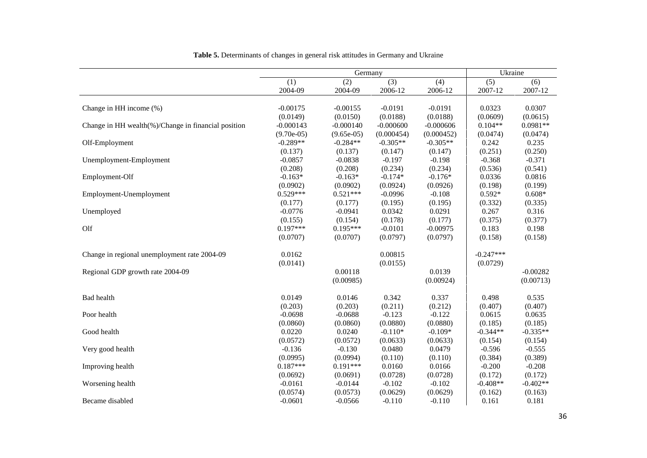|                                                     |                | Germany        |                |                | Ukraine        |                |  |
|-----------------------------------------------------|----------------|----------------|----------------|----------------|----------------|----------------|--|
|                                                     | (1)<br>2004-09 | (2)<br>2004-09 | (3)<br>2006-12 | (4)<br>2006-12 | (5)<br>2007-12 | (6)<br>2007-12 |  |
|                                                     |                |                |                |                |                |                |  |
| Change in HH income (%)                             | $-0.00175$     | $-0.00155$     | $-0.0191$      | $-0.0191$      | 0.0323         | 0.0307         |  |
|                                                     | (0.0149)       | (0.0150)       | (0.0188)       | (0.0188)       | (0.0609)       | (0.0615)       |  |
| Change in HH wealth(%)/Change in financial position | $-0.000143$    | $-0.000140$    | $-0.000600$    | $-0.000606$    | $0.104**$      | $0.0981**$     |  |
|                                                     | $(9.70e-05)$   | $(9.65e-05)$   | (0.000454)     | (0.000452)     | (0.0474)       | (0.0474)       |  |
| Olf-Employment                                      | $-0.289**$     | $-0.284**$     | $-0.305**$     | $-0.305**$     | 0.242          | 0.235          |  |
|                                                     | (0.137)        | (0.137)        | (0.147)        | (0.147)        | (0.251)        | (0.250)        |  |
| Unemployment-Employment                             | $-0.0857$      | $-0.0838$      | $-0.197$       | $-0.198$       | $-0.368$       | $-0.371$       |  |
|                                                     | (0.208)        | (0.208)        | (0.234)        | (0.234)        | (0.536)        | (0.541)        |  |
| Employment-Olf                                      | $-0.163*$      | $-0.163*$      | $-0.174*$      | $-0.176*$      | 0.0336         | 0.0816         |  |
|                                                     | (0.0902)       | (0.0902)       | (0.0924)       | (0.0926)       | (0.198)        | (0.199)        |  |
| Employment-Unemployment                             | $0.529***$     | $0.521***$     | $-0.0996$      | $-0.108$       | $0.592*$       | $0.608*$       |  |
|                                                     | (0.177)        | (0.177)        | (0.195)        | (0.195)        | (0.332)        | (0.335)        |  |
| Unemployed                                          | $-0.0776$      | $-0.0941$      | 0.0342         | 0.0291         | 0.267          | 0.316          |  |
|                                                     | (0.155)        | (0.154)        | (0.178)        | (0.177)        | (0.375)        | (0.377)        |  |
| Olf                                                 | $0.197***$     | $0.195***$     | $-0.0101$      | $-0.00975$     | 0.183          | 0.198          |  |
|                                                     | (0.0707)       | (0.0707)       | (0.0797)       | (0.0797)       | (0.158)        | (0.158)        |  |
| Change in regional unemployment rate 2004-09        | 0.0162         |                | 0.00815        |                | $-0.247***$    |                |  |
|                                                     | (0.0141)       |                | (0.0155)       |                | (0.0729)       |                |  |
| Regional GDP growth rate 2004-09                    |                | 0.00118        |                | 0.0139         |                | $-0.00282$     |  |
|                                                     |                | (0.00985)      |                | (0.00924)      |                | (0.00713)      |  |
| Bad health                                          | 0.0149         | 0.0146         | 0.342          | 0.337          | 0.498          | 0.535          |  |
|                                                     | (0.203)        | (0.203)        | (0.211)        | (0.212)        | (0.407)        | (0.407)        |  |
| Poor health                                         | $-0.0698$      | $-0.0688$      | $-0.123$       | $-0.122$       | 0.0615         | 0.0635         |  |
|                                                     | (0.0860)       | (0.0860)       | (0.0880)       | (0.0880)       | (0.185)        | (0.185)        |  |
| Good health                                         | 0.0220         | 0.0240         | $-0.110*$      | $-0.109*$      | $-0.344**$     | $-0.335**$     |  |
|                                                     | (0.0572)       | (0.0572)       | (0.0633)       | (0.0633)       | (0.154)        | (0.154)        |  |
| Very good health                                    | $-0.136$       | $-0.130$       | 0.0480         | 0.0479         | $-0.596$       | $-0.555$       |  |
|                                                     | (0.0995)       | (0.0994)       | (0.110)        | (0.110)        | (0.384)        | (0.389)        |  |
| Improving health                                    | $0.187***$     | $0.191***$     | 0.0160         | 0.0166         | $-0.200$       | $-0.208$       |  |
|                                                     | (0.0692)       | (0.0691)       | (0.0728)       | (0.0728)       | (0.172)        | (0.172)        |  |
| Worsening health                                    | $-0.0161$      | $-0.0144$      | $-0.102$       | $-0.102$       | $-0.408**$     | $-0.402**$     |  |
|                                                     | (0.0574)       | (0.0573)       | (0.0629)       | (0.0629)       | (0.162)        | (0.163)        |  |
| Became disabled                                     | $-0.0601$      | $-0.0566$      | $-0.110$       | $-0.110$       | 0.161          | 0.181          |  |

|  |  | <b>Table 5.</b> Determinants of changes in general risk attitudes in Germany and Ukraine |
|--|--|------------------------------------------------------------------------------------------|
|--|--|------------------------------------------------------------------------------------------|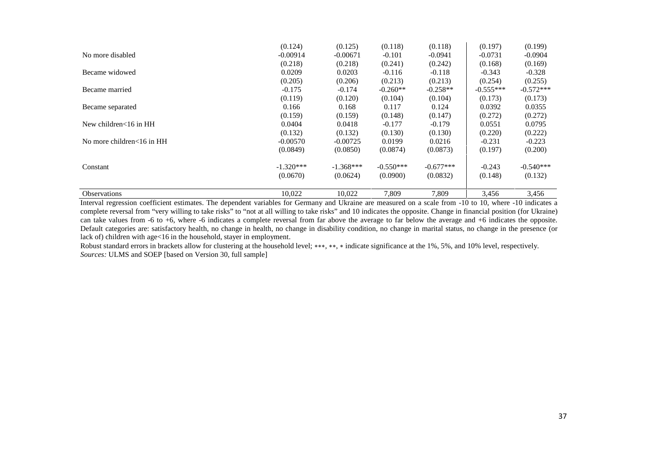|                               | (0.124)     | (0.125)     | (0.118)     | (0.118)     | (0.197)     | (0.199)     |
|-------------------------------|-------------|-------------|-------------|-------------|-------------|-------------|
| No more disabled              | $-0.00914$  | $-0.00671$  | $-0.101$    | $-0.0941$   | $-0.0731$   | $-0.0904$   |
|                               | (0.218)     | (0.218)     | (0.241)     | (0.242)     | (0.168)     | (0.169)     |
| Became widowed                | 0.0209      | 0.0203      | $-0.116$    | $-0.118$    | $-0.343$    | $-0.328$    |
|                               | (0.205)     | (0.206)     | (0.213)     | (0.213)     | (0.254)     | (0.255)     |
| Became married                | $-0.175$    | $-0.174$    | $-0.260**$  | $-0.258**$  | $-0.555***$ | $-0.572***$ |
|                               | (0.119)     | (0.120)     | (0.104)     | (0.104)     | (0.173)     | (0.173)     |
| Became separated              | 0.166       | 0.168       | 0.117       | 0.124       | 0.0392      | 0.0355      |
|                               | (0.159)     | (0.159)     | (0.148)     | (0.147)     | (0.272)     | (0.272)     |
| New children $<$ 16 in HH     | 0.0404      | 0.0418      | $-0.177$    | $-0.179$    | 0.0551      | 0.0795      |
|                               | (0.132)     | (0.132)     | (0.130)     | (0.130)     | (0.220)     | (0.222)     |
| No more children $<$ 16 in HH | $-0.00570$  | $-0.00725$  | 0.0199      | 0.0216      | $-0.231$    | $-0.223$    |
|                               | (0.0849)    | (0.0850)    | (0.0874)    | (0.0873)    | (0.197)     | (0.200)     |
| Constant                      | $-1.320***$ | $-1.368***$ | $-0.550***$ | $-0.677***$ | $-0.243$    | $-0.540***$ |
|                               | (0.0670)    | (0.0624)    | (0.0900)    | (0.0832)    | (0.148)     | (0.132)     |
| Observations                  | 10,022      | 10,022      | 7,809       | 7,809       | 3,456       | 3,456       |

Interval regression coefficient estimates. The dependent variables for Germany and Ukraine are measured on a scale from -10 to 10, where -10 indicates a complete reversal from "very willing to take risks" to "not at all willing to take risks" and 10 indicates the opposite. Change in financial position (for Ukraine) can take values from -6 to +6, where -6 indicates a complete reversal from far above the average to far below the average and +6 indicates the opposite. Default categories are: satisfactory health, no change in health, no change in disability condition, no change in marital status, no change in the presence (or lack of) children with age<16 in the household, stayer in employment.

Robust standard errors in brackets allow for clustering at the household level; \*\*\*, \*\*, \* indicate significance at the 1%, 5%, and 10% level, respectively. *Sources:* ULMS and SOEP [based on Version 30, full sample]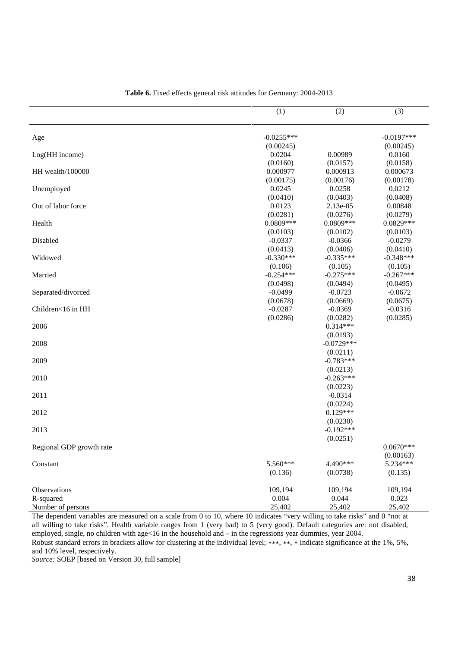|                          | (1)                   | (2)                     | (3)                     |
|--------------------------|-----------------------|-------------------------|-------------------------|
| Age                      | $-0.0255***$          |                         | $-0.0197***$            |
|                          | (0.00245)             |                         | (0.00245)               |
| Log(HH income)           | 0.0204                | 0.00989                 | 0.0160                  |
|                          | (0.0160)              | (0.0157)                | (0.0158)                |
| HH wealth/100000         | 0.000977              | 0.000913                | 0.000673                |
|                          | (0.00175)             | (0.00176)               | (0.00178)               |
| Unemployed               | 0.0245                | 0.0258                  | 0.0212                  |
|                          | (0.0410)              | (0.0403)                | (0.0408)                |
| Out of labor force       | 0.0123                | 2.13e-05                | 0.00848                 |
|                          | (0.0281)              | (0.0276)                | (0.0279)                |
| Health                   | $0.0809***$           | $0.0809***$             | $0.0829***$             |
|                          | (0.0103)              | (0.0102)                | (0.0103)                |
| Disabled                 | $-0.0337$<br>(0.0413) | $-0.0366$               | $-0.0279$               |
| Widowed                  | $-0.330***$           | (0.0406)<br>$-0.335***$ | (0.0410)<br>$-0.348***$ |
|                          | (0.106)               | (0.105)                 | (0.105)                 |
| Married                  | $-0.254***$           | $-0.275***$             | $-0.267***$             |
|                          | (0.0498)              | (0.0494)                | (0.0495)                |
| Separated/divorced       | $-0.0499$             | $-0.0723$               | $-0.0672$               |
|                          | (0.0678)              | (0.0669)                | (0.0675)                |
| Children<16 in HH        | $-0.0287$             | $-0.0369$               | $-0.0316$               |
|                          | (0.0286)              | (0.0282)                | (0.0285)                |
| 2006                     |                       | $0.314***$              |                         |
|                          |                       | (0.0193)                |                         |
| 2008                     |                       | $-0.0729***$            |                         |
|                          |                       | (0.0211)                |                         |
| 2009                     |                       | $-0.783***$             |                         |
| 2010                     |                       | (0.0213)<br>$-0.263***$ |                         |
|                          |                       | (0.0223)                |                         |
| 2011                     |                       | $-0.0314$               |                         |
|                          |                       | (0.0224)                |                         |
| 2012                     |                       | $0.129***$              |                         |
|                          |                       | (0.0230)                |                         |
| 2013                     |                       | $-0.192***$             |                         |
|                          |                       | (0.0251)                |                         |
| Regional GDP growth rate |                       |                         | $0.0670***$             |
|                          |                       |                         | (0.00163)               |
| Constant                 | 5.560***              | 4.490***                | 5.234***                |
|                          | (0.136)               | (0.0738)                | (0.135)                 |
| Observations             | 109,194               | 109,194                 | 109,194                 |
| R-squared                | 0.004                 | 0.044                   | 0.023                   |
| Number of persons        | 25,402                | 25,402                  | 25,402                  |
|                          |                       |                         |                         |

**Table 6.** Fixed effects general risk attitudes for Germany: 2004-2013

The dependent variables are measured on a scale from 0 to 10, where 10 indicates "very willing to take risks" and 0 "not at all willing to take risks". Health variable ranges from 1 (very bad) to 5 (very good). Default categories are: not disabled, employed, single, no children with age<16 in the household and – in the regressions year dummies, year 2004.

Robust standard errors in brackets allow for clustering at the individual level; \*\*\*, \*\*, \* indicate significance at the 1%, 5%, and 10% level, respectively.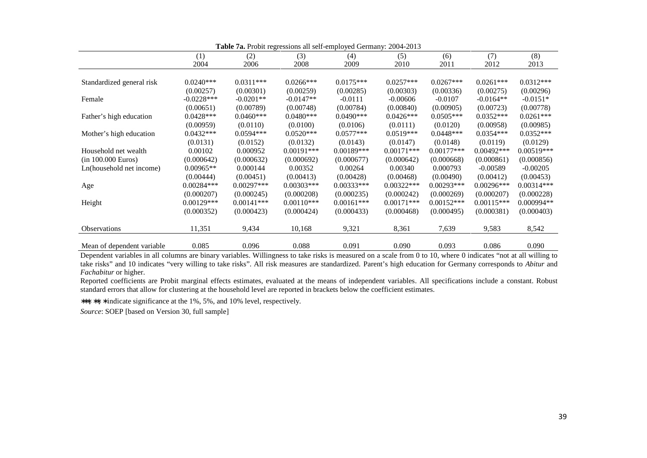| <b>Table 7a.</b> Probit regressions all self-employed Germany: 2004-2013 |                                                   |                                                  |                                                                |                                                              |                                                 |                                                             |                                                  |  |
|--------------------------------------------------------------------------|---------------------------------------------------|--------------------------------------------------|----------------------------------------------------------------|--------------------------------------------------------------|-------------------------------------------------|-------------------------------------------------------------|--------------------------------------------------|--|
| (1)                                                                      | (2)                                               | (3)                                              | (4)                                                            | (5)                                                          | (6)                                             | (7)                                                         | (8)                                              |  |
| 2004                                                                     | 2006                                              | 2008                                             | 2009                                                           | 2010                                                         | 2011                                            | 2012                                                        | 2013                                             |  |
|                                                                          |                                                   |                                                  |                                                                |                                                              |                                                 |                                                             | $0.0312***$                                      |  |
|                                                                          |                                                   |                                                  |                                                                |                                                              |                                                 |                                                             | (0.00296)                                        |  |
|                                                                          |                                                   |                                                  |                                                                |                                                              |                                                 |                                                             | $-0.0151*$                                       |  |
| (0.00651)                                                                | (0.00789)                                         | (0.00748)                                        | (0.00784)                                                      | (0.00840)                                                    |                                                 | (0.00723)                                                   | (0.00778)                                        |  |
| $0.0428***$                                                              | $0.0460***$                                       | $0.0480***$                                      | $0.0490***$                                                    | $0.0426***$                                                  | $0.0505***$                                     | $0.0352***$                                                 | $0.0261***$                                      |  |
| (0.00959)                                                                | (0.0110)                                          | (0.0100)                                         | (0.0106)                                                       | (0.0111)                                                     | (0.0120)                                        | (0.00958)                                                   | (0.00985)                                        |  |
| $0.0432***$                                                              | $0.0594***$                                       | $0.0520***$                                      | $0.0577***$                                                    | $0.0519***$                                                  | $0.0448***$                                     | $0.0354***$                                                 | $0.0352***$                                      |  |
| (0.0131)                                                                 | (0.0152)                                          | (0.0132)                                         | (0.0143)                                                       | (0.0147)                                                     | (0.0148)                                        | (0.0119)                                                    | (0.0129)                                         |  |
| 0.00102                                                                  | 0.000952                                          | $0.00191***$                                     | $0.00189***$                                                   | $0.00171***$                                                 | $0.00177***$                                    | $0.00492***$                                                | $0.00519***$                                     |  |
| (0.000642)                                                               | (0.000632)                                        | (0.000692)                                       | (0.000677)                                                     | (0.000642)                                                   | (0.000668)                                      | (0.000861)                                                  | (0.000856)                                       |  |
| $0.00965**$                                                              | 0.000144                                          | 0.00352                                          | 0.00264                                                        | 0.00340                                                      | 0.000793                                        | $-0.00589$                                                  | $-0.00205$                                       |  |
| (0.00444)                                                                | (0.00451)                                         | (0.00413)                                        | (0.00428)                                                      | (0.00468)                                                    | (0.00490)                                       | (0.00412)                                                   | (0.00453)                                        |  |
| $0.00284***$                                                             | $0.00297***$                                      | $0.00303***$                                     | $0.00333***$                                                   | $0.00322***$                                                 | $0.00293***$                                    | $0.00296***$                                                | $0.00314***$                                     |  |
| (0.000207)                                                               | (0.000245)                                        |                                                  |                                                                | (0.000242)                                                   | (0.000269)                                      | (0.000207)                                                  | (0.000228)                                       |  |
| $0.00129***$                                                             | $0.00141***$                                      | $0.00110***$                                     | $0.00161***$                                                   | $0.00171***$                                                 | $0.00152***$                                    | $0.00115***$                                                | 0.000994**                                       |  |
| (0.000352)                                                               | (0.000423)                                        | (0.000424)                                       | (0.000433)                                                     | (0.000468)                                                   | (0.000495)                                      | (0.000381)                                                  | (0.000403)                                       |  |
| 11,351                                                                   | 9,434                                             | 10,168                                           | 9,321                                                          | 8,361                                                        | 7,639                                           | 9,583                                                       | 8,542                                            |  |
|                                                                          |                                                   |                                                  |                                                                |                                                              |                                                 |                                                             | 0.090                                            |  |
|                                                                          | $0.0240***$<br>(0.00257)<br>$-0.0228***$<br>0.085 | $0.0311***$<br>(0.00301)<br>$-0.0201**$<br>0.096 | $0.0266***$<br>(0.00259)<br>$-0.0147**$<br>(0.000208)<br>0.088 | $0.0175***$<br>(0.00285)<br>$-0.0111$<br>(0.000235)<br>0.091 | $0.0257***$<br>(0.00303)<br>$-0.00606$<br>0.090 | $0.0267***$<br>(0.00336)<br>$-0.0107$<br>(0.00905)<br>0.093 | $0.0261***$<br>(0.00275)<br>$-0.0164**$<br>0.086 |  |

**Table 7a.** Probit regressions all self-employed Germany: 2004-2013

Dependent variables in all columns are binary variables. Willingness to take risks is measured on a scale from 0 to 10, where 0 indicates "not at all willing to take risks" and 10 indicates "very willing to take risks". All risk measures are standardized. Parent's high education for Germany corresponds to *Abitur* and *Fachabitur* or higher.

Reported coefficients are Probit marginal effects estimates, evaluated at the means of independent variables. All specifications include a constant. Robust standard errors that allow for clustering at the household level are reported in brackets below the coefficient estimates.

∗∗∗, ∗∗, indicate significance at the 1%, 5%, and 10% level, respectively.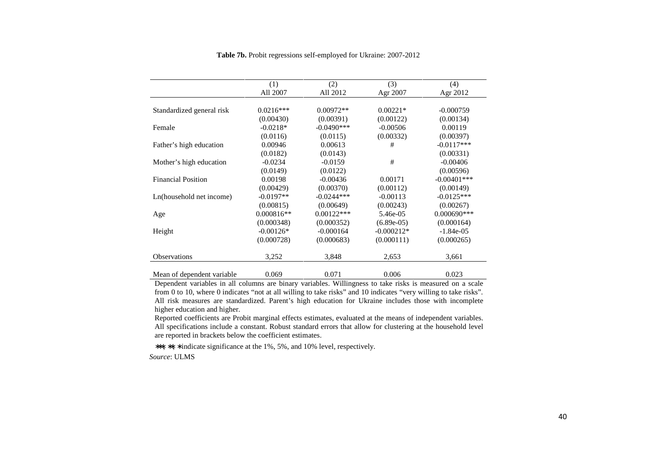|                            | (1)          | (2)          | (3)          | (4)            |
|----------------------------|--------------|--------------|--------------|----------------|
|                            | All 2007     | All 2012     | Agr 2007     | Agr 2012       |
|                            |              |              |              |                |
| Standardized general risk  | $0.0216***$  | $0.00972**$  | $0.00221*$   | $-0.000759$    |
|                            | (0.00430)    | (0.00391)    | (0.00122)    | (0.00134)      |
| Female                     | $-0.0218*$   | $-0.0490***$ | $-0.00506$   | 0.00119        |
|                            | (0.0116)     | (0.0115)     | (0.00332)    | (0.00397)      |
| Father's high education    | 0.00946      | 0.00613      | #            | $-0.0117***$   |
|                            | (0.0182)     | (0.0143)     |              | (0.00331)      |
| Mother's high education    | $-0.0234$    | $-0.0159$    | #            | $-0.00406$     |
|                            | (0.0149)     | (0.0122)     |              | (0.00596)      |
| <b>Financial Position</b>  | 0.00198      | $-0.00436$   | 0.00171      | $-0.00401$ *** |
|                            | (0.00429)    | (0.00370)    | (0.00112)    | (0.00149)      |
| Ln(household net income)   | $-0.0197**$  | $-0.0244***$ | $-0.00113$   | $-0.0125***$   |
|                            | (0.00815)    | (0.00649)    | (0.00243)    | (0.00267)      |
| Age                        | $0.000816**$ | $0.00122***$ | 5.46e-05     | $0.000690***$  |
|                            | (0.000348)   | (0.000352)   | $(6.89e-05)$ | (0.000164)     |
| Height                     | $-0.00126*$  | $-0.000164$  | $-0.000212*$ | $-1.84e-05$    |
|                            | (0.000728)   | (0.000683)   | (0.000111)   | (0.000265)     |
| <b>Observations</b>        | 3,252        | 3,848        | 2,653        | 3,661          |
| Mean of dependent variable | 0.069        | 0.071        | 0.006        | 0.023          |

**Table 7b.** Probit regressions self-employed for Ukraine: 2007-2012

Dependent variables in all columns are binary variables. Willingness to take risks is measured on a scale from 0 to 10, where 0 indicates "not at all willing to take risks" and 10 indicates "very willing to take risks". All risk measures are standardized. Parent's high education for Ukraine includes those with incomplete higher education and higher.

Reported coefficients are Probit marginal effects estimates, evaluated at the means of independent variables. All specifications include a constant. Robust standard errors that allow for clustering at the household level are reported in brackets below the coefficient estimates.

• • indicate significance at the 1%, 5%, and 10% level, respectively. *Source*: ULMS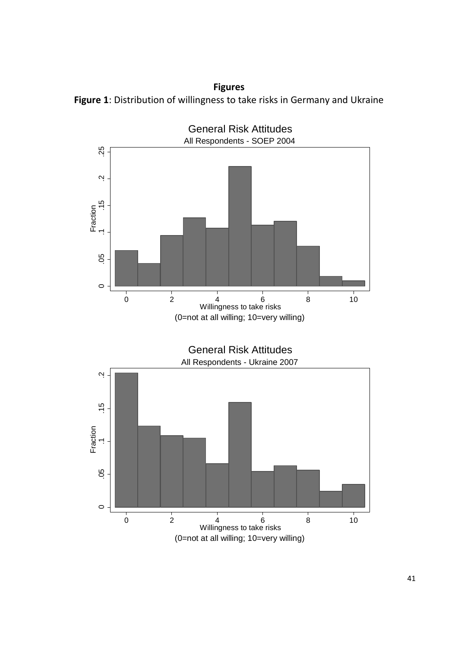**Figures Figure 1**: Distribution of willingness to take risks in Germany and Ukraine

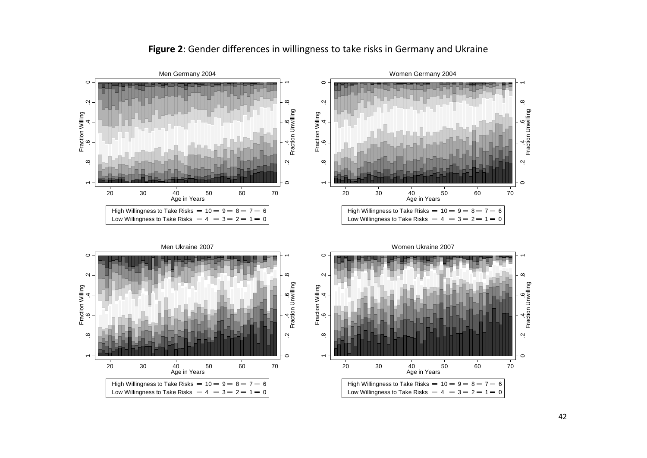

### **Figure 2**: Gender differences in willingness to take risks in Germany and Ukraine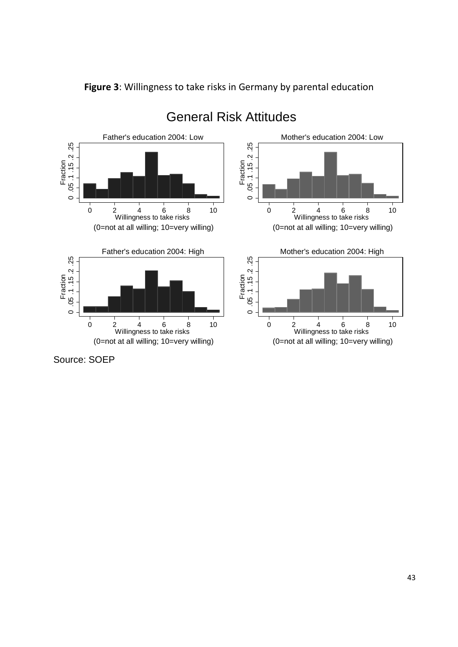

## General Risk Attitudes

**Figure 3**: Willingness to take risks in Germany by parental education

Source: SOEP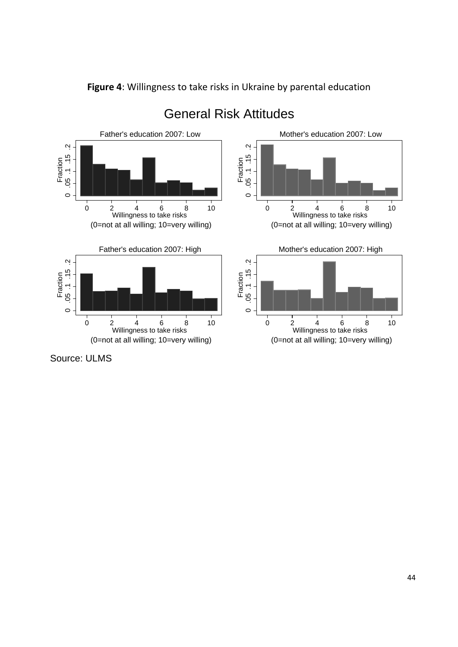

# General Risk Attitudes

**Figure 4**: Willingness to take risks in Ukraine by parental education

Source: ULMS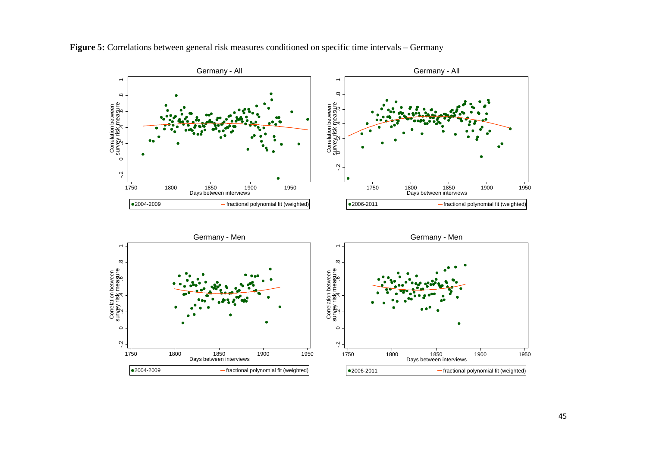

**Figure 5:** Correlations between general risk measures conditioned on specific time intervals – Germany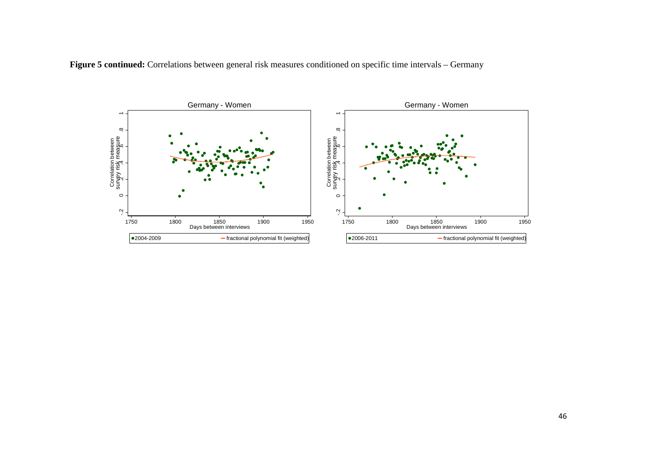**Figure 5 continued:** Correlations between general risk measures conditioned on specific time intervals – Germany

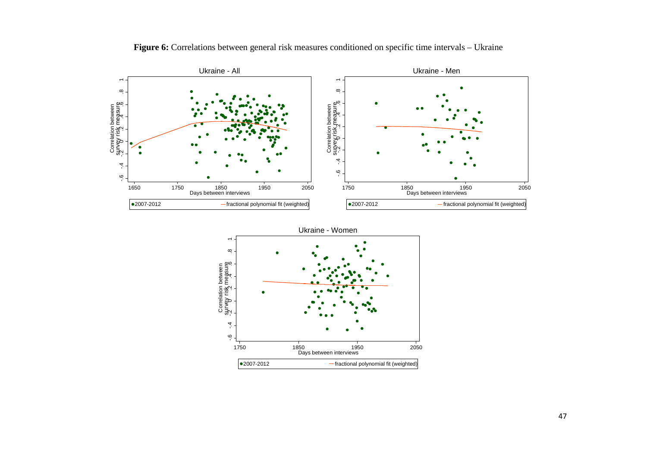

**Figure 6:** Correlations between general risk measures conditioned on specific time intervals – Ukraine

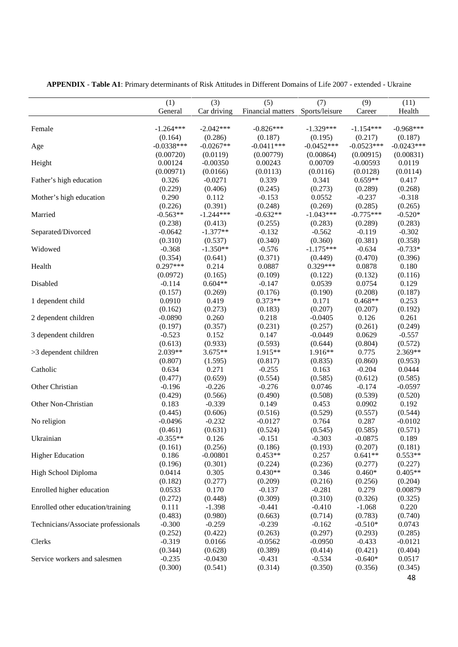|                                     | (1)          | (3)         | (5)               | (7)            | (9)          | (11)         |
|-------------------------------------|--------------|-------------|-------------------|----------------|--------------|--------------|
|                                     | General      | Car driving | Financial matters | Sports/leisure | Career       | Health       |
|                                     |              |             |                   |                |              |              |
| Female                              | $-1.264***$  | $-2.042***$ | $-0.826***$       | $-1.329***$    | $-1.154***$  | $-0.968***$  |
|                                     | (0.164)      | (0.286)     | (0.187)           | (0.195)        | (0.217)      | (0.187)      |
| Age                                 | $-0.0338***$ | $-0.0267**$ | $-0.0411***$      | $-0.0452***$   | $-0.0523***$ | $-0.0243***$ |
|                                     | (0.00720)    | (0.0119)    | (0.00779)         | (0.00864)      | (0.00915)    | (0.00831)    |
| Height                              | 0.00124      | $-0.00350$  | 0.00243           | 0.00709        | $-0.00593$   | 0.0119       |
|                                     | (0.00971)    | (0.0166)    | (0.0113)          | (0.0116)       | (0.0128)     | (0.0114)     |
| Father's high education             | 0.326        | $-0.0271$   | 0.339             | 0.341          | $0.659**$    | 0.417        |
|                                     | (0.229)      | (0.406)     | (0.245)           | (0.273)        | (0.289)      | (0.268)      |
| Mother's high education             | 0.290        | 0.112       | $-0.153$          | 0.0552         | $-0.237$     | $-0.318$     |
|                                     | (0.226)      | (0.391)     | (0.248)           | (0.269)        | (0.285)      | (0.265)      |
| Married                             | $-0.563**$   | $-1.244***$ | $-0.632**$        | $-1.043***$    | $-0.775***$  | $-0.520*$    |
|                                     | (0.238)      | (0.413)     | (0.255)           | (0.283)        | (0.289)      | (0.283)      |
| Separated/Divorced                  | $-0.0642$    | $-1.377**$  | $-0.132$          | $-0.562$       | $-0.119$     | $-0.302$     |
|                                     | (0.310)      | (0.537)     | (0.340)           | (0.360)        | (0.381)      | (0.358)      |
| Widowed                             | $-0.368$     | $-1.350**$  | $-0.576$          | $-1.175***$    | $-0.634$     | $-0.733*$    |
|                                     | (0.354)      | (0.641)     | (0.371)           | (0.449)        | (0.470)      | (0.396)      |
| Health                              | $0.297***$   | 0.214       | 0.0887            | $0.329***$     | 0.0878       | 0.180        |
|                                     | (0.0972)     | (0.165)     | (0.109)           | (0.122)        | (0.132)      | (0.116)      |
| Disabled                            | $-0.114$     | $0.604**$   | $-0.147$          | 0.0539         | 0.0754       | 0.129        |
|                                     | (0.157)      | (0.269)     | (0.176)           | (0.190)        | (0.208)      | (0.187)      |
| 1 dependent child                   | 0.0910       | 0.419       | $0.373**$         | 0.171          | $0.468**$    | 0.253        |
|                                     | (0.162)      | (0.273)     | (0.183)           | (0.207)        | (0.207)      | (0.192)      |
| 2 dependent children                | $-0.0890$    | 0.260       | 0.218             | $-0.0405$      | 0.126        | 0.261        |
|                                     | (0.197)      | (0.357)     | (0.231)           | (0.257)        | (0.261)      | (0.249)      |
| 3 dependent children                | $-0.523$     | 0.152       | 0.147             | $-0.0449$      | 0.0629       | $-0.557$     |
|                                     | (0.613)      | (0.933)     | (0.593)           | (0.644)        | (0.804)      | (0.572)      |
| >3 dependent children               | 2.039**      | $3.675**$   | 1.915**           | 1.916**        | 0.775        | 2.369**      |
|                                     | (0.807)      | (1.595)     | (0.817)           | (0.835)        | (0.860)      | (0.953)      |
| Catholic                            | 0.634        | 0.271       | $-0.255$          | 0.163          | $-0.204$     | 0.0444       |
|                                     | (0.477)      | (0.659)     | (0.554)           | (0.585)        | (0.612)      | (0.585)      |
| Other Christian                     | $-0.196$     | $-0.226$    | $-0.276$          | 0.0746         | $-0.174$     | $-0.0597$    |
|                                     |              |             |                   |                |              |              |
|                                     | (0.429)      | (0.566)     | (0.490)           | (0.508)        | (0.539)      | (0.520)      |
| Other Non-Christian                 | 0.183        | $-0.339$    | 0.149             | 0.453          | 0.0902       | 0.192        |
|                                     | (0.445)      | (0.606)     | (0.516)           | (0.529)        | (0.557)      | (0.544)      |
| No religion                         | $-0.0496$    | $-0.232$    | $-0.0127$         | 0.764          | 0.287        | $-0.0102$    |
|                                     | (0.461)      | (0.631)     | (0.524)           | (0.545)        | (0.585)      | (0.571)      |
| Ukrainian                           | $-0.355**$   | 0.126       | $-0.151$          | $-0.303$       | $-0.0875$    | 0.189        |
|                                     | (0.161)      | (0.256)     | (0.186)           | (0.193)        | (0.207)      | (0.181)      |
| <b>Higher Education</b>             | 0.186        | $-0.00801$  | $0.453**$         | 0.257          | $0.641**$    | $0.553**$    |
|                                     | (0.196)      | (0.301)     | (0.224)           | (0.236)        | (0.277)      | (0.227)      |
| High School Diploma                 | 0.0414       | 0.305       | $0.430**$         | 0.346          | $0.460*$     | $0.405**$    |
|                                     | (0.182)      | (0.277)     | (0.209)           | (0.216)        | (0.256)      | (0.204)      |
| Enrolled higher education           | 0.0533       | 0.170       | $-0.137$          | $-0.281$       | 0.279        | 0.00879      |
|                                     | (0.272)      | (0.448)     | (0.309)           | (0.310)        | (0.326)      | (0.325)      |
| Enrolled other education/training   | 0.111        | $-1.398$    | $-0.441$          | $-0.410$       | $-1.068$     | 0.220        |
|                                     | (0.483)      | (0.980)     | (0.663)           | (0.714)        | (0.783)      | (0.740)      |
| Technicians/Associate professionals | $-0.300$     | $-0.259$    | $-0.239$          | $-0.162$       | $-0.510*$    | 0.0743       |
|                                     | (0.252)      | (0.422)     | (0.263)           | (0.297)        | (0.293)      | (0.285)      |
| Clerks                              | $-0.319$     | 0.0166      | $-0.0562$         | $-0.0950$      | $-0.433$     | $-0.0121$    |
|                                     | (0.344)      | (0.628)     | (0.389)           | (0.414)        | (0.421)      | (0.404)      |
| Service workers and salesmen        | $-0.235$     | $-0.0430$   | $-0.431$          | $-0.534$       | $-0.640*$    | 0.0517       |
|                                     | (0.300)      | (0.541)     | (0.314)           | (0.350)        | (0.356)      | (0.345)      |

**APPENDIX** - **Table A1**: Primary determinants of Risk Attitudes in Different Domains of Life 2007 - extended - Ukraine

48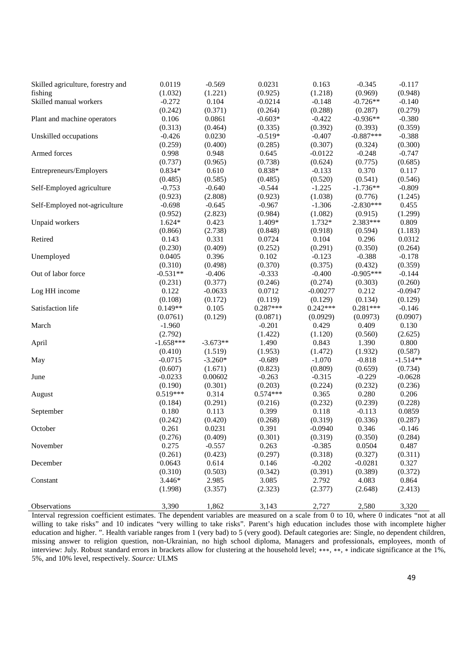| Skilled agriculture, forestry and | 0.0119      | $-0.569$   | 0.0231     | 0.163      | $-0.345$    | $-0.117$   |  |
|-----------------------------------|-------------|------------|------------|------------|-------------|------------|--|
| fishing                           | (1.032)     | (1.221)    | (0.925)    | (1.218)    | (0.969)     | (0.948)    |  |
| Skilled manual workers            | $-0.272$    | 0.104      | $-0.0214$  | $-0.148$   | $-0.726**$  | $-0.140$   |  |
|                                   | (0.242)     | (0.371)    | (0.264)    | (0.288)    | (0.287)     | (0.279)    |  |
| Plant and machine operators       | 0.106       | 0.0861     | $-0.603*$  | $-0.422$   | $-0.936**$  | $-0.380$   |  |
|                                   | (0.313)     | (0.464)    | (0.335)    | (0.392)    | (0.393)     | (0.359)    |  |
| Unskilled occupations             | $-0.426$    | 0.0230     | $-0.519*$  | $-0.407$   | $-0.887***$ | $-0.388$   |  |
|                                   | (0.259)     | (0.400)    | (0.285)    | (0.307)    | (0.324)     | (0.300)    |  |
| Armed forces                      | 0.998       | 0.948      | 0.645      | $-0.0122$  | $-0.248$    | $-0.747$   |  |
|                                   | (0.737)     | (0.965)    | (0.738)    | (0.624)    | (0.775)     | (0.685)    |  |
| Entrepreneurs/Employers           | $0.834*$    | 0.610      | 0.838*     | $-0.133$   | 0.370       | 0.117      |  |
|                                   | (0.485)     | (0.585)    | (0.485)    | (0.520)    | (0.541)     | (0.546)    |  |
| Self-Employed agriculture         | $-0.753$    | $-0.640$   | $-0.544$   | $-1.225$   | $-1.736**$  | $-0.809$   |  |
|                                   | (0.923)     | (2.808)    | (0.923)    | (1.038)    | (0.776)     | (1.245)    |  |
| Self-Employed not-agriculture     | $-0.698$    | $-0.645$   | $-0.967$   | $-1.306$   | $-2.830***$ | 0.455      |  |
|                                   | (0.952)     | (2.823)    | (0.984)    | (1.082)    | (0.915)     | (1.299)    |  |
| Unpaid workers                    | $1.624*$    | 0.423      | 1.409*     | $1.732*$   | 2.383***    | 0.809      |  |
|                                   | (0.866)     | (2.738)    | (0.848)    | (0.918)    | (0.594)     | (1.183)    |  |
| Retired                           | 0.143       | 0.331      | 0.0724     | 0.104      | 0.296       | 0.0312     |  |
|                                   | (0.230)     | (0.409)    | (0.252)    | (0.291)    | (0.350)     | (0.264)    |  |
| Unemployed                        | 0.0405      | 0.396      | 0.102      | $-0.123$   | $-0.388$    | $-0.178$   |  |
|                                   | (0.310)     | (0.498)    | (0.370)    | (0.375)    | (0.432)     | (0.359)    |  |
| Out of labor force                | $-0.531**$  | $-0.406$   | $-0.333$   | $-0.400$   | $-0.905***$ | $-0.144$   |  |
|                                   | (0.231)     | (0.377)    | (0.246)    | (0.274)    | (0.303)     | (0.260)    |  |
| Log HH income                     | 0.122       | $-0.0633$  | 0.0712     | $-0.00277$ | 0.212       | $-0.0947$  |  |
|                                   | (0.108)     | (0.172)    | (0.119)    | (0.129)    | (0.134)     | (0.129)    |  |
| Satisfaction life                 | $0.149**$   | 0.105      | $0.287***$ | $0.242***$ | $0.281***$  | $-0.146$   |  |
|                                   |             |            |            |            |             |            |  |
|                                   | (0.0761)    | (0.129)    | (0.0871)   | (0.0929)   | (0.0973)    | (0.0907)   |  |
| March                             | $-1.960$    |            | $-0.201$   | 0.429      | 0.409       | 0.130      |  |
|                                   | (2.792)     |            | (1.422)    | (1.120)    | (0.560)     | (2.625)    |  |
| April                             | $-1.658***$ | $-3.673**$ | 1.490      | 0.843      | 1.390       | 0.800      |  |
|                                   | (0.410)     | (1.519)    | (1.953)    | (1.472)    | (1.932)     | (0.587)    |  |
| May                               | $-0.0715$   | $-3.260*$  | $-0.689$   | $-1.070$   | $-0.818$    | $-1.514**$ |  |
|                                   | (0.607)     | (1.671)    | (0.823)    | (0.809)    | (0.659)     | (0.734)    |  |
| June                              | $-0.0233$   | 0.00602    | $-0.263$   | $-0.315$   | $-0.229$    | $-0.0628$  |  |
|                                   | (0.190)     | (0.301)    | (0.203)    | (0.224)    | (0.232)     | (0.236)    |  |
| August                            | $0.519***$  | 0.314      | $0.574***$ | 0.365      | 0.280       | 0.206      |  |
|                                   | (0.184)     | (0.291)    | (0.216)    | (0.232)    | (0.239)     | (0.228)    |  |
| September                         | 0.180       | 0.113      | 0.399      | 0.118      | $-0.113$    | 0.0859     |  |
|                                   | (0.242)     | (0.420)    | (0.268)    | (0.319)    | (0.336)     | (0.287)    |  |
| October                           | 0.261       | 0.0231     | 0.391      | $-0.0940$  | 0.346       | $-0.146$   |  |
|                                   | (0.276)     | (0.409)    | (0.301)    | (0.319)    | (0.350)     | (0.284)    |  |
| November                          | 0.275       | $-0.557$   | 0.263      | $-0.385$   | 0.0504      | 0.487      |  |
|                                   | (0.261)     | (0.423)    | (0.297)    | (0.318)    | (0.327)     | (0.311)    |  |
| December                          | 0.0643      | 0.614      | 0.146      | $-0.202$   | $-0.0281$   | 0.327      |  |
|                                   | (0.310)     | (0.503)    | (0.342)    | (0.391)    | (0.389)     | (0.372)    |  |
| Constant                          | $3.446*$    | 2.985      | 3.085      | 2.792      | 4.083       | 0.864      |  |
|                                   | (1.998)     | (3.357)    | (2.323)    | (2.377)    | (2.648)     | (2.413)    |  |
| Observations                      | 3,390       | 1,862      | 3,143      | 2,727      | 2,580       | 3,320      |  |
|                                   |             |            |            |            |             |            |  |

Interval regression coefficient estimates. The dependent variables are measured on a scale from 0 to 10, where 0 indicates "not at all willing to take risks" and 10 indicates "very willing to take risks". Parent's high education includes those with incomplete higher education and higher. ". Health variable ranges from 1 (very bad) to 5 (very good). Default categories are: Single, no dependent children, missing answer to religion question, non-Ukrainian, no high school diploma, Managers and professionals, employees, month of interview: July. Robust standard errors in brackets allow for clustering at the household level; ∗∗∗, ∗∗, ∗ indicate significance at the 1%, 5%, and 10% level, respectively. *Source:* ULMS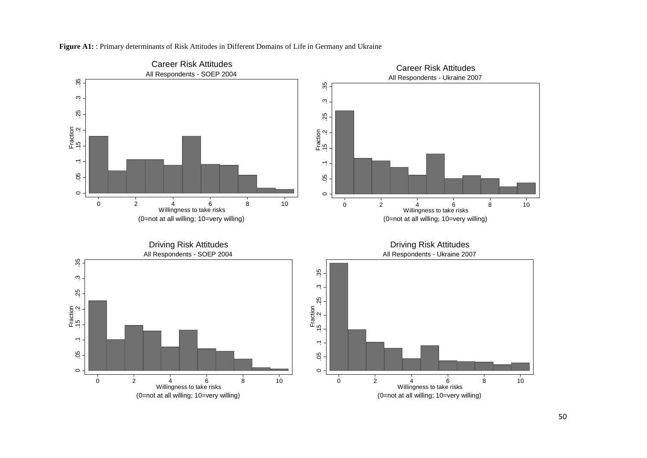

**Figure A1:** : Primary determinants of Risk Attitudes in Different Domains of Life in Germany and Ukraine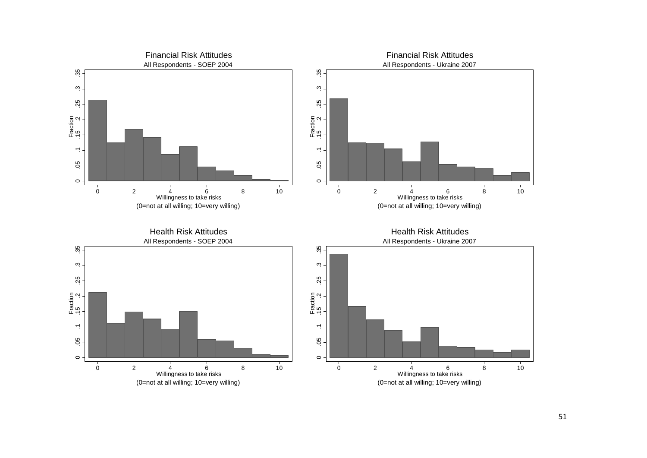

51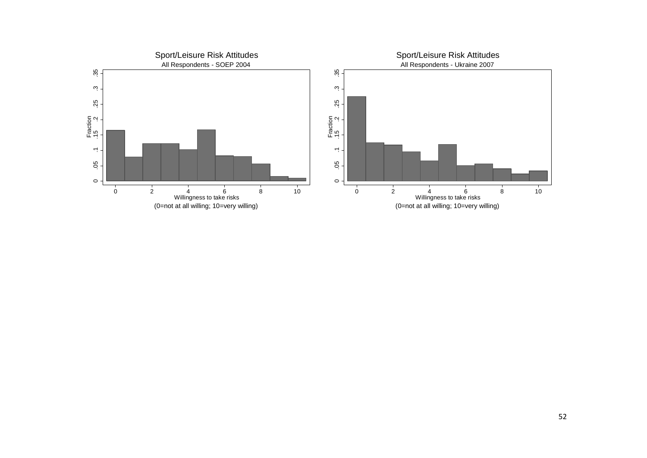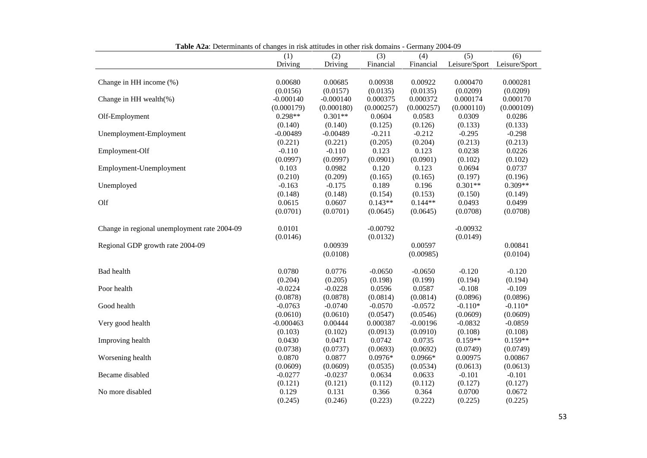| <b>THOIC THE DUCTRIMANS</b> OF CHANGES IN HISK AUTOROS IN OTHER TISK GOINGINS | (1)         | (2)         | (3)        | $\sigma$<br>(4) | (5)           | (6)           |
|-------------------------------------------------------------------------------|-------------|-------------|------------|-----------------|---------------|---------------|
|                                                                               |             |             |            |                 |               |               |
|                                                                               | Driving     | Driving     | Financial  | Financial       | Leisure/Sport | Leisure/Sport |
| Change in HH income (%)                                                       | 0.00680     | 0.00685     | 0.00938    | 0.00922         | 0.000470      | 0.000281      |
|                                                                               | (0.0156)    | (0.0157)    | (0.0135)   | (0.0135)        | (0.0209)      | (0.0209)      |
| Change in HH wealth $(\%)$                                                    | $-0.000140$ | $-0.000140$ | 0.000375   | 0.000372        | 0.000174      | 0.000170      |
|                                                                               | (0.000179)  | (0.000180)  | (0.000257) | (0.000257)      | (0.000110)    | (0.000109)    |
| Olf-Employment                                                                | $0.298**$   | $0.301**$   | 0.0604     | 0.0583          | 0.0309        | 0.0286        |
|                                                                               | (0.140)     | (0.140)     | (0.125)    | (0.126)         | (0.133)       | (0.133)       |
| Unemployment-Employment                                                       | $-0.00489$  | $-0.00489$  | $-0.211$   | $-0.212$        | $-0.295$      | $-0.298$      |
|                                                                               | (0.221)     | (0.221)     | (0.205)    | (0.204)         | (0.213)       | (0.213)       |
| Employment-Olf                                                                | $-0.110$    | $-0.110$    | 0.123      | 0.123           | 0.0238        | 0.0226        |
|                                                                               | (0.0997)    | (0.0997)    | (0.0901)   | (0.0901)        | (0.102)       | (0.102)       |
| Employment-Unemployment                                                       | 0.103       | 0.0982      | 0.120      | 0.123           | 0.0694        | 0.0737        |
|                                                                               | (0.210)     | (0.209)     | (0.165)    | (0.165)         | (0.197)       | (0.196)       |
| Unemployed                                                                    | $-0.163$    | $-0.175$    | 0.189      | 0.196           | $0.301**$     | $0.309**$     |
|                                                                               | (0.148)     | (0.148)     | (0.154)    | (0.153)         | (0.150)       | (0.149)       |
| Olf                                                                           | 0.0615      | 0.0607      | $0.143**$  | $0.144**$       | 0.0493        | 0.0499        |
|                                                                               | (0.0701)    | (0.0701)    | (0.0645)   | (0.0645)        | (0.0708)      | (0.0708)      |
|                                                                               |             |             |            |                 |               |               |
| Change in regional unemployment rate 2004-09                                  | 0.0101      |             | $-0.00792$ |                 | $-0.00932$    |               |
|                                                                               | (0.0146)    |             | (0.0132)   |                 | (0.0149)      |               |
| Regional GDP growth rate 2004-09                                              |             | 0.00939     |            | 0.00597         |               | 0.00841       |
|                                                                               |             | (0.0108)    |            | (0.00985)       |               | (0.0104)      |
|                                                                               |             |             |            |                 |               |               |
| Bad health                                                                    | 0.0780      | 0.0776      | $-0.0650$  | $-0.0650$       | $-0.120$      | $-0.120$      |
|                                                                               | (0.204)     | (0.205)     | (0.198)    | (0.199)         | (0.194)       | (0.194)       |
| Poor health                                                                   | $-0.0224$   | $-0.0228$   | 0.0596     | 0.0587          | $-0.108$      | $-0.109$      |
|                                                                               | (0.0878)    | (0.0878)    | (0.0814)   | (0.0814)        | (0.0896)      | (0.0896)      |
| Good health                                                                   | $-0.0763$   | $-0.0740$   | $-0.0570$  | $-0.0572$       | $-0.110*$     | $-0.110*$     |
|                                                                               | (0.0610)    | (0.0610)    | (0.0547)   | (0.0546)        | (0.0609)      | (0.0609)      |
| Very good health                                                              | $-0.000463$ | 0.00444     | 0.000387   | $-0.00196$      | $-0.0832$     | $-0.0859$     |
|                                                                               | (0.103)     | (0.102)     | (0.0913)   | (0.0910)        | (0.108)       | (0.108)       |
| Improving health                                                              | 0.0430      | 0.0471      | 0.0742     | 0.0735          | $0.159**$     | $0.159**$     |
|                                                                               | (0.0738)    | (0.0737)    | (0.0693)   | (0.0692)        | (0.0749)      | (0.0749)      |
| Worsening health                                                              | 0.0870      | 0.0877      | $0.0976*$  | $0.0966*$       | 0.00975       | 0.00867       |
|                                                                               | (0.0609)    | (0.0609)    | (0.0535)   | (0.0534)        | (0.0613)      | (0.0613)      |
| Became disabled                                                               | $-0.0277$   | $-0.0237$   | 0.0634     | 0.0633          | $-0.101$      | $-0.101$      |
|                                                                               | (0.121)     | (0.121)     | (0.112)    | (0.112)         | (0.127)       | (0.127)       |
| No more disabled                                                              | 0.129       | 0.131       | 0.366      | 0.364           | 0.0700        | 0.0672        |
|                                                                               | (0.245)     | (0.246)     | (0.223)    | (0.222)         | (0.225)       | (0.225)       |

**Table A2a**: Determinants of changes in risk attitudes in other risk domains - Germany 2004-09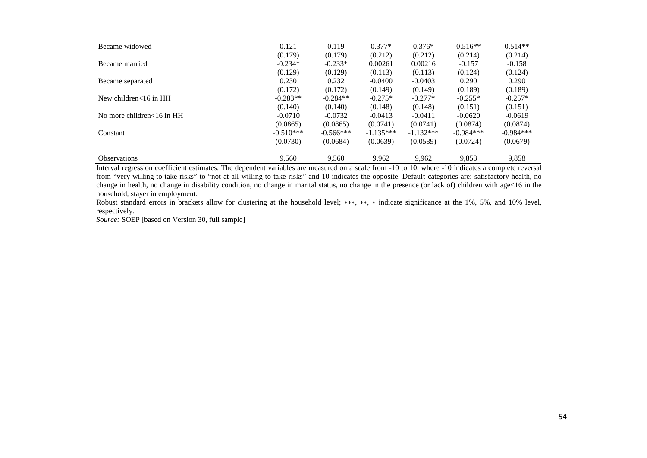| Became widowed                | 0.121       | 0.119       | $0.377*$    | $0.376*$    | $0.516**$   | $0.514**$   |
|-------------------------------|-------------|-------------|-------------|-------------|-------------|-------------|
|                               | (0.179)     | (0.179)     | (0.212)     | (0.212)     | (0.214)     | (0.214)     |
| Became married                | $-0.234*$   | $-0.233*$   | 0.00261     | 0.00216     | $-0.157$    | $-0.158$    |
|                               | (0.129)     | (0.129)     | (0.113)     | (0.113)     | (0.124)     | (0.124)     |
| Became separated              | 0.230       | 0.232       | $-0.0400$   | $-0.0403$   | 0.290       | 0.290       |
|                               | (0.172)     | (0.172)     | (0.149)     | (0.149)     | (0.189)     | (0.189)     |
| New children $<$ 16 in HH     | $-0.283**$  | $-0.284**$  | $-0.275*$   | $-0.277*$   | $-0.255*$   | $-0.257*$   |
|                               | (0.140)     | (0.140)     | (0.148)     | (0.148)     | (0.151)     | (0.151)     |
| No more children $<$ 16 in HH | $-0.0710$   | $-0.0732$   | $-0.0413$   | $-0.0411$   | $-0.0620$   | $-0.0619$   |
|                               | (0.0865)    | (0.0865)    | (0.0741)    | (0.0741)    | (0.0874)    | (0.0874)    |
| Constant                      | $-0.510***$ | $-0.566***$ | $-1.135***$ | $-1.132***$ | $-0.984***$ | $-0.984***$ |
|                               | (0.0730)    | (0.0684)    | (0.0639)    | (0.0589)    | (0.0724)    | (0.0679)    |
| <b>Observations</b>           | 9,560       | 9,560       | 9,962       | 9,962       | 9,858       | 9,858       |

Interval regression coefficient estimates. The dependent variables are measured on a scale from -10 to 10, where -10 indicates a complete reversal from "very willing to take risks" to "not at all willing to take risks" and 10 indicates the opposite. Default categories are: satisfactory health, no change in health, no change in disability condition, no change in marital status, no change in the presence (or lack of) children with age<16 in the household, stayer in employment.

Robust standard errors in brackets allow for clustering at the household level; \*\*\*, \*\*, \* indicate significance at the 1%, 5%, and 10% level, respectively.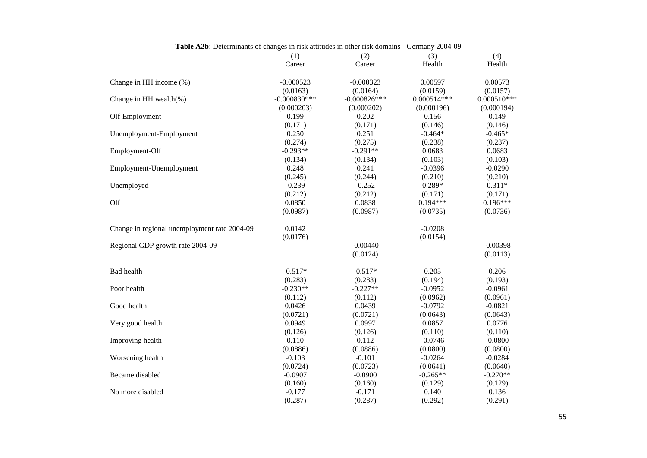| <b>Table A20.</b> Determinants of enanges in risk attitudes in other risk domains - Octinary 2004-02 | (1)            | (2)            | (3)           | (4)           |
|------------------------------------------------------------------------------------------------------|----------------|----------------|---------------|---------------|
|                                                                                                      | Career         | Career         | Health        | Health        |
|                                                                                                      |                |                |               |               |
| Change in HH income (%)                                                                              | $-0.000523$    | $-0.000323$    | 0.00597       | 0.00573       |
|                                                                                                      | (0.0163)       | (0.0164)       | (0.0159)      | (0.0157)      |
| Change in HH wealth $(\%)$                                                                           | $-0.000830***$ | $-0.000826***$ | $0.000514***$ | $0.000510***$ |
|                                                                                                      | (0.000203)     | (0.000202)     | (0.000196)    | (0.000194)    |
| Olf-Employment                                                                                       | 0.199          | 0.202          | 0.156         | 0.149         |
|                                                                                                      | (0.171)        | (0.171)        | (0.146)       | (0.146)       |
| Unemployment-Employment                                                                              | 0.250          | 0.251          | $-0.464*$     | $-0.465*$     |
|                                                                                                      | (0.274)        | (0.275)        | (0.238)       | (0.237)       |
| Employment-Olf                                                                                       | $-0.293**$     | $-0.291**$     | 0.0683        | 0.0683        |
|                                                                                                      | (0.134)        | (0.134)        | (0.103)       | (0.103)       |
| Employment-Unemployment                                                                              | 0.248          | 0.241          | $-0.0396$     | $-0.0290$     |
|                                                                                                      | (0.245)        | (0.244)        | (0.210)       | (0.210)       |
| Unemployed                                                                                           | $-0.239$       | $-0.252$       | $0.289*$      | $0.311*$      |
|                                                                                                      | (0.212)        | (0.212)        | (0.171)       | (0.171)       |
| Olf                                                                                                  | 0.0850         | 0.0838         | $0.194***$    | $0.196***$    |
|                                                                                                      | (0.0987)       | (0.0987)       | (0.0735)      | (0.0736)      |
| Change in regional unemployment rate 2004-09                                                         | 0.0142         |                | $-0.0208$     |               |
|                                                                                                      | (0.0176)       |                | (0.0154)      |               |
| Regional GDP growth rate 2004-09                                                                     |                | $-0.00440$     |               | $-0.00398$    |
|                                                                                                      |                | (0.0124)       |               | (0.0113)      |
| Bad health                                                                                           | $-0.517*$      | $-0.517*$      | 0.205         | 0.206         |
|                                                                                                      | (0.283)        | (0.283)        | (0.194)       | (0.193)       |
| Poor health                                                                                          | $-0.230**$     | $-0.227**$     | $-0.0952$     | $-0.0961$     |
|                                                                                                      | (0.112)        | (0.112)        | (0.0962)      | (0.0961)      |
| Good health                                                                                          | 0.0426         | 0.0439         | $-0.0792$     | $-0.0821$     |
|                                                                                                      | (0.0721)       | (0.0721)       | (0.0643)      | (0.0643)      |
| Very good health                                                                                     | 0.0949         | 0.0997         | 0.0857        | 0.0776        |
|                                                                                                      | (0.126)        | (0.126)        | (0.110)       | (0.110)       |
| Improving health                                                                                     | 0.110          | 0.112          | $-0.0746$     | $-0.0800$     |
|                                                                                                      | (0.0886)       | (0.0886)       | (0.0800)      | (0.0800)      |
| Worsening health                                                                                     | $-0.103$       | $-0.101$       | $-0.0264$     | $-0.0284$     |
|                                                                                                      | (0.0724)       | (0.0723)       | (0.0641)      | (0.0640)      |
| Became disabled                                                                                      | $-0.0907$      | $-0.0900$      | $-0.265**$    | $-0.270**$    |
|                                                                                                      | (0.160)        | (0.160)        | (0.129)       | (0.129)       |
| No more disabled                                                                                     | $-0.177$       | $-0.171$       | 0.140         | 0.136         |
|                                                                                                      | (0.287)        | (0.287)        | (0.292)       | (0.291)       |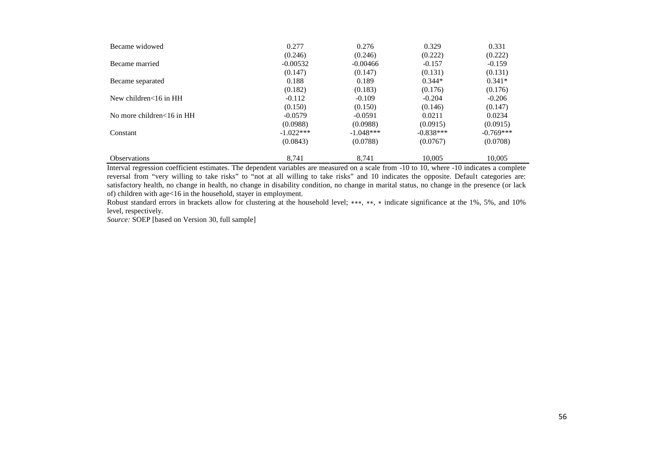| Became widowed                | 0.277       | 0.276       | 0.329       | 0.331       |
|-------------------------------|-------------|-------------|-------------|-------------|
|                               | (0.246)     | (0.246)     | (0.222)     | (0.222)     |
| Became married                | $-0.00532$  | $-0.00466$  | $-0.157$    | $-0.159$    |
|                               | (0.147)     | (0.147)     | (0.131)     | (0.131)     |
| Became separated              | 0.188       | 0.189       | $0.344*$    | $0.341*$    |
|                               | (0.182)     | (0.183)     | (0.176)     | (0.176)     |
| New children $<$ 16 in HH     | $-0.112$    | $-0.109$    | $-0.204$    | $-0.206$    |
|                               | (0.150)     | (0.150)     | (0.146)     | (0.147)     |
| No more children $<$ 16 in HH | $-0.0579$   | $-0.0591$   | 0.0211      | 0.0234      |
|                               | (0.0988)    | (0.0988)    | (0.0915)    | (0.0915)    |
| Constant                      | $-1.022***$ | $-1.048***$ | $-0.838***$ | $-0.769***$ |
|                               | (0.0843)    | (0.0788)    | (0.0767)    | (0.0708)    |
| <b>Observations</b>           | 8.741       | 8.741       | 10.005      | 10.005      |

Interval regression coefficient estimates. The dependent variables are measured on a scale from -10 to 10, where -10 indicates a complete reversal from "very willing to take risks" to "not at all willing to take risks" and 10 indicates the opposite. Default categories are: satisfactory health, no change in health, no change in disability condition, no change in marital status, no change in the presence (or lack of) children with age<16 in the household, stayer in employment.

Robust standard errors in brackets allow for clustering at the household level; \*\*\*, \*\*, \* indicate significance at the 1%, 5%, and 10% level, respectively.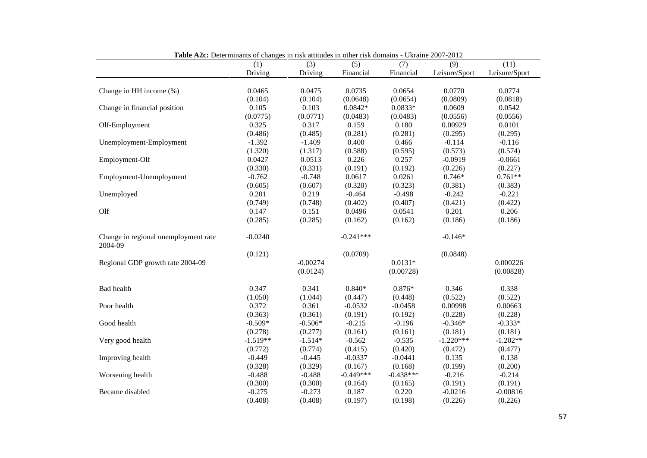|                                                 | <b>THOIC THEO</b> DUCTRIBUTED OF CHAIRS OF HISTS AUTOMOBILE THIS COMMUNIS<br>(1) | (3)        | (5)         | $V$ <sup>1</sup><br>(7) | $\sim$ $\sim$<br>(9) | (11)          |
|-------------------------------------------------|----------------------------------------------------------------------------------|------------|-------------|-------------------------|----------------------|---------------|
|                                                 | Driving                                                                          | Driving    | Financial   | Financial               | Leisure/Sport        | Leisure/Sport |
|                                                 |                                                                                  |            |             |                         |                      |               |
| Change in HH income (%)                         | 0.0465                                                                           | 0.0475     | 0.0735      | 0.0654                  | 0.0770               | 0.0774        |
|                                                 | (0.104)                                                                          | (0.104)    | (0.0648)    | (0.0654)                | (0.0809)             | (0.0818)      |
| Change in financial position                    | 0.105                                                                            | 0.103      | $0.0842*$   | $0.0833*$               | 0.0609               | 0.0542        |
|                                                 | (0.0775)                                                                         | (0.0771)   | (0.0483)    | (0.0483)                | (0.0556)             | (0.0556)      |
| Olf-Employment                                  | 0.325                                                                            | 0.317      | 0.159       | 0.180                   | 0.00929              | 0.0101        |
|                                                 | (0.486)                                                                          | (0.485)    | (0.281)     | (0.281)                 | (0.295)              | (0.295)       |
| Unemployment-Employment                         | $-1.392$                                                                         | $-1.409$   | 0.400       | 0.466                   | $-0.114$             | $-0.116$      |
|                                                 | (1.320)                                                                          | (1.317)    | (0.588)     | (0.595)                 | (0.573)              | (0.574)       |
| Employment-Olf                                  | 0.0427                                                                           | 0.0513     | 0.226       | 0.257                   | $-0.0919$            | $-0.0661$     |
|                                                 | (0.330)                                                                          | (0.331)    | (0.191)     | (0.192)                 | (0.226)              | (0.227)       |
| Employment-Unemployment                         | $-0.762$                                                                         | $-0.748$   | 0.0617      | 0.0261                  | $0.746*$             | $0.761**$     |
|                                                 | (0.605)                                                                          | (0.607)    | (0.320)     | (0.323)                 | (0.381)              | (0.383)       |
| Unemployed                                      | 0.201                                                                            | 0.219      | $-0.464$    | $-0.498$                | $-0.242$             | $-0.221$      |
|                                                 | (0.749)                                                                          | (0.748)    | (0.402)     | (0.407)                 | (0.421)              | (0.422)       |
| Olf                                             | 0.147                                                                            | 0.151      | 0.0496      | 0.0541                  | 0.201                | 0.206         |
|                                                 | (0.285)                                                                          | (0.285)    | (0.162)     | (0.162)                 | (0.186)              | (0.186)       |
|                                                 |                                                                                  |            |             |                         |                      |               |
| Change in regional unemployment rate<br>2004-09 | $-0.0240$                                                                        |            | $-0.241***$ |                         | $-0.146*$            |               |
|                                                 | (0.121)                                                                          |            | (0.0709)    |                         | (0.0848)             |               |
| Regional GDP growth rate 2004-09                |                                                                                  | $-0.00274$ |             | $0.0131*$               |                      | 0.000226      |
|                                                 |                                                                                  | (0.0124)   |             | (0.00728)               |                      | (0.00828)     |
|                                                 |                                                                                  |            |             |                         |                      |               |
| Bad health                                      | 0.347                                                                            | 0.341      | $0.840*$    | $0.876*$                | 0.346                | 0.338         |
|                                                 | (1.050)                                                                          | (1.044)    | (0.447)     | (0.448)                 | (0.522)              | (0.522)       |
| Poor health                                     | 0.372                                                                            | 0.361      | $-0.0532$   | $-0.0458$               | 0.00998              | 0.00663       |
|                                                 | (0.363)                                                                          | (0.361)    | (0.191)     | (0.192)                 | (0.228)              | (0.228)       |
| Good health                                     | $-0.509*$                                                                        | $-0.506*$  | $-0.215$    | $-0.196$                | $-0.346*$            | $-0.333*$     |
|                                                 | (0.278)                                                                          | (0.277)    | (0.161)     | (0.161)                 | (0.181)              | (0.181)       |
| Very good health                                | $-1.519**$                                                                       | $-1.514*$  | $-0.562$    | $-0.535$                | $-1.220***$          | $-1.202**$    |
|                                                 | (0.772)                                                                          | (0.774)    | (0.415)     | (0.420)                 | (0.472)              | (0.477)       |
| Improving health                                | $-0.449$                                                                         | $-0.445$   | $-0.0337$   | $-0.0441$               | 0.135                | 0.138         |
|                                                 | (0.328)                                                                          | (0.329)    | (0.167)     | (0.168)                 | (0.199)              | (0.200)       |
| Worsening health                                | $-0.488$                                                                         | $-0.488$   | $-0.449***$ | $-0.438***$             | $-0.216$             | $-0.214$      |
|                                                 | (0.300)                                                                          | (0.300)    | (0.164)     | (0.165)                 | (0.191)              | (0.191)       |
| Became disabled                                 | $-0.275$                                                                         | $-0.273$   | 0.187       | 0.220                   | $-0.0216$            | $-0.00816$    |
|                                                 | (0.408)                                                                          | (0.408)    | (0.197)     | (0.198)                 | (0.226)              | (0.226)       |

**Table A2c:** Determinants of changes in risk attitudes in other risk domains - Ukraine 2007-2012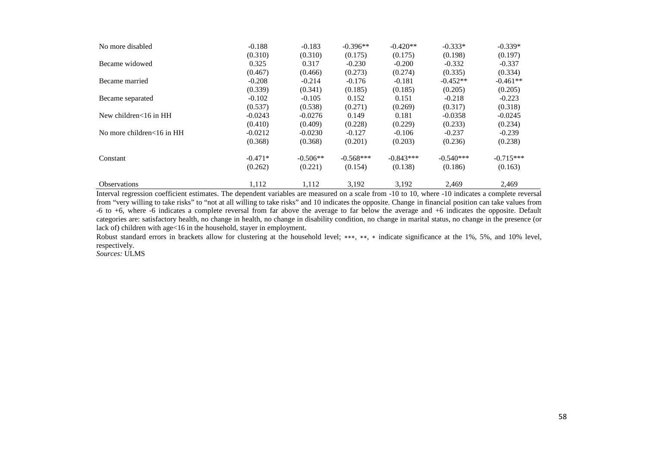| No more disabled              | $-0.188$  | $-0.183$   | $-0.396**$  | $-0.420**$  | $-0.333*$   | $-0.339*$   |
|-------------------------------|-----------|------------|-------------|-------------|-------------|-------------|
|                               | (0.310)   | (0.310)    | (0.175)     | (0.175)     | (0.198)     | (0.197)     |
| Became widowed                | 0.325     | 0.317      | $-0.230$    | $-0.200$    | $-0.332$    | $-0.337$    |
|                               | (0.467)   | (0.466)    | (0.273)     | (0.274)     | (0.335)     | (0.334)     |
| Became married                | $-0.208$  | $-0.214$   | $-0.176$    | $-0.181$    | $-0.452**$  | $-0.461**$  |
|                               | (0.339)   | (0.341)    | (0.185)     | (0.185)     | (0.205)     | (0.205)     |
| Became separated              | $-0.102$  | $-0.105$   | 0.152       | 0.151       | $-0.218$    | $-0.223$    |
|                               | (0.537)   | (0.538)    | (0.271)     | (0.269)     | (0.317)     | (0.318)     |
| New children $<$ 16 in HH     | $-0.0243$ | $-0.0276$  | 0.149       | 0.181       | $-0.0358$   | $-0.0245$   |
|                               | (0.410)   | (0.409)    | (0.228)     | (0.229)     | (0.233)     | (0.234)     |
| No more children $<$ 16 in HH | $-0.0212$ | $-0.0230$  | $-0.127$    | $-0.106$    | $-0.237$    | $-0.239$    |
|                               | (0.368)   | (0.368)    | (0.201)     | (0.203)     | (0.236)     | (0.238)     |
| Constant                      | $-0.471*$ | $-0.506**$ | $-0.568***$ | $-0.843***$ | $-0.540***$ | $-0.715***$ |
|                               | (0.262)   | (0.221)    | (0.154)     | (0.138)     | (0.186)     | (0.163)     |
| <b>Observations</b>           | 1,112     | 1,112      | 3,192       | 3,192       | 2,469       | 2,469       |

Interval regression coefficient estimates. The dependent variables are measured on a scale from -10 to 10, where -10 indicates a complete reversal from "very willing to take risks" to "not at all willing to take risks" and 10 indicates the opposite. Change in financial position can take values from -6 to +6, where -6 indicates a complete reversal from far above the average to far below the average and +6 indicates the opposite. Default categories are: satisfactory health, no change in health, no change in disability condition, no change in marital status, no change in the presence (or lack of) children with age<16 in the household, stayer in employment.

Robust standard errors in brackets allow for clustering at the household level; \*\*\*, \*\*, \* indicate significance at the 1%, 5%, and 10% level, respectively.

*Sources:* ULMS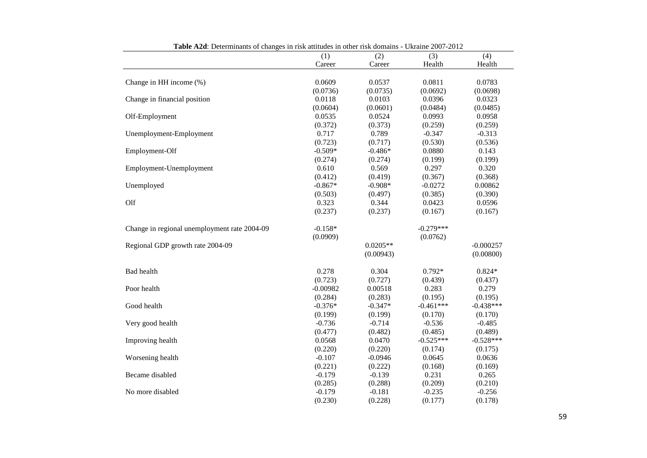| <b>Table Azu</b> . Determinants of changes in fisk attitudes in other fisk domains - Oktaine | (1)        | (2)        | $2001 - 2012$<br>(3) | (4)         |
|----------------------------------------------------------------------------------------------|------------|------------|----------------------|-------------|
|                                                                                              | Career     | Career     | Health               | Health      |
|                                                                                              |            |            |                      |             |
| Change in HH income (%)                                                                      | 0.0609     | 0.0537     | 0.0811               | 0.0783      |
|                                                                                              | (0.0736)   | (0.0735)   | (0.0692)             | (0.0698)    |
| Change in financial position                                                                 | 0.0118     | 0.0103     | 0.0396               | 0.0323      |
|                                                                                              | (0.0604)   | (0.0601)   | (0.0484)             | (0.0485)    |
| Olf-Employment                                                                               | 0.0535     | 0.0524     | 0.0993               | 0.0958      |
|                                                                                              | (0.372)    | (0.373)    | (0.259)              | (0.259)     |
| Unemployment-Employment                                                                      | 0.717      | 0.789      | $-0.347$             | $-0.313$    |
|                                                                                              | (0.723)    | (0.717)    | (0.530)              | (0.536)     |
| Employment-Olf                                                                               | $-0.509*$  | $-0.486*$  | 0.0880               | 0.143       |
|                                                                                              | (0.274)    | (0.274)    | (0.199)              | (0.199)     |
| Employment-Unemployment                                                                      | 0.610      | 0.569      | 0.297                | 0.320       |
|                                                                                              | (0.412)    | (0.419)    | (0.367)              | (0.368)     |
| Unemployed                                                                                   | $-0.867*$  | $-0.908*$  | $-0.0272$            | 0.00862     |
|                                                                                              | (0.503)    | (0.497)    | (0.385)              | (0.390)     |
| Olf                                                                                          | 0.323      | 0.344      | 0.0423               | 0.0596      |
|                                                                                              | (0.237)    | (0.237)    | (0.167)              | (0.167)     |
| Change in regional unemployment rate 2004-09                                                 | $-0.158*$  |            | $-0.279***$          |             |
|                                                                                              | (0.0909)   |            | (0.0762)             |             |
| Regional GDP growth rate 2004-09                                                             |            | $0.0205**$ |                      | $-0.000257$ |
|                                                                                              |            | (0.00943)  |                      | (0.00800)   |
| <b>Bad</b> health                                                                            | 0.278      | 0.304      | $0.792*$             | $0.824*$    |
|                                                                                              | (0.723)    | (0.727)    | (0.439)              | (0.437)     |
| Poor health                                                                                  | $-0.00982$ | 0.00518    | 0.283                | 0.279       |
|                                                                                              | (0.284)    | (0.283)    | (0.195)              | (0.195)     |
| Good health                                                                                  | $-0.376*$  | $-0.347*$  | $-0.461***$          | $-0.438***$ |
|                                                                                              | (0.199)    | (0.199)    | (0.170)              | (0.170)     |
| Very good health                                                                             | $-0.736$   | $-0.714$   | $-0.536$             | $-0.485$    |
|                                                                                              | (0.477)    | (0.482)    | (0.485)              | (0.489)     |
| Improving health                                                                             | 0.0568     | 0.0470     | $-0.525***$          | $-0.528***$ |
|                                                                                              | (0.220)    | (0.220)    | (0.174)              | (0.175)     |
| Worsening health                                                                             | $-0.107$   | $-0.0946$  | 0.0645               | 0.0636      |
|                                                                                              | (0.221)    | (0.222)    | (0.168)              | (0.169)     |
| Became disabled                                                                              | $-0.179$   | $-0.139$   | 0.231                | 0.265       |
|                                                                                              | (0.285)    | (0.288)    | (0.209)              | (0.210)     |
| No more disabled                                                                             | $-0.179$   | $-0.181$   | $-0.235$             | $-0.256$    |
|                                                                                              | (0.230)    | (0.228)    | (0.177)              | (0.178)     |

**Table A2d**: Determinants of changes in risk attitudes in other risk domains - Ukraine 2007-2012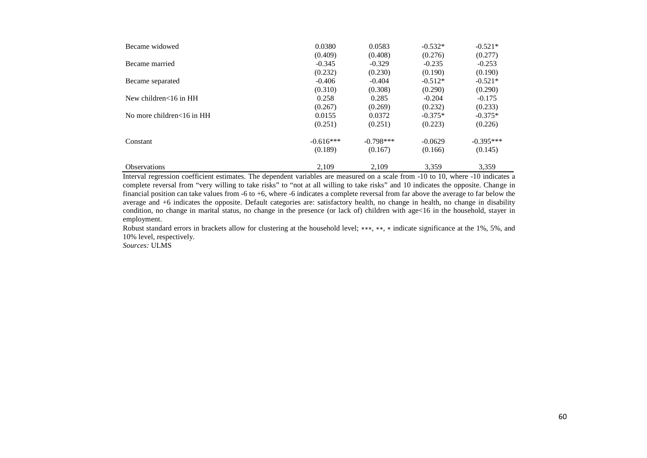| Became widowed            | 0.0380      | 0.0583      | $-0.532*$ | $-0.521*$   |  |
|---------------------------|-------------|-------------|-----------|-------------|--|
|                           | (0.409)     | (0.408)     | (0.276)   | (0.277)     |  |
| Became married            | $-0.345$    | $-0.329$    | $-0.235$  | $-0.253$    |  |
|                           | (0.232)     | (0.230)     | (0.190)   | (0.190)     |  |
| Became separated          | $-0.406$    | $-0.404$    | $-0.512*$ | $-0.521*$   |  |
|                           | (0.310)     | (0.308)     | (0.290)   | (0.290)     |  |
| New children $<$ 16 in HH | 0.258       | 0.285       | $-0.204$  | $-0.175$    |  |
|                           | (0.267)     | (0.269)     | (0.232)   | (0.233)     |  |
| No more children<16 in HH | 0.0155      | 0.0372      | $-0.375*$ | $-0.375*$   |  |
|                           | (0.251)     | (0.251)     | (0.223)   | (0.226)     |  |
| Constant                  | $-0.616***$ | $-0.798***$ | $-0.0629$ | $-0.395***$ |  |
|                           | (0.189)     | (0.167)     | (0.166)   | (0.145)     |  |
| <b>Observations</b>       | 2.109       | 2.109       | 3,359     | 3,359       |  |

Interval regression coefficient estimates. The dependent variables are measured on a scale from -10 to 10, where -10 indicates a complete reversal from "very willing to take risks" to "not at all willing to take risks" and 10 indicates the opposite. Change in financial position can take values from -6 to +6, where -6 indicates a complete reversal from far above the average to far below the average and +6 indicates the opposite. Default categories are: satisfactory health, no change in health, no change in disability condition, no change in marital status, no change in the presence (or lack of) children with age<16 in the household, stayer in employment.

Robust standard errors in brackets allow for clustering at the household level; \*\*\*, \*\*, \* indicate significance at the 1%, 5%, and 10% level, respectively.

*Sources:* ULMS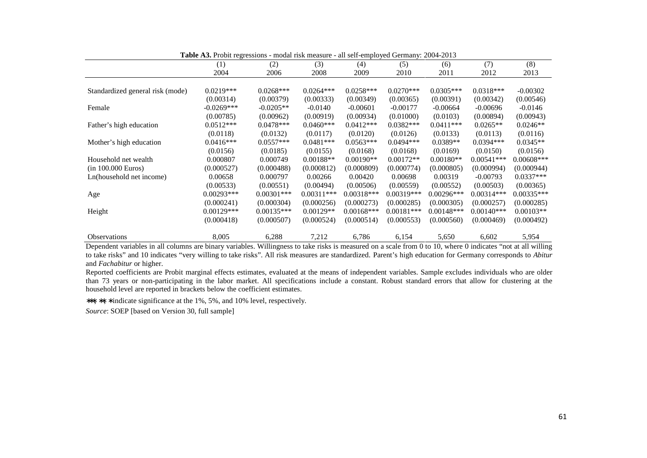|                                  | <b>Table AJ.</b> Frout regressions - modal risk measure - an sen-employed Octinary. 2004-2013 |              |              |              |              |               |              |              |
|----------------------------------|-----------------------------------------------------------------------------------------------|--------------|--------------|--------------|--------------|---------------|--------------|--------------|
|                                  | (1)                                                                                           | (2)          | (3)          | (4)          | (5)          | (6)           | (7)          | (8)          |
|                                  | 2004                                                                                          | 2006         | 2008         | 2009         | 2010         | 2011          | 2012         | 2013         |
|                                  |                                                                                               |              |              |              |              |               |              |              |
| Standardized general risk (mode) | $0.0219***$                                                                                   | $0.0268***$  | $0.0264***$  | $0.0258***$  | $0.0270***$  | $0.0305***$   | $0.0318***$  | $-0.00302$   |
|                                  | (0.00314)                                                                                     | (0.00379)    | (0.00333)    | (0.00349)    | (0.00365)    | (0.00391)     | (0.00342)    | (0.00546)    |
| Female                           | $-0.0269***$                                                                                  | $-0.0205**$  | $-0.0140$    | $-0.00601$   | $-0.00177$   | $-0.00664$    | $-0.00696$   | $-0.0146$    |
|                                  | (0.00785)                                                                                     | (0.00962)    | (0.00919)    | (0.00934)    | (0.01000)    | (0.0103)      | (0.00894)    | (0.00943)    |
| Father's high education          | $0.0512***$                                                                                   | $0.0478***$  | $0.0460***$  | $0.0412***$  | $0.0382***$  | $0.0411***$   | $0.0265**$   | $0.0246**$   |
|                                  | (0.0118)                                                                                      | (0.0132)     | (0.0117)     | (0.0120)     | (0.0126)     | (0.0133)      | (0.0113)     | (0.0116)     |
| Mother's high education          | $0.0416***$                                                                                   | $0.0557***$  | $0.0481***$  | $0.0563***$  | $0.0494***$  | $0.0389**$    | $0.0394***$  | $0.0345**$   |
|                                  | (0.0156)                                                                                      | (0.0185)     | (0.0155)     | (0.0168)     | (0.0168)     | (0.0169)      | (0.0150)     | (0.0156)     |
| Household net wealth             | 0.000807                                                                                      | 0.000749     | $0.00188**$  | $0.00190**$  | $0.00172**$  | $0.00180**$   | $0.00541***$ | $0.00608***$ |
| (in 100.000 Euros)               | (0.000527)                                                                                    | (0.000488)   | (0.000812)   | (0.000809)   | (0.000774)   | (0.000805)    | (0.000994)   | (0.000944)   |
| Ln(household net income)         | 0.00658                                                                                       | 0.000797     | 0.00266      | 0.00420      | 0.00698      | 0.00319       | $-0.00793$   | $0.0337***$  |
|                                  | (0.00533)                                                                                     | (0.00551)    | (0.00494)    | (0.00506)    | (0.00559)    | (0.00552)     | (0.00503)    | (0.00365)    |
| Age                              | $0.00293***$                                                                                  | $0.00301***$ | $0.00311***$ | $0.00318***$ | $0.00319***$ | $0.00296***$  | $0.00314***$ | $0.00335***$ |
|                                  | (0.000241)                                                                                    | (0.000304)   | (0.000256)   | (0.000273)   | (0.000285)   | (0.000305)    | (0.000257)   | (0.000285)   |
| Height                           | $0.00129***$                                                                                  | $0.00135***$ | $0.00129**$  | $0.00168***$ | $0.00181***$ | $0.00148$ *** | $0.00140***$ | $0.00103**$  |
|                                  | (0.000418)                                                                                    | (0.000507)   | (0.000524)   | (0.000514)   | (0.000553)   | (0.000560)    | (0.000469)   | (0.000492)   |
|                                  |                                                                                               |              |              |              |              |               |              |              |
| <b>Observations</b>              | 8,005                                                                                         | 6,288        | 7,212        | 6,786        | 6,154        | 5,650         | 6,602        | 5,954        |

**Table A3.** Probit regressions - modal risk measure - all self-employed Germany: 2004-2013

Dependent variables in all columns are binary variables. Willingness to take risks is measured on a scale from 0 to 10, where 0 indicates "not at all willing to take risks" and 10 indicates "very willing to take risks". All risk measures are standardized. Parent's high education for Germany corresponds to *Abitur* and *Fachabitur* or higher.

Reported coefficients are Probit marginal effects estimates, evaluated at the means of independent variables. Sample excludes individuals who are older than 73 years or non-participating in the labor market. All specifications include a constant. Robust standard errors that allow for clustering at the household level are reported in brackets below the coefficient estimates.

∗∗∗, ∗∗, indicate significance at the 1%, 5%, and 10% level, respectively.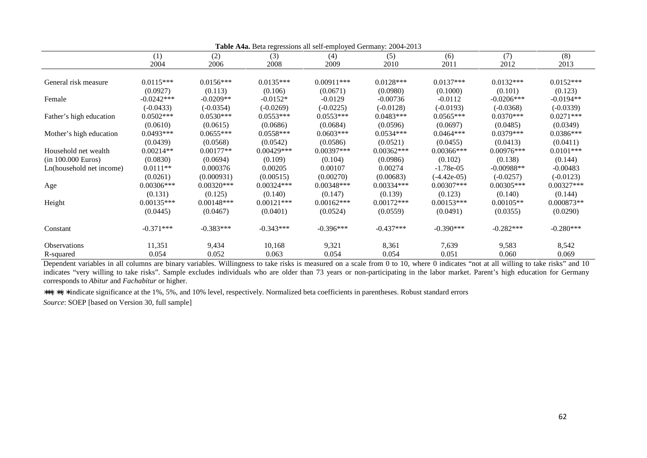| Table A4a. Beta regressions all self-employed Germany: 2004-2013 |              |              |              |              |              |               |              |              |  |
|------------------------------------------------------------------|--------------|--------------|--------------|--------------|--------------|---------------|--------------|--------------|--|
|                                                                  | (1)          | (2)          | (3)          | (4)          | (5)          | (6)           | (7)          | (8)          |  |
|                                                                  | 2004         | 2006         | 2008         | 2009         | 2010         | 2011          | 2012         | 2013         |  |
| General risk measure                                             | $0.0115***$  | $0.0156***$  | $0.0135***$  | $0.00911***$ | $0.0128***$  | $0.0137***$   | $0.0132***$  | $0.0152***$  |  |
|                                                                  | (0.0927)     | (0.113)      | (0.106)      | (0.0671)     | (0.0980)     | (0.1000)      | (0.101)      | (0.123)      |  |
| Female                                                           | $-0.0242***$ | $-0.0209**$  | $-0.0152*$   | $-0.0129$    | $-0.00736$   | $-0.0112$     | $-0.0206***$ | $-0.0194**$  |  |
|                                                                  | $(-0.0433)$  | $(-0.0354)$  | $(-0.0269)$  | $(-0.0225)$  | $(-0.0128)$  | $(-0.0193)$   | $(-0.0368)$  | $(-0.0339)$  |  |
| Father's high education                                          | $0.0502***$  | $0.0530***$  | $0.0553***$  | $0.0553***$  | $0.0483***$  | $0.0565***$   | $0.0370***$  | $0.0271***$  |  |
|                                                                  | (0.0610)     | (0.0615)     | (0.0686)     | (0.0684)     | (0.0596)     | (0.0697)      | (0.0485)     | (0.0349)     |  |
| Mother's high education                                          | $0.0493***$  | $0.0655***$  | $0.0558***$  | $0.0603***$  | $0.0534***$  | $0.0464***$   | $0.0379***$  | $0.0386***$  |  |
|                                                                  | (0.0439)     | (0.0568)     | (0.0542)     | (0.0586)     | (0.0521)     | (0.0455)      | (0.0413)     | (0.0411)     |  |
| Household net wealth                                             | $0.00214**$  | $0.00177**$  | $0.00429***$ | $0.00397***$ | $0.00362***$ | $0.00366$ *** | $0.00976***$ | $0.0101***$  |  |
| (in 100.000 Euros)                                               | (0.0830)     | (0.0694)     | (0.109)      | (0.104)      | (0.0986)     | (0.102)       | (0.138)      | (0.144)      |  |
| Ln(household net income)                                         | $0.0111**$   | 0.000376     | 0.00205      | 0.00107      | 0.00274      | $-1.78e-0.5$  | $-0.00988**$ | $-0.00483$   |  |
|                                                                  | (0.0261)     | (0.000931)   | (0.00515)    | (0.00270)    | (0.00683)    | $(-4.42e-05)$ | $(-0.0257)$  | $(-0.0123)$  |  |
| Age                                                              | $0.00306***$ | $0.00320***$ | $0.00324***$ | $0.00348***$ | $0.00334***$ | $0.00307***$  | $0.00305***$ | $0.00327***$ |  |
|                                                                  | (0.131)      | (0.125)      | (0.140)      | (0.147)      | (0.139)      | (0.123)       | (0.140)      | (0.144)      |  |
| Height                                                           | $0.00135***$ | $0.00148***$ | $0.00121***$ | $0.00162***$ | $0.00172***$ | $0.00153***$  | $0.00105**$  | $0.000873**$ |  |
|                                                                  | (0.0445)     | (0.0467)     | (0.0401)     | (0.0524)     | (0.0559)     | (0.0491)      | (0.0355)     | (0.0290)     |  |
| Constant                                                         | $-0.371***$  | $-0.383***$  | $-0.343***$  | $-0.396***$  | $-0.437***$  | $-0.390***$   | $-0.282***$  | $-0.280***$  |  |
| <b>Observations</b>                                              | 11,351       | 9,434        | 10,168       | 9,321        | 8,361        | 7,639         | 9,583        | 8,542        |  |
| R-squared                                                        | 0.054        | 0.052        | 0.063        | 0.054        | 0.054        | 0.051         | 0.060        | 0.069        |  |

Dependent variables in all columns are binary variables. Willingness to take risks is measured on a scale from 0 to 10, where 0 indicates "not at all willing to take risks" and 10 indicates "very willing to take risks". Sample excludes individuals who are older than 73 years or non-participating in the labor market. Parent's high education for Germany corresponds to *Abitur* and *Fachabitur* or higher.

∗∗∗, ∗∗, indicate significance at the 1%, 5%, and 10% level, respectively. Normalized beta coefficients in parentheses. Robust standard errors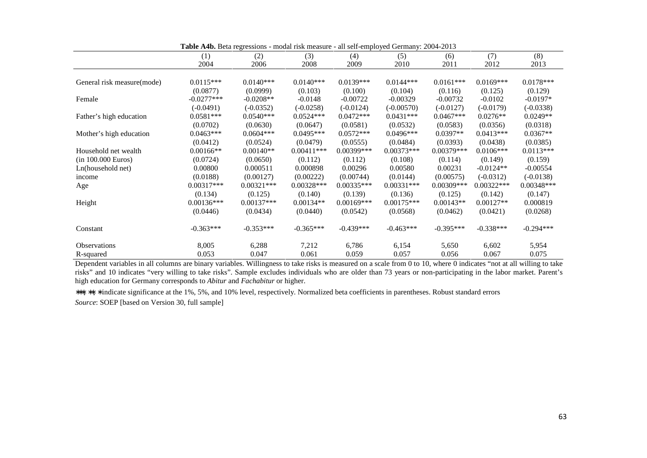|                             | <b>Table A40.</b> Beta regressions - modal risk measure - an sen-employed Germany: 2004-2015 |              |              |               |              |              |              |              |  |
|-----------------------------|----------------------------------------------------------------------------------------------|--------------|--------------|---------------|--------------|--------------|--------------|--------------|--|
|                             | (1)                                                                                          | (2)          | (3)          | (4)           | (5)          | (6)          | (7)          | (8)          |  |
|                             | 2004                                                                                         | 2006         | 2008         | 2009          | 2010         | 2011         | 2012         | 2013         |  |
|                             |                                                                                              |              |              |               |              |              |              |              |  |
| General risk measure (mode) | $0.0115***$                                                                                  | $0.0140***$  | $0.0140***$  | $0.0139***$   | $0.0144***$  | $0.0161***$  | $0.0169***$  | $0.0178***$  |  |
|                             | (0.0877)                                                                                     | (0.0999)     | (0.103)      | (0.100)       | (0.104)      | (0.116)      | (0.125)      | (0.129)      |  |
| Female                      | $-0.0277***$                                                                                 | $-0.0208**$  | $-0.0148$    | $-0.00722$    | $-0.00329$   | $-0.00732$   | $-0.0102$    | $-0.0197*$   |  |
|                             | $(-0.0491)$                                                                                  | $(-0.0352)$  | $(-0.0258)$  | $(-0.0124)$   | $(-0.00570)$ | $(-0.0127)$  | $(-0.0179)$  | $(-0.0338)$  |  |
| Father's high education     | $0.0581***$                                                                                  | $0.0540***$  | $0.0524***$  | $0.0472***$   | $0.0431***$  | $0.0467***$  | $0.0276**$   | $0.0249**$   |  |
|                             | (0.0702)                                                                                     | (0.0630)     | (0.0647)     | (0.0581)      | (0.0532)     | (0.0583)     | (0.0356)     | (0.0318)     |  |
| Mother's high education     | $0.0463***$                                                                                  | $0.0604***$  | $0.0495***$  | $0.0572***$   | $0.0496***$  | $0.0397**$   | $0.0413***$  | $0.0367**$   |  |
|                             | (0.0412)                                                                                     | (0.0524)     | (0.0479)     | (0.0555)      | (0.0484)     | (0.0393)     | (0.0438)     | (0.0385)     |  |
| Household net wealth        | $0.00166**$                                                                                  | $0.00140**$  | $0.00411***$ | $0.00399$ *** | $0.00373***$ | $0.00379***$ | $0.0106***$  | $0.0113***$  |  |
| (in 100.000 Euros)          | (0.0724)                                                                                     | (0.0650)     | (0.112)      | (0.112)       | (0.108)      | (0.114)      | (0.149)      | (0.159)      |  |
| Ln(household net)           | 0.00800                                                                                      | 0.000511     | 0.000898     | 0.00296       | 0.00580      | 0.00231      | $-0.0124**$  | $-0.00554$   |  |
| income                      | (0.0188)                                                                                     | (0.00127)    | (0.00222)    | (0.00744)     | (0.0144)     | (0.00575)    | $(-0.0312)$  | $(-0.0138)$  |  |
| Age                         | $0.00317***$                                                                                 | $0.00321***$ | $0.00328***$ | $0.00335***$  | $0.00331***$ | $0.00309***$ | $0.00322***$ | $0.00348***$ |  |
|                             | (0.134)                                                                                      | (0.125)      | (0.140)      | (0.139)       | (0.136)      | (0.125)      | (0.142)      | (0.147)      |  |
| Height                      | $0.00136***$                                                                                 | $0.00137***$ | $0.00134**$  | $0.00169$ *** | $0.00175***$ | $0.00143**$  | $0.00127**$  | 0.000819     |  |
|                             | (0.0446)                                                                                     | (0.0434)     | (0.0440)     | (0.0542)      | (0.0568)     | (0.0462)     | (0.0421)     | (0.0268)     |  |
| Constant                    | $-0.363***$                                                                                  | $-0.353***$  | $-0.365***$  | $-0.439***$   | $-0.463***$  | $-0.395***$  | $-0.338***$  | $-0.294***$  |  |
| <b>Observations</b>         | 8,005                                                                                        | 6,288        | 7,212        | 6,786         | 6,154        | 5,650        | 6,602        | 5,954        |  |
| R-squared                   | 0.053                                                                                        | 0.047        | 0.061        | 0.059         | 0.057        | 0.056        | 0.067        | 0.075        |  |

**Table A4b.** Beta regressions - modal risk measure - all self-employed Germany: 2004-2013

Dependent variables in all columns are binary variables. Willingness to take risks is measured on a scale from 0 to 10, where 0 indicates "not at all willing to take risks" and 10 indicates "very willing to take risks". Sample excludes individuals who are older than 73 years or non-participating in the labor market. Parent's high education for Germany corresponds to *Abitur* and *Fachabitur* or higher.

∗∗∗, ∗∗, indicate significance at the 1%, 5%, and 10% level, respectively. Normalized beta coefficients in parentheses. Robust standard errors *Source*: SOEP [based on Version 30, full sample]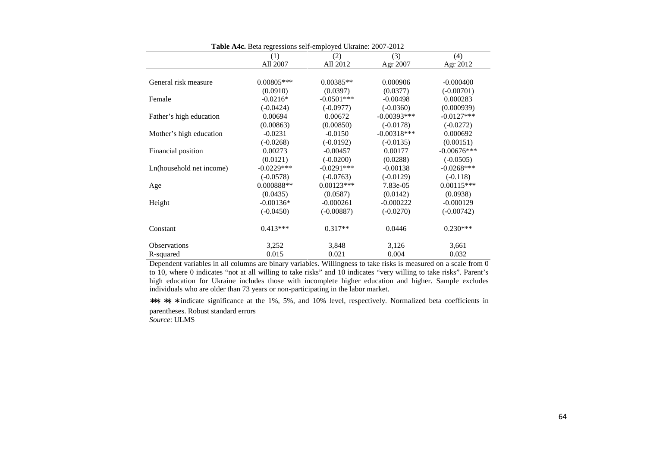|                          | Table A4c. Beta regressions self-employed Ukraine: 2007-2012 |              |               |               |  |
|--------------------------|--------------------------------------------------------------|--------------|---------------|---------------|--|
|                          | (1)                                                          | (2)          | (3)           | (4)           |  |
|                          | All 2007                                                     | All 2012     | Agr 2007      | Agr 2012      |  |
|                          |                                                              |              |               |               |  |
| General risk measure     | $0.00805***$                                                 | $0.00385**$  | 0.000906      | $-0.000400$   |  |
|                          | (0.0910)                                                     | (0.0397)     | (0.0377)      | $(-0.00701)$  |  |
| Female                   | $-0.0216*$                                                   | $-0.0501***$ | $-0.00498$    | 0.000283      |  |
|                          | $(-0.0424)$                                                  | $(-0.0977)$  | $(-0.0360)$   | (0.000939)    |  |
| Father's high education  | 0.00694                                                      | 0.00672      | $-0.00393***$ | $-0.0127***$  |  |
|                          | (0.00863)                                                    | (0.00850)    | $(-0.0178)$   | $(-0.0272)$   |  |
| Mother's high education  | $-0.0231$                                                    | $-0.0150$    | $-0.00318***$ | 0.000692      |  |
|                          | $(-0.0268)$                                                  | $(-0.0192)$  | $(-0.0135)$   | (0.00151)     |  |
| Financial position       | 0.00273                                                      | $-0.00457$   | 0.00177       | $-0.00676***$ |  |
|                          | (0.0121)                                                     | $(-0.0200)$  | (0.0288)      | $(-0.0505)$   |  |
| Ln(household net income) | $-0.0229***$                                                 | $-0.0291***$ | $-0.00138$    | $-0.0268***$  |  |
|                          | $(-0.0578)$                                                  | $(-0.0763)$  | $(-0.0129)$   | $(-0.118)$    |  |
| Age                      | $0.000888**$                                                 | $0.00123***$ | 7.83e-05      | $0.00115***$  |  |
|                          | (0.0435)                                                     | (0.0587)     | (0.0142)      | (0.0938)      |  |
| Height                   | $-0.00136*$                                                  | $-0.000261$  | $-0.000222$   | $-0.000129$   |  |
|                          | $(-0.0450)$                                                  | $(-0.00887)$ | $(-0.0270)$   | $(-0.00742)$  |  |
| Constant                 | $0.413***$                                                   | $0.317**$    | 0.0446        | $0.230***$    |  |
| <b>Observations</b>      | 3,252                                                        | 3,848        | 3,126         | 3,661         |  |
| R-squared                | 0.015                                                        | 0.021        | 0.004         | 0.032         |  |

Dependent variables in all columns are binary variables. Willingness to take risks is measured on a scale from 0 to 10, where 0 indicates "not at all willing to take risks" and 10 indicates "very willing to take risks". Parent's high education for Ukraine includes those with incomplete higher education and higher. Sample excludes individuals who are older than 73 years or non-participating in the labor market.

∗∗∗, ∗∗, indicate significance at the 1%, 5%, and 10% level, respectively. Normalized beta coefficients in parentheses. Robust standard errors

*Source*: ULMS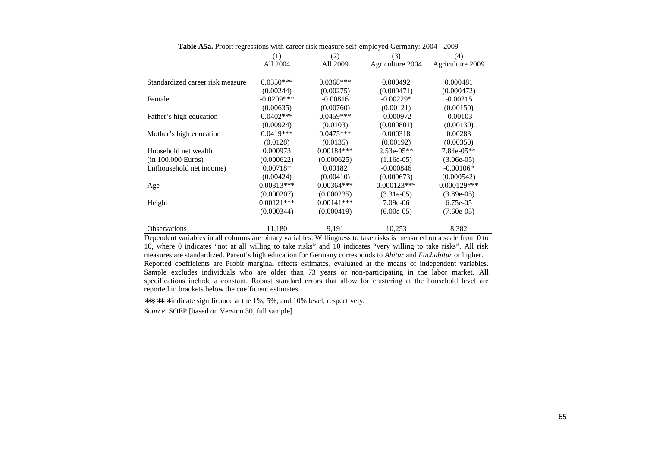|                                  | (1)          | (2)          | (3)              | (4)              |
|----------------------------------|--------------|--------------|------------------|------------------|
|                                  | All 2004     | All 2009     | Agriculture 2004 | Agriculture 2009 |
|                                  |              |              |                  |                  |
| Standardized career risk measure | $0.0350***$  | $0.0368***$  | 0.000492         | 0.000481         |
|                                  | (0.00244)    | (0.00275)    | (0.000471)       | (0.000472)       |
| Female                           | $-0.0209***$ | $-0.00816$   | $-0.00229*$      | $-0.00215$       |
|                                  | (0.00635)    | (0.00760)    | (0.00121)        | (0.00150)        |
| Father's high education          | $0.0402***$  | $0.0459***$  | $-0.000972$      | $-0.00103$       |
|                                  | (0.00924)    | (0.0103)     | (0.000801)       | (0.00130)        |
| Mother's high education          | $0.0419***$  | $0.0475***$  | 0.000318         | 0.00283          |
|                                  | (0.0128)     | (0.0135)     | (0.00192)        | (0.00350)        |
| Household net wealth             | 0.000973     | $0.00184***$ | $2.53e-05**$     | $7.84e-05**$     |
| (in 100.000 Euros)               | (0.000622)   | (0.000625)   | $(1.16e-0.5)$    | $(3.06e-05)$     |
| Ln(household net income)         | $0.00718*$   | 0.00182      | $-0.000846$      | $-0.00106*$      |
|                                  | (0.00424)    | (0.00410)    | (0.000673)       | (0.000542)       |
| Age                              | $0.00313***$ | $0.00364***$ | $0.000123***$    | $0.000129***$    |
|                                  | (0.000207)   | (0.000235)   | $(3.31e-05)$     | $(3.89e-05)$     |
| Height                           | $0.00121***$ | $0.00141***$ | 7.09e-06         | 6.75e-05         |
|                                  | (0.000344)   | (0.000419)   | $(6.00e-05)$     | $(7.60e-05)$     |
| <b>Observations</b>              | 11,180       | 9,191        | 10,253           | 8,382            |

**Table A5a.** Probit regressions with career risk measure self-employed Germany: 2004 - 2009

Dependent variables in all columns are binary variables. Willingness to take risks is measured on a scale from 0 to 10, where 0 indicates "not at all willing to take risks" and 10 indicates "very willing to take risks". All risk measures are standardized. Parent's high education for Germany corresponds to *Abitur* and *Fachabitur* or higher. Reported coefficients are Probit marginal effects estimates, evaluated at the means of independent variables. Sample excludes individuals who are older than 73 years or non-participating in the labor market. All specifications include a constant. Robust standard errors that allow for clustering at the household level are reported in brackets below the coefficient estimates.

∗∗∗, ∗∗, indicate significance at the 1%, 5%, and 10% level, respectively.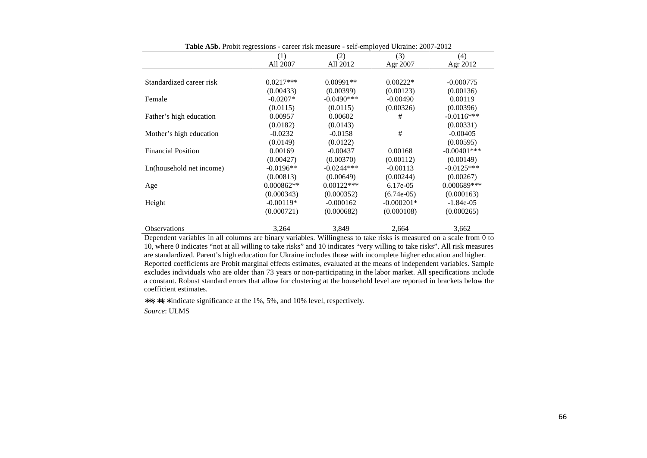|                           | (1)          | (2)           | (3)          | (4)            |
|---------------------------|--------------|---------------|--------------|----------------|
|                           | All 2007     | All 2012      | Agr 2007     | Agr 2012       |
|                           |              |               |              |                |
| Standardized career risk  | $0.0217***$  | $0.00991**$   | $0.00222*$   | $-0.000775$    |
|                           | (0.00433)    | (0.00399)     | (0.00123)    | (0.00136)      |
| Female                    | $-0.0207*$   | $-0.0490$ *** | $-0.00490$   | 0.00119        |
|                           | (0.0115)     | (0.0115)      | (0.00326)    | (0.00396)      |
| Father's high education   | 0.00957      | 0.00602       | #            | $-0.0116***$   |
|                           | (0.0182)     | (0.0143)      |              | (0.00331)      |
| Mother's high education   | $-0.0232$    | $-0.0158$     | #            | $-0.00405$     |
|                           | (0.0149)     | (0.0122)      |              | (0.00595)      |
| <b>Financial Position</b> | 0.00169      | $-0.00437$    | 0.00168      | $-0.00401$ *** |
|                           | (0.00427)    | (0.00370)     | (0.00112)    | (0.00149)      |
| Ln(household net income)  | $-0.0196**$  | $-0.0244***$  | $-0.00113$   | $-0.0125***$   |
|                           | (0.00813)    | (0.00649)     | (0.00244)    | (0.00267)      |
| Age                       | $0.000862**$ | $0.00122***$  | 6.17e-05     | $0.000689***$  |
|                           | (0.000343)   | (0.000352)    | $(6.74e-05)$ | (0.000163)     |
| Height                    | $-0.00119*$  | $-0.000162$   | $-0.000201*$ | $-1.84e-05$    |
|                           | (0.000721)   | (0.000682)    | (0.000108)   | (0.000265)     |
| <b>Observations</b>       | 3,264        | 3,849         | 2,664        | 3,662          |

**Table A5b.** Probit regressions - career risk measure - self-employed Ukraine: 2007-2012

Dependent variables in all columns are binary variables. Willingness to take risks is measured on a scale from 0 to 10, where 0 indicates "not at all willing to take risks" and 10 indicates "very willing to take risks". All risk measures are standardized. Parent's high education for Ukraine includes those with incomplete higher education and higher. Reported coefficients are Probit marginal effects estimates, evaluated at the means of independent variables. Sample excludes individuals who are older than 73 years or non-participating in the labor market. All specifications include a constant. Robust standard errors that allow for clustering at the household level are reported in brackets below the coefficient estimates.

∗∗∗, ∗∗, indicate significance at the 1%, 5%, and 10% level, respectively.

*Source*: ULMS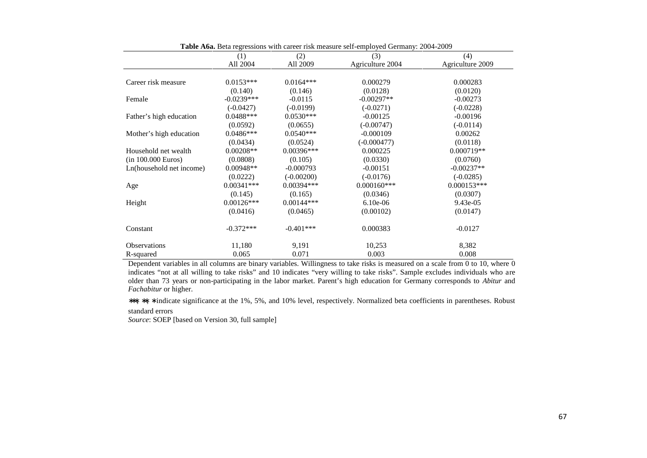|                          | (1)          | (2)          | <b>Tuble Hour Deta regressions with eareer how measure sent employed Octinumy</b> , 2001 2007<br>(3) | (4)              |  |
|--------------------------|--------------|--------------|------------------------------------------------------------------------------------------------------|------------------|--|
|                          | All 2004     | All 2009     | Agriculture 2004                                                                                     | Agriculture 2009 |  |
|                          |              |              |                                                                                                      |                  |  |
| Career risk measure      | $0.0153***$  | $0.0164***$  | 0.000279                                                                                             | 0.000283         |  |
|                          | (0.140)      | (0.146)      | (0.0128)                                                                                             | (0.0120)         |  |
| Female                   | $-0.0239***$ | $-0.0115$    | $-0.00297**$                                                                                         | $-0.00273$       |  |
|                          | $(-0.0427)$  | $(-0.0199)$  | $(-0.0271)$                                                                                          | $(-0.0228)$      |  |
| Father's high education  | $0.0488***$  | $0.0530***$  | $-0.00125$                                                                                           | $-0.00196$       |  |
|                          | (0.0592)     | (0.0655)     | $(-0.00747)$                                                                                         | $(-0.0114)$      |  |
| Mother's high education  | $0.0486***$  | $0.0540***$  | $-0.000109$                                                                                          | 0.00262          |  |
|                          | (0.0434)     | (0.0524)     | $(-0.000477)$                                                                                        | (0.0118)         |  |
| Household net wealth     | $0.00208**$  | $0.00396***$ | 0.000225                                                                                             | $0.000719**$     |  |
| (in 100.000 Euros)       | (0.0808)     | (0.105)      | (0.0330)                                                                                             | (0.0760)         |  |
| Ln(household net income) | $0.00948**$  | $-0.000793$  | $-0.00151$                                                                                           | $-0.00237**$     |  |
|                          | (0.0222)     | $(-0.00200)$ | $(-0.0176)$                                                                                          | $(-0.0285)$      |  |
| Age                      | $0.00341***$ | $0.00394***$ | $0.000160***$                                                                                        | $0.000153***$    |  |
|                          | (0.145)      | (0.165)      | (0.0346)                                                                                             | (0.0307)         |  |
| Height                   | $0.00126***$ | $0.00144***$ | $6.10e-06$                                                                                           | 9.43e-05         |  |
|                          | (0.0416)     | (0.0465)     | (0.00102)                                                                                            | (0.0147)         |  |
| Constant                 | $-0.372***$  | $-0.401***$  | 0.000383                                                                                             | $-0.0127$        |  |
| <b>Observations</b>      | 11,180       | 9,191        | 10,253                                                                                               | 8,382            |  |
| R-squared                | 0.065        | 0.071        | 0.003                                                                                                | 0.008            |  |

**Table A6a.** Beta regressions with career risk measure self-employed Germany: 2004-2009

Dependent variables in all columns are binary variables. Willingness to take risks is measured on a scale from 0 to 10, where 0 indicates "not at all willing to take risks" and 10 indicates "very willing to take risks". Sample excludes individuals who are older than 73 years or non-participating in the labor market. Parent's high education for Germany corresponds to *Abitur* and *Fachabitur* or higher.

∗∗∗, ∗∗, indicate significance at the 1%, 5%, and 10% level, respectively. Normalized beta coefficients in parentheses. Robust standard errors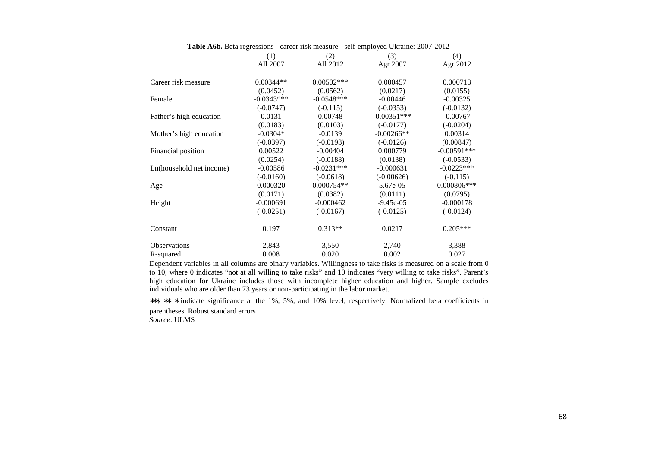|                          | (1)          | (2)          | (3)           | (4)           |
|--------------------------|--------------|--------------|---------------|---------------|
|                          | All 2007     | All 2012     | Agr 2007      | Agr 2012      |
|                          |              |              |               |               |
| Career risk measure      | $0.00344**$  | $0.00502***$ | 0.000457      | 0.000718      |
|                          | (0.0452)     | (0.0562)     | (0.0217)      | (0.0155)      |
| Female                   | $-0.0343***$ | $-0.0548***$ | $-0.00446$    | $-0.00325$    |
|                          | $(-0.0747)$  | $(-0.115)$   | $(-0.0353)$   | $(-0.0132)$   |
| Father's high education  | 0.0131       | 0.00748      | $-0.00351***$ | $-0.00767$    |
|                          | (0.0183)     | (0.0103)     | $(-0.0177)$   | $(-0.0204)$   |
| Mother's high education  | $-0.0304*$   | $-0.0139$    | $-0.00266**$  | 0.00314       |
|                          | $(-0.0397)$  | $(-0.0193)$  | $(-0.0126)$   | (0.00847)     |
| Financial position       | 0.00522      | $-0.00404$   | 0.000779      | $-0.00591***$ |
|                          | (0.0254)     | $(-0.0188)$  | (0.0138)      | $(-0.0533)$   |
| Ln(household net income) | $-0.00586$   | $-0.0231***$ | $-0.000631$   | $-0.0223***$  |
|                          | $(-0.0160)$  | $(-0.0618)$  | $(-0.00626)$  | $(-0.115)$    |
| Age                      | 0.000320     | $0.000754**$ | 5.67e-05      | $0.000806***$ |
|                          | (0.0171)     | (0.0382)     | (0.0111)      | (0.0795)      |
| Height                   | $-0.000691$  | $-0.000462$  | $-9.45e-05$   | $-0.000178$   |
|                          | $(-0.0251)$  | $(-0.0167)$  | $(-0.0125)$   | $(-0.0124)$   |
|                          |              |              |               |               |
| Constant                 | 0.197        | $0.313**$    | 0.0217        | $0.205***$    |
| <b>Observations</b>      | 2,843        | 3,550        | 2,740         | 3,388         |
| R-squared                | 0.008        | 0.020        | 0.002         | 0.027         |

**Table A6b.** Beta regressions - career risk measure - self-employed Ukraine: 2007-2012

Dependent variables in all columns are binary variables. Willingness to take risks is measured on a scale from 0 to 10, where 0 indicates "not at all willing to take risks" and 10 indicates "very willing to take risks". Parent's high education for Ukraine includes those with incomplete higher education and higher. Sample excludes individuals who are older than 73 years or non-participating in the labor market.

∗∗∗, ∗∗, indicate significance at the 1%, 5%, and 10% level, respectively. Normalized beta coefficients in parentheses. Robust standard errors

*Source*: ULMS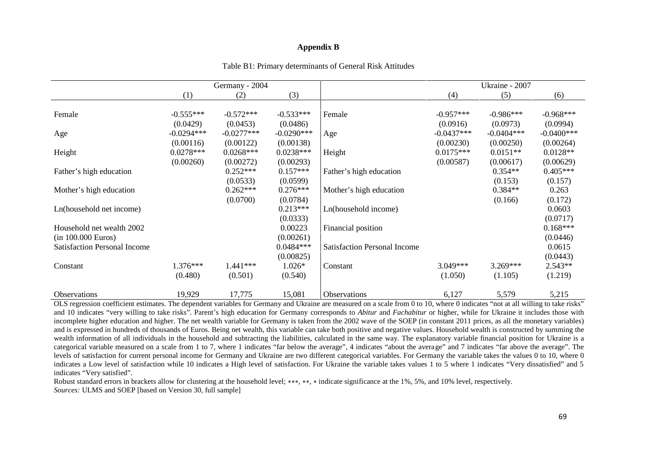#### **Appendix B**

|                                     | Germany - 2004 |              |              |                                     | Ukraine - 2007 |              |               |
|-------------------------------------|----------------|--------------|--------------|-------------------------------------|----------------|--------------|---------------|
|                                     | (1)            | (2)          | (3)          |                                     | (4)            | (5)          | (6)           |
|                                     |                |              |              |                                     |                |              |               |
| Female                              | $-0.555***$    | $-0.572***$  | $-0.533***$  | Female                              | $-0.957***$    | $-0.986***$  | $-0.968***$   |
|                                     | (0.0429)       | (0.0453)     | (0.0486)     |                                     | (0.0916)       | (0.0973)     | (0.0994)      |
| Age                                 | $-0.0294***$   | $-0.0277***$ | $-0.0290***$ | Age                                 | $-0.0437***$   | $-0.0404***$ | $-0.0400$ *** |
|                                     | (0.00116)      | (0.00122)    | (0.00138)    |                                     | (0.00230)      | (0.00250)    | (0.00264)     |
| Height                              | $0.0278***$    | $0.0268***$  | $0.0238***$  | Height                              | $0.0175***$    | $0.0151**$   | $0.0128**$    |
|                                     | (0.00260)      | (0.00272)    | (0.00293)    |                                     | (0.00587)      | (0.00617)    | (0.00629)     |
| Father's high education             |                | $0.252***$   | $0.157***$   | Father's high education             |                | $0.354**$    | $0.405***$    |
|                                     |                | (0.0533)     | (0.0599)     |                                     |                | (0.153)      | (0.157)       |
| Mother's high education             |                | $0.262***$   | $0.276***$   | Mother's high education             |                | $0.384**$    | 0.263         |
|                                     |                | (0.0700)     | (0.0784)     |                                     |                | (0.166)      | (0.172)       |
| Ln(household net income)            |                |              | $0.213***$   | Ln(household income)                |                |              | 0.0603        |
|                                     |                |              | (0.0333)     |                                     |                |              | (0.0717)      |
|                                     |                |              |              |                                     |                |              |               |
| Household net wealth 2002           |                |              | 0.00223      | Financial position                  |                |              | $0.168***$    |
| (in 100.000 Euros)                  |                |              | (0.00261)    |                                     |                |              | (0.0446)      |
| <b>Satisfaction Personal Income</b> |                |              | $0.0484***$  | <b>Satisfaction Personal Income</b> |                |              | 0.0615        |
|                                     |                |              | (0.00825)    |                                     |                |              | (0.0443)      |
| Constant                            | $1.376***$     | $1.441***$   | $1.026*$     | Constant                            | 3.049***       | $3.269***$   | $2.543**$     |
|                                     | (0.480)        | (0.501)      | (0.540)      |                                     | (1.050)        | (1.105)      | (1.219)       |
| Observations                        | 19,929         | 17,775       | 15,081       | Observations                        | 6,127          | 5,579        | 5,215         |

### Table B1: Primary determinants of General Risk Attitudes

OLS regression coefficient estimates. The dependent variables for Germany and Ukraine are measured on a scale from 0 to 10, where 0 indicates "not at all willing to take risks" and 10 indicates "very willing to take risks". Parent's high education for Germany corresponds to *Abitur* and *Fachabitur* or higher, while for Ukraine it includes those with incomplete higher education and higher. The net wealth variable for Germany is taken from the 2002 wave of the SOEP (in constant 2011 prices, as all the monetary variables) and is expressed in hundreds of thousands of Euros. Being net wealth, this variable can take both positive and negative values. Household wealth is constructed by summing the wealth information of all individuals in the household and subtracting the liabilities, calculated in the same way. The explanatory variable financial position for Ukraine is a categorical variable measured on a scale from 1 to 7, where 1 indicates "far below the average", 4 indicates "about the average" and 7 indicates "far above the average". The levels of satisfaction for current personal income for Germany and Ukraine are two different categorical variables. For Germany the variable takes the values 0 to 10, where 0 indicates a Low level of satisfaction while 10 indicates a High level of satisfaction. For Ukraine the variable takes values 1 to 5 where 1 indicates "Very dissatisfied" and 5 indicates "Very satisfied".

Robust standard errors in brackets allow for clustering at the household level; \*\*\*, \*\*, \*indicate significance at the 1%, 5%, and 10% level, respectively. *Sources:* ULMS and SOEP [based on Version 30, full sample]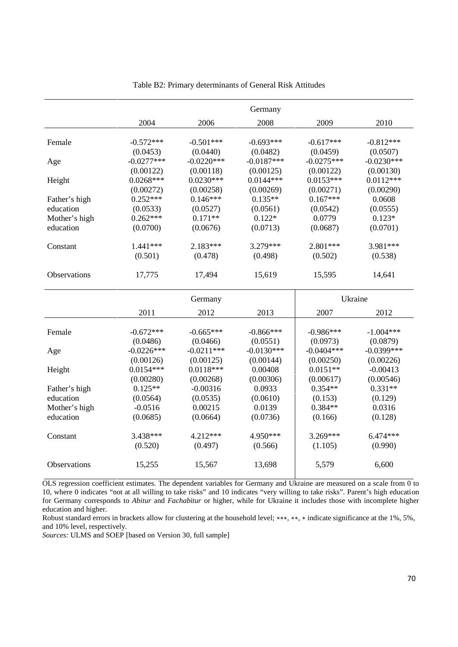|               |              |              | Germany      |              |               |
|---------------|--------------|--------------|--------------|--------------|---------------|
|               | 2004         | 2006         | 2008         | 2009         | 2010          |
|               |              |              |              |              |               |
| Female        | $-0.572***$  | $-0.501***$  | $-0.693***$  | $-0.617***$  | $-0.812***$   |
|               | (0.0453)     | (0.0440)     | (0.0482)     | (0.0459)     | (0.0507)      |
| Age           | $-0.0277***$ | $-0.0220***$ | $-0.0187***$ | $-0.0275***$ | $-0.0230***$  |
|               | (0.00122)    | (0.00118)    | (0.00125)    | (0.00122)    | (0.00130)     |
| Height        | $0.0268***$  | $0.0230***$  | $0.0144***$  | $0.0153***$  | $0.0112***$   |
|               | (0.00272)    | (0.00258)    | (0.00269)    | (0.00271)    | (0.00290)     |
| Father's high | $0.252***$   | $0.146***$   | $0.135**$    | $0.167***$   | 0.0608        |
| education     | (0.0533)     | (0.0527)     | (0.0561)     | (0.0542)     | (0.0555)      |
| Mother's high | $0.262***$   | $0.171**$    | $0.122*$     | 0.0779       | $0.123*$      |
| education     | (0.0700)     | (0.0676)     | (0.0713)     | (0.0687)     | (0.0701)      |
| Constant      | $1.441***$   | $2.183***$   | 3.279***     | $2.801***$   | 3.981***      |
|               | (0.501)      | (0.478)      | (0.498)      | (0.502)      | (0.538)       |
| Observations  | 17,775       | 17,494       | 15,619       | 15,595       | 14,641        |
|               |              | Germany      |              |              | Ukraine       |
|               | 2011         | 2012         | 2013         | 2007         | 2012          |
|               |              |              |              |              |               |
| Female        | $-0.672***$  | $-0.665***$  | $-0.866***$  | $-0.986***$  | $-1.004***$   |
|               | (0.0486)     | (0.0466)     | (0.0551)     | (0.0973)     | (0.0879)      |
| Age           | $-0.0226***$ | $-0.0211***$ | $-0.0130***$ | $-0.0404***$ | $-0.0399$ *** |
|               | (0.00126)    | (0.00125)    | (0.00144)    | (0.00250)    | (0.00226)     |
| Height        | $0.0154***$  | $0.0118***$  | 0.00408      | $0.0151**$   | $-0.00413$    |
|               | (0.00280)    | (0.00268)    | (0.00306)    | (0.00617)    | (0.00546)     |
| Father's high | $0.125**$    | $-0.00316$   | 0.0933       | $0.354**$    | $0.331**$     |
| education     | (0.0564)     | (0.0535)     | (0.0610)     | (0.153)      | (0.129)       |
| Mother's high | $-0.0516$    | 0.00215      | 0.0139       | $0.384**$    | 0.0316        |
| education     | (0.0685)     | (0.0664)     | (0.0736)     | (0.166)      | (0.128)       |
| Constant      | 3.438***     | 4.212***     | 4.950***     | $3.269***$   | $6.474***$    |
|               | (0.520)      | (0.497)      | (0.566)      | (1.105)      | (0.990)       |
| Observations  | 15,255       | 15,567       | 13,698       | 5,579        | 6,600         |
|               |              |              |              |              |               |

Table B2: Primary determinants of General Risk Attitudes

OLS regression coefficient estimates. The dependent variables for Germany and Ukraine are measured on a scale from 0 to 10, where 0 indicates "not at all willing to take risks" and 10 indicates "very willing to take risks". Parent's high education for Germany corresponds to *Abitur* and *Fachabitur* or higher, while for Ukraine it includes those with incomplete higher education and higher.

Robust standard errors in brackets allow for clustering at the household level; \*\*\*, \*\*, \* indicate significance at the 1%, 5%, and 10% level, respectively.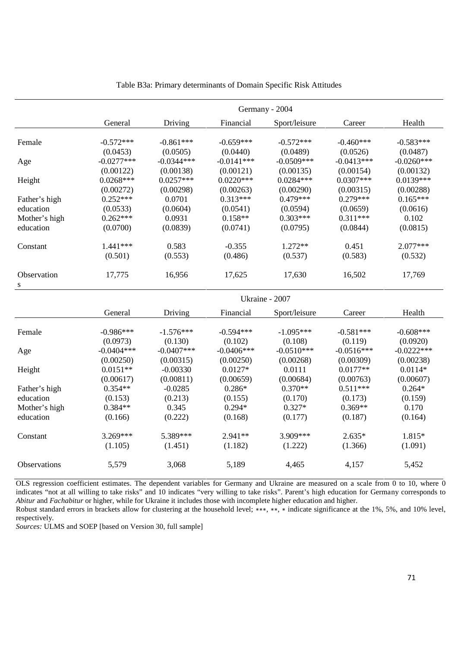|               |              |              |              | Germany - 2004 |              |              |
|---------------|--------------|--------------|--------------|----------------|--------------|--------------|
|               | General      | Driving      | Financial    | Sport/leisure  | Career       | Health       |
| Female        | $-0.572***$  | $-0.861***$  | $-0.659***$  | $-0.572***$    | $-0.460***$  | $-0.583***$  |
|               | (0.0453)     | (0.0505)     | (0.0440)     | (0.0489)       | (0.0526)     | (0.0487)     |
| Age           | $-0.0277***$ | $-0.0344***$ | $-0.0141***$ | $-0.0509***$   | $-0.0413***$ | $-0.0260***$ |
|               | (0.00122)    | (0.00138)    | (0.00121)    | (0.00135)      | (0.00154)    | (0.00132)    |
| Height        | $0.0268***$  | $0.0257***$  | $0.0220***$  | $0.0284***$    | $0.0307***$  | $0.0139***$  |
|               | (0.00272)    | (0.00298)    | (0.00263)    | (0.00290)      | (0.00315)    | (0.00288)    |
| Father's high | $0.252***$   | 0.0701       | $0.313***$   | $0.479***$     | $0.279***$   | $0.165***$   |
| education     | (0.0533)     | (0.0604)     | (0.0541)     | (0.0594)       | (0.0659)     | (0.0616)     |
| Mother's high | $0.262***$   | 0.0931       | $0.158**$    | $0.303***$     | $0.311***$   | 0.102        |
| education     | (0.0700)     | (0.0839)     | (0.0741)     | (0.0795)       | (0.0844)     | (0.0815)     |
|               |              |              |              |                |              |              |
| Constant      | $1.441***$   | 0.583        | $-0.355$     | $1.272**$      | 0.451        | $2.077***$   |
|               | (0.501)      | (0.553)      | (0.486)      | (0.537)        | (0.583)      | (0.532)      |
| Observation   | 17,775       | 16,956       | 17,625       | 17,630         | 16,502       | 17,769       |
| ${\bf S}$     |              |              |              |                |              |              |
|               |              |              |              | Ukraine - 2007 |              |              |
|               | General      | Driving      | Financial    | Sport/leisure  | Career       | Health       |
| Female        | $-0.986***$  | $-1.576***$  | $-0.594***$  | $-1.095***$    | $-0.581***$  | $-0.608***$  |
|               | (0.0973)     | (0.130)      | (0.102)      | (0.108)        | (0.119)      | (0.0920)     |
| Age           | $-0.0404***$ | $-0.0407***$ | $-0.0406***$ | $-0.0510***$   | $-0.0516***$ | $-0.0222***$ |
|               | (0.00250)    | (0.00315)    | (0.00250)    | (0.00268)      | (0.00309)    | (0.00238)    |
| Height        | $0.0151**$   | $-0.00330$   | $0.0127*$    | 0.0111         | $0.0177**$   | $0.0114*$    |
|               | (0.00617)    | (0.00811)    | (0.00659)    | (0.00684)      | (0.00763)    | (0.00607)    |
| Father's high | $0.354**$    | $-0.0285$    | $0.286*$     | $0.370**$      | $0.511***$   | $0.264*$     |
| education     | (0.153)      | (0.213)      | (0.155)      | (0.170)        | (0.173)      | (0.159)      |
| Mother's high | $0.384**$    | 0.345        | $0.294*$     | $0.327*$       | $0.369**$    | 0.170        |
| education     | (0.166)      | (0.222)      | (0.168)      | (0.177)        | (0.187)      | (0.164)      |
| Constant      | $3.269***$   | 5.389***     | $2.941**$    | 3.909***       | $2.635*$     | 1.815*       |
|               |              |              |              |                |              |              |
|               | (1.105)      | (1.451)      | (1.182)      | (1.222)        | (1.366)      | (1.091)      |

| Table B3a: Primary determinants of Domain Specific Risk Attitudes |  |  |  |  |  |
|-------------------------------------------------------------------|--|--|--|--|--|
|-------------------------------------------------------------------|--|--|--|--|--|

OLS regression coefficient estimates. The dependent variables for Germany and Ukraine are measured on a scale from 0 to 10, where 0 indicates "not at all willing to take risks" and 10 indicates "very willing to take risks". Parent's high education for Germany corresponds to *Abitur* and *Fachabitur* or higher, while for Ukraine it includes those with incomplete higher education and higher.

Robust standard errors in brackets allow for clustering at the household level; \*\*\*, \*\*, \* indicate significance at the 1%, 5%, and 10% level, respectively.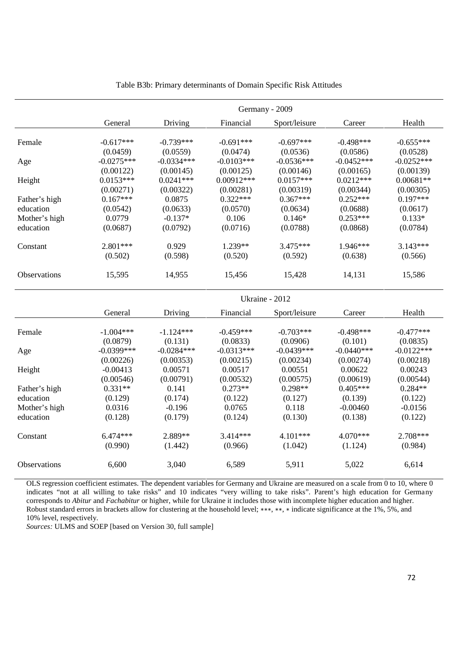|               | Germany - 2009          |                     |                         |                         |                         |                         |  |
|---------------|-------------------------|---------------------|-------------------------|-------------------------|-------------------------|-------------------------|--|
|               | General                 | Driving             | Financial               | Sport/leisure           | Career                  | Health                  |  |
| Female        | $-0.617***$             | $-0.739***$         | $-0.691***$             | $-0.697***$             | $-0.498***$             | $-0.655***$             |  |
|               | (0.0459)                | (0.0559)            | (0.0474)                | (0.0536)                | (0.0586)                | (0.0528)                |  |
| Age           | $-0.0275***$            | $-0.0334***$        | $-0.0103***$            | $-0.0536***$            | $-0.0452***$            | $-0.0252***$            |  |
|               | (0.00122)               | (0.00145)           | (0.00125)               | (0.00146)               | (0.00165)               | (0.00139)               |  |
| Height        | $0.0153***$             | $0.0241***$         | $0.00912***$            | $0.0157***$             | $0.0212***$             | $0.00681**$             |  |
|               |                         |                     |                         |                         |                         |                         |  |
|               | (0.00271)<br>$0.167***$ | (0.00322)<br>0.0875 | (0.00281)<br>$0.322***$ | (0.00319)<br>$0.367***$ | (0.00344)<br>$0.252***$ | (0.00305)<br>$0.197***$ |  |
| Father's high |                         |                     |                         |                         |                         |                         |  |
| education     | (0.0542)                | (0.0633)            | (0.0570)                | (0.0634)                | (0.0688)                | (0.0617)                |  |
| Mother's high | 0.0779                  | $-0.137*$           | 0.106                   | $0.146*$                | $0.253***$              | $0.133*$                |  |
| education     | (0.0687)                | (0.0792)            | (0.0716)                | (0.0788)                | (0.0868)                | (0.0784)                |  |
| Constant      | $2.801***$              | 0.929               | $1.239**$               | $3.475***$              | $1.946***$              | $3.143***$              |  |
|               | (0.502)                 | (0.598)             | (0.520)                 | (0.592)                 | (0.638)                 | (0.566)                 |  |
| Observations  | 15,595                  | 14,955              | 15,456                  | 15,428                  | 14,131                  | 15,586                  |  |
|               |                         |                     |                         | Ukraine - 2012          |                         |                         |  |
|               | General                 | Driving             | Financial               | Sport/leisure           | Career                  | Health                  |  |
| Female        | $-1.004***$             | $-1.124***$         | $-0.459***$             | $-0.703***$             | $-0.498***$             | $-0.477***$             |  |
|               | (0.0879)                | (0.131)             | (0.0833)                | (0.0906)                | (0.101)                 | (0.0835)                |  |
| Age           | $-0.0399***$            | $-0.0284***$        | $-0.0313***$            | $-0.0439***$            | $-0.0440***$            | $-0.0122***$            |  |
|               | (0.00226)               | (0.00353)           | (0.00215)               | (0.00234)               | (0.00274)               | (0.00218)               |  |
| Height        | $-0.00413$              | 0.00571             | 0.00517                 | 0.00551                 | 0.00622                 | 0.00243                 |  |
|               | (0.00546)               | (0.00791)           | (0.00532)               | (0.00575)               | (0.00619)               | (0.00544)               |  |
| Father's high | $0.331**$               | 0.141               | $0.273**$               | $0.298**$               | $0.405***$              | $0.284**$               |  |
| education     | (0.129)                 | (0.174)             | (0.122)                 | (0.127)                 | (0.139)                 | (0.122)                 |  |
| Mother's high | 0.0316                  | $-0.196$            | 0.0765                  | 0.118                   | $-0.00460$              | $-0.0156$               |  |
| education     | (0.128)                 | (0.179)             | (0.124)                 | (0.130)                 | (0.138)                 | (0.122)                 |  |
| Constant      | $6.474***$              | 2.889**             | $3.414***$              | 4.101***                | $4.070***$              | 2.708***                |  |
|               | (0.990)                 | (1.442)             | (0.966)                 | (1.042)                 | (1.124)                 | (0.984)                 |  |
| Observations  | 6,600                   | 3,040               | 6,589                   | 5,911                   | 5,022                   | 6,614                   |  |

Table B3b: Primary determinants of Domain Specific Risk Attitudes

OLS regression coefficient estimates. The dependent variables for Germany and Ukraine are measured on a scale from 0 to 10, where 0 indicates "not at all willing to take risks" and 10 indicates "very willing to take risks". Parent's high education for Germany corresponds to *Abitur* and *Fachabitur* or higher, while for Ukraine it includes those with incomplete higher education and higher. Robust standard errors in brackets allow for clustering at the household level; \*\*\*, \*\*, \* indicate significance at the 1%, 5%, and 10% level, respectively.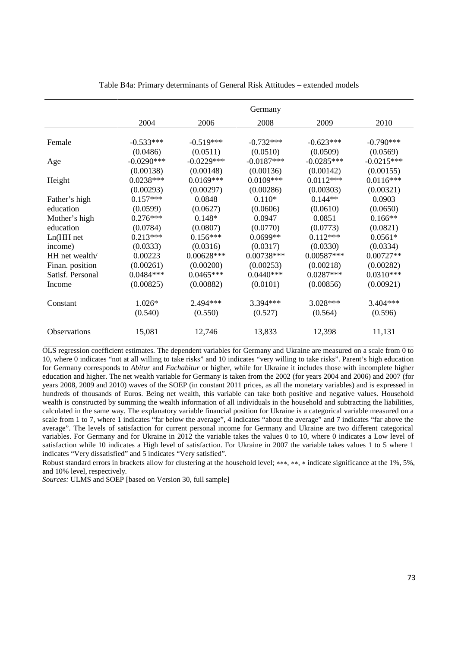|                  | Germany      |              |              |              |              |  |
|------------------|--------------|--------------|--------------|--------------|--------------|--|
|                  | 2004         | 2006         | 2008         | 2009         | 2010         |  |
| Female           | $-0.533***$  | $-0.519***$  | $-0.732***$  | $-0.623***$  | $-0.790***$  |  |
|                  | (0.0486)     | (0.0511)     | (0.0510)     | (0.0509)     | (0.0569)     |  |
| Age              | $-0.0290***$ | $-0.0229***$ | $-0.0187***$ | $-0.0285***$ | $-0.0215***$ |  |
|                  | (0.00138)    | (0.00148)    | (0.00136)    | (0.00142)    | (0.00155)    |  |
| Height           | $0.0238***$  | $0.0169***$  | $0.0109***$  | $0.0112***$  | $0.0116***$  |  |
|                  | (0.00293)    | (0.00297)    | (0.00286)    | (0.00303)    | (0.00321)    |  |
| Father's high    | $0.157***$   | 0.0848       | $0.110*$     | $0.144**$    | 0.0903       |  |
| education        | (0.0599)     | (0.0627)     | (0.0606)     | (0.0610)     | (0.0650)     |  |
| Mother's high    | $0.276***$   | $0.148*$     | 0.0947       | 0.0851       | $0.166**$    |  |
| education        | (0.0784)     | (0.0807)     | (0.0770)     | (0.0773)     | (0.0821)     |  |
| $Ln(HH$ net      | $0.213***$   | $0.156***$   | $0.0699**$   | $0.112***$   | $0.0561*$    |  |
| income)          | (0.0333)     | (0.0316)     | (0.0317)     | (0.0330)     | (0.0334)     |  |
| HH net wealth/   | 0.00223      | $0.00628***$ | $0.00738***$ | $0.00587***$ | $0.00727**$  |  |
| Finan. position  | (0.00261)    | (0.00200)    | (0.00253)    | (0.00218)    | (0.00282)    |  |
| Satisf. Personal | $0.0484***$  | $0.0465***$  | $0.0440***$  | $0.0287***$  | $0.0310***$  |  |
| Income           | (0.00825)    | (0.00882)    | (0.0101)     | (0.00856)    | (0.00921)    |  |
| Constant         | $1.026*$     | 2.494***     | $3.394***$   | $3.028***$   | $3.404***$   |  |
|                  | (0.540)      | (0.550)      | (0.527)      | (0.564)      | (0.596)      |  |
| Observations     | 15,081       | 12,746       | 13,833       | 12,398       | 11,131       |  |

Table B4a: Primary determinants of General Risk Attitudes – extended models

OLS regression coefficient estimates. The dependent variables for Germany and Ukraine are measured on a scale from 0 to 10, where 0 indicates "not at all willing to take risks" and 10 indicates "very willing to take risks". Parent's high education for Germany corresponds to *Abitur* and *Fachabitur* or higher, while for Ukraine it includes those with incomplete higher education and higher. The net wealth variable for Germany is taken from the 2002 (for years 2004 and 2006) and 2007 (for years 2008, 2009 and 2010) waves of the SOEP (in constant 2011 prices, as all the monetary variables) and is expressed in hundreds of thousands of Euros. Being net wealth, this variable can take both positive and negative values. Household wealth is constructed by summing the wealth information of all individuals in the household and subtracting the liabilities, calculated in the same way. The explanatory variable financial position for Ukraine is a categorical variable measured on a scale from 1 to 7, where 1 indicates "far below the average", 4 indicates "about the average" and 7 indicates "far above the average". The levels of satisfaction for current personal income for Germany and Ukraine are two different categorical variables. For Germany and for Ukraine in 2012 the variable takes the values 0 to 10, where 0 indicates a Low level of satisfaction while 10 indicates a High level of satisfaction. For Ukraine in 2007 the variable takes values 1 to 5 where 1 indicates "Very dissatisfied" and 5 indicates "Very satisfied".

Robust standard errors in brackets allow for clustering at the household level; \*\*\*, \*\*, \* indicate significance at the 1%, 5%, and 10% level, respectively.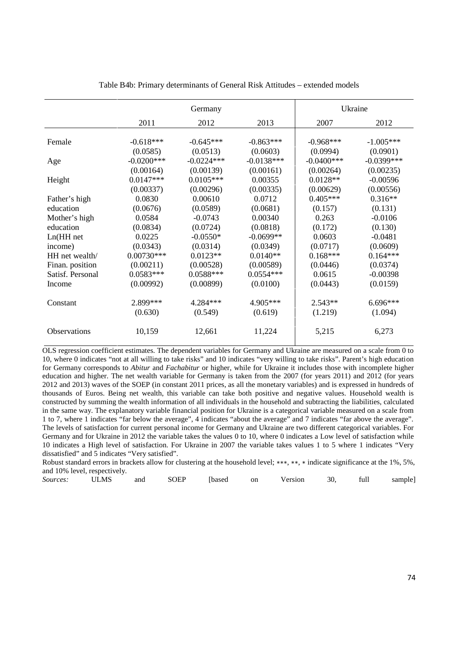|                     |              | Germany      |              |              | Ukraine       |
|---------------------|--------------|--------------|--------------|--------------|---------------|
|                     | 2011         | 2012         | 2013         | 2007         | 2012          |
| Female              | $-0.618***$  | $-0.645***$  | $-0.863***$  | $-0.968***$  | $-1.005***$   |
|                     | (0.0585)     | (0.0513)     | (0.0603)     | (0.0994)     | (0.0901)      |
| Age                 | $-0.0200***$ | $-0.0224***$ | $-0.0138***$ | $-0.0400***$ | $-0.0399$ *** |
|                     | (0.00164)    | (0.00139)    | (0.00161)    | (0.00264)    | (0.00235)     |
| Height              | $0.0147***$  | $0.0105***$  | 0.00355      | $0.0128**$   | $-0.00596$    |
|                     | (0.00337)    | (0.00296)    | (0.00335)    | (0.00629)    | (0.00556)     |
| Father's high       | 0.0830       | 0.00610      | 0.0712       | $0.405***$   | $0.316**$     |
| education           | (0.0676)     | (0.0589)     | (0.0681)     | (0.157)      | (0.131)       |
| Mother's high       | 0.0584       | $-0.0743$    | 0.00340      | 0.263        | $-0.0106$     |
| education           | (0.0834)     | (0.0724)     | (0.0818)     | (0.172)      | (0.130)       |
| $Ln(HH$ net         | 0.0225       | $-0.0550*$   | $-0.0699**$  | 0.0603       | $-0.0481$     |
| income)             | (0.0343)     | (0.0314)     | (0.0349)     | (0.0717)     | (0.0609)      |
| HH net wealth/      | $0.00730***$ | $0.0123**$   | $0.0140**$   | $0.168***$   | $0.164***$    |
| Finan. position     | (0.00211)    | (0.00528)    | (0.00589)    | (0.0446)     | (0.0374)      |
| Satisf. Personal    | $0.0583***$  | $0.0588***$  | $0.0554***$  | 0.0615       | $-0.00398$    |
| Income              | (0.00992)    | (0.00899)    | (0.0100)     | (0.0443)     | (0.0159)      |
| Constant            | 2.899 ***    | 4.284***     | $4.905***$   | $2.543**$    | 6.696***      |
|                     | (0.630)      | (0.549)      | (0.619)      | (1.219)      | (1.094)       |
| <b>Observations</b> | 10,159       | 12,661       | 11,224       | 5,215        | 6,273         |

Table B4b: Primary determinants of General Risk Attitudes – extended models

OLS regression coefficient estimates. The dependent variables for Germany and Ukraine are measured on a scale from 0 to 10, where 0 indicates "not at all willing to take risks" and 10 indicates "very willing to take risks". Parent's high education for Germany corresponds to *Abitur* and *Fachabitur* or higher, while for Ukraine it includes those with incomplete higher education and higher. The net wealth variable for Germany is taken from the 2007 (for years 2011) and 2012 (for years 2012 and 2013) waves of the SOEP (in constant 2011 prices, as all the monetary variables) and is expressed in hundreds of thousands of Euros. Being net wealth, this variable can take both positive and negative values. Household wealth is constructed by summing the wealth information of all individuals in the household and subtracting the liabilities, calculated in the same way. The explanatory variable financial position for Ukraine is a categorical variable measured on a scale from 1 to 7, where 1 indicates "far below the average", 4 indicates "about the average" and 7 indicates "far above the average". The levels of satisfaction for current personal income for Germany and Ukraine are two different categorical variables. For Germany and for Ukraine in 2012 the variable takes the values 0 to 10, where 0 indicates a Low level of satisfaction while 10 indicates a High level of satisfaction. For Ukraine in 2007 the variable takes values 1 to 5 where 1 indicates "Very dissatisfied" and 5 indicates "Very satisfied".

Robust standard errors in brackets allow for clustering at the household level; \*\*\*, \*\*, \* indicate significance at the 1%, 5%, and 10% level, respectively.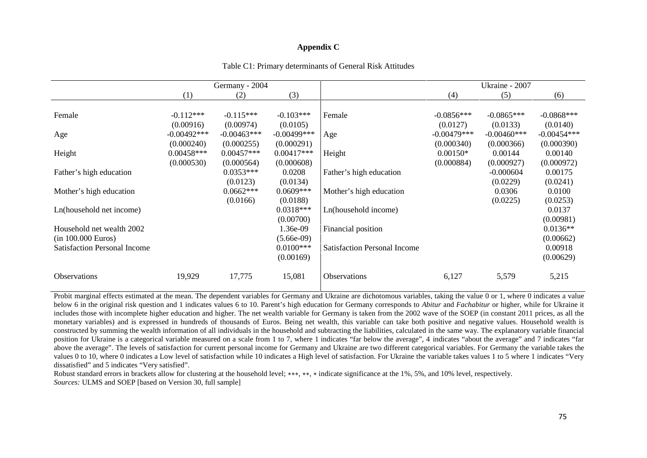## **Appendix C**

|                                     |               | Germany - 2004 |                |                                     | Ukraine - 2007 |                |               |
|-------------------------------------|---------------|----------------|----------------|-------------------------------------|----------------|----------------|---------------|
|                                     | (1)           | (2)            | (3)            |                                     | (4)            | (5)            | (6)           |
| Female                              | $-0.112***$   | $-0.115***$    | $-0.103***$    | Female                              | $-0.0856***$   | $-0.0865***$   | $-0.0868***$  |
|                                     | (0.00916)     | (0.00974)      | (0.0105)       |                                     | (0.0127)       | (0.0133)       | (0.0140)      |
| Age                                 | $-0.00492***$ | $-0.00463***$  | $-0.00499$ *** | Age                                 | $-0.00479***$  | $-0.00460$ *** | $-0.00454***$ |
|                                     | (0.000240)    | (0.000255)     | (0.000291)     |                                     | (0.000340)     | (0.000366)     | (0.000390)    |
| Height                              | $0.00458***$  | $0.00457***$   | $0.00417***$   | Height                              | $0.00150*$     | 0.00144        | 0.00140       |
|                                     | (0.000530)    | (0.000564)     | (0.000608)     |                                     | (0.000884)     | (0.000927)     | (0.000972)    |
| Father's high education             |               | $0.0353***$    | 0.0208         | Father's high education             |                | $-0.000604$    | 0.00175       |
|                                     |               | (0.0123)       | (0.0134)       |                                     |                | (0.0229)       | (0.0241)      |
| Mother's high education             |               | $0.0662***$    | $0.0609***$    | Mother's high education             |                | 0.0306         | 0.0100        |
|                                     |               | (0.0166)       | (0.0188)       |                                     |                | (0.0225)       | (0.0253)      |
| Ln(household net income)            |               |                | $0.0318***$    | Ln(household income)                |                |                | 0.0137        |
|                                     |               |                | (0.00700)      |                                     |                |                | (0.00981)     |
| Household net wealth 2002           |               |                | 1.36e-09       | Financial position                  |                |                | $0.0136**$    |
| (in 100.000 Euros)                  |               |                | $(5.66e-09)$   |                                     |                |                | (0.00662)     |
| <b>Satisfaction Personal Income</b> |               |                | $0.0100$ ***   | <b>Satisfaction Personal Income</b> |                |                | 0.00918       |
|                                     |               |                | (0.00169)      |                                     |                |                | (0.00629)     |
|                                     |               |                |                |                                     |                |                |               |
| <b>Observations</b>                 | 19,929        | 17,775         | 15,081         | Observations                        | 6,127          | 5,579          | 5,215         |
|                                     |               |                |                |                                     |                |                |               |

## Table C1: Primary determinants of General Risk Attitudes

Probit marginal effects estimated at the mean. The dependent variables for Germany and Ukraine are dichotomous variables, taking the value 0 or 1, where 0 indicates a value below 6 in the original risk question and 1 indicates values 6 to 10. Parent's high education for Germany corresponds to *Abitur* and *Fachabitur* or higher, while for Ukraine it includes those with incomplete higher education and higher. The net wealth variable for Germany is taken from the 2002 wave of the SOEP (in constant 2011 prices, as all the monetary variables) and is expressed in hundreds of thousands of Euros. Being net wealth, this variable can take both positive and negative values. Household wealth is constructed by summing the wealth information of all individuals in the household and subtracting the liabilities, calculated in the same way. The explanatory variable financial position for Ukraine is a categorical variable measured on a scale from 1 to 7, where 1 indicates "far below the average", 4 indicates "about the average" and 7 indicates "far above the average". The levels of satisfaction for current personal income for Germany and Ukraine are two different categorical variables. For Germany the variable takes the values 0 to 10, where 0 indicates a Low level of satisfaction while 10 indicates a High level of satisfaction. For Ukraine the variable takes values 1 to 5 where 1 indicates "Very dissatisfied" and 5 indicates "Very satisfied".

Robust standard errors in brackets allow for clustering at the household level; \*\*\*, \*\*, \* indicate significance at the 1%, 5%, and 10% level, respectively. *Sources:* ULMS and SOEP [based on Version 30, full sample]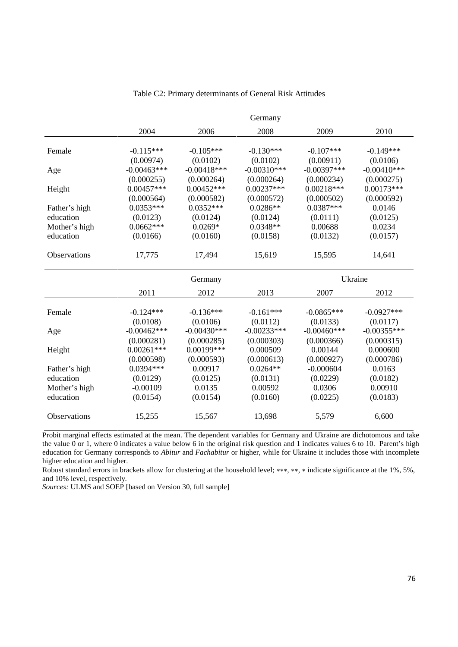|               | Germany       |               |               |                |               |  |  |
|---------------|---------------|---------------|---------------|----------------|---------------|--|--|
|               | 2004          | 2006          | 2008          | 2009           | 2010          |  |  |
| Female        | $-0.115***$   | $-0.105***$   | $-0.130***$   | $-0.107***$    | $-0.149***$   |  |  |
|               | (0.00974)     | (0.0102)      | (0.0102)      | (0.00911)      | (0.0106)      |  |  |
| Age           | $-0.00463***$ | $-0.00418***$ | $-0.00310***$ | $-0.00397***$  | $-0.00410***$ |  |  |
|               | (0.000255)    | (0.000264)    | (0.000264)    | (0.000234)     | (0.000275)    |  |  |
| Height        | $0.00457***$  | $0.00452***$  | $0.00237***$  | $0.00218***$   | $0.00173***$  |  |  |
|               | (0.000564)    | (0.000582)    | (0.000572)    | (0.000502)     | (0.000592)    |  |  |
| Father's high | $0.0353***$   | $0.0352***$   | $0.0286**$    | $0.0387***$    | 0.0146        |  |  |
| education     | (0.0123)      | (0.0124)      | (0.0124)      | (0.0111)       | (0.0125)      |  |  |
| Mother's high | $0.0662***$   | $0.0269*$     | $0.0348**$    | 0.00688        | 0.0234        |  |  |
| education     | (0.0166)      | (0.0160)      | (0.0158)      | (0.0132)       | (0.0157)      |  |  |
| Observations  | 17,775        | 17,494        | 15,619        | 15,595         | 14,641        |  |  |
|               |               | Germany       |               |                | Ukraine       |  |  |
|               | 2011          | 2012          | 2013          | 2007           | 2012          |  |  |
| Female        | $-0.124***$   | $-0.136***$   | $-0.161***$   | $-0.0865***$   | $-0.0927***$  |  |  |
|               | (0.0108)      | (0.0106)      | (0.0112)      | (0.0133)       | (0.0117)      |  |  |
| Age           | $-0.00462***$ | $-0.00430***$ | $-0.00233***$ | $-0.00460$ *** | $-0.00355***$ |  |  |
|               | (0.000281)    | (0.000285)    | (0.000303)    | (0.000366)     | (0.000315)    |  |  |
| Height        | $0.00261***$  | 0.00199***    | 0.000509      | 0.00144        | 0.000600      |  |  |
|               | (0.000598)    | (0.000593)    | (0.000613)    | (0.000927)     | (0.000786)    |  |  |
| Father's high | $0.0394***$   | 0.00917       | $0.0264**$    | $-0.000604$    | 0.0163        |  |  |
| education     | (0.0129)      | (0.0125)      | (0.0131)      | (0.0229)       | (0.0182)      |  |  |
| Mother's high | $-0.00109$    | 0.0135        | 0.00592       | 0.0306         | 0.00910       |  |  |
| education     | (0.0154)      | (0.0154)      | (0.0160)      | (0.0225)       | (0.0183)      |  |  |
| Observations  | 15,255        | 15,567        | 13,698        | 5,579          | 6,600         |  |  |
|               |               |               |               |                |               |  |  |

Table C2: Primary determinants of General Risk Attitudes

Probit marginal effects estimated at the mean. The dependent variables for Germany and Ukraine are dichotomous and take the value 0 or 1, where 0 indicates a value below 6 in the original risk question and 1 indicates values 6 to 10. Parent's high education for Germany corresponds to *Abitur* and *Fachabitur* or higher, while for Ukraine it includes those with incomplete higher education and higher.

Robust standard errors in brackets allow for clustering at the household level; \*\*\*, \*\*, \* indicate significance at the 1%, 5%, and 10% level, respectively.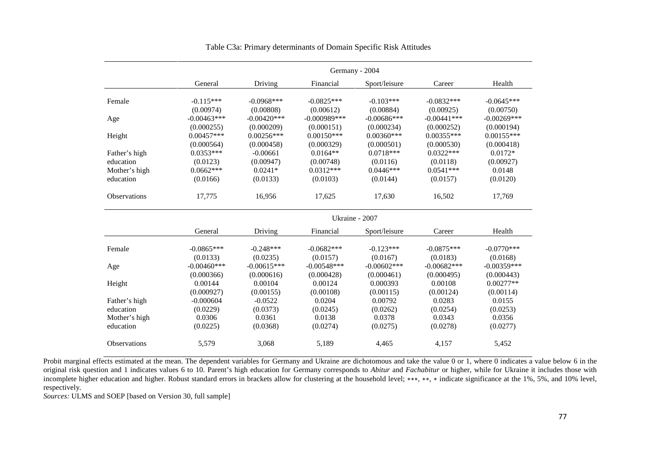|                     |               | Germany - 2004 |                |                |                |               |  |  |
|---------------------|---------------|----------------|----------------|----------------|----------------|---------------|--|--|
|                     | General       | Driving        | Financial      | Sport/leisure  | Career         | Health        |  |  |
| Female              | $-0.115***$   | $-0.0968***$   | $-0.0825***$   | $-0.103***$    | $-0.0832***$   | $-0.0645***$  |  |  |
|                     | (0.00974)     | (0.00808)      | (0.00612)      | (0.00884)      | (0.00925)      | (0.00750)     |  |  |
| Age                 | $-0.00463***$ | $-0.00420***$  | $-0.000989***$ | $-0.00686***$  | $-0.00441$ *** | $-0.00269***$ |  |  |
|                     | (0.000255)    | (0.000209)     | (0.000151)     | (0.000234)     | (0.000252)     | (0.000194)    |  |  |
| Height              | $0.00457***$  | $0.00256***$   | $0.00150***$   | $0.00360***$   | $0.00355***$   | $0.00155***$  |  |  |
|                     | (0.000564)    | (0.000458)     | (0.000329)     | (0.000501)     | (0.000530)     | (0.000418)    |  |  |
| Father's high       | $0.0353***$   | $-0.00661$     | $0.0164**$     | $0.0718***$    | $0.0322***$    | $0.0172*$     |  |  |
| education           | (0.0123)      | (0.00947)      | (0.00748)      | (0.0116)       | (0.0118)       | (0.00927)     |  |  |
| Mother's high       | $0.0662***$   | $0.0241*$      | $0.0312***$    | $0.0446***$    | $0.0541***$    | 0.0148        |  |  |
| education           | (0.0166)      | (0.0133)       | (0.0103)       | (0.0144)       | (0.0157)       | (0.0120)      |  |  |
| <b>Observations</b> | 17,775        | 16,956         | 17,625         | 17,630         | 16,502         | 17,769        |  |  |
|                     |               |                | Ukraine - 2007 |                |                |               |  |  |
|                     | General       | Driving        | Financial      | Sport/leisure  | Career         | Health        |  |  |
| Female              | $-0.0865***$  | $-0.248***$    | $-0.0682***$   | $-0.123***$    | $-0.0875***$   | $-0.0770***$  |  |  |
|                     | (0.0133)      | (0.0235)       | (0.0157)       | (0.0167)       | (0.0183)       | (0.0168)      |  |  |
| Age                 | $-0.00460***$ | $-0.00615***$  | $-0.00548***$  | $-0.00602$ *** | $-0.00682***$  | $-0.00359***$ |  |  |
|                     | (0.000366)    | (0.000616)     | (0.000428)     | (0.000461)     | (0.000495)     | (0.000443)    |  |  |
| Height              | 0.00144       | 0.00104        | 0.00124        | 0.000393       | 0.00108        | $0.00277**$   |  |  |
|                     | (0.000927)    | (0.00155)      | (0.00108)      | (0.00115)      | (0.00124)      | (0.00114)     |  |  |
| Father's high       | $-0.000604$   | $-0.0522$      | 0.0204         | 0.00792        | 0.0283         | 0.0155        |  |  |
| education           | (0.0229)      | (0.0373)       | (0.0245)       | (0.0262)       | (0.0254)       | (0.0253)      |  |  |
| Mother's high       | 0.0306        | 0.0361         | 0.0138         | 0.0378         | 0.0343         | 0.0356        |  |  |
| education           | (0.0225)      | (0.0368)       | (0.0274)       | (0.0275)       | (0.0278)       | (0.0277)      |  |  |
| <b>Observations</b> | 5,579         | 3,068          | 5,189          | 4,465          | 4,157          | 5,452         |  |  |

Table C3a: Primary determinants of Domain Specific Risk Attitudes

Probit marginal effects estimated at the mean. The dependent variables for Germany and Ukraine are dichotomous and take the value 0 or 1, where 0 indicates a value below 6 in the original risk question and 1 indicates values 6 to 10. Parent's high education for Germany corresponds to *Abitur* and *Fachabitur* or higher, while for Ukraine it includes those with incomplete higher education and higher. Robust standard errors in brackets allow for clustering at the household level; \*\*\*, \*\*, \* indicate significance at the 1%, 5%, and 10% level, respectively.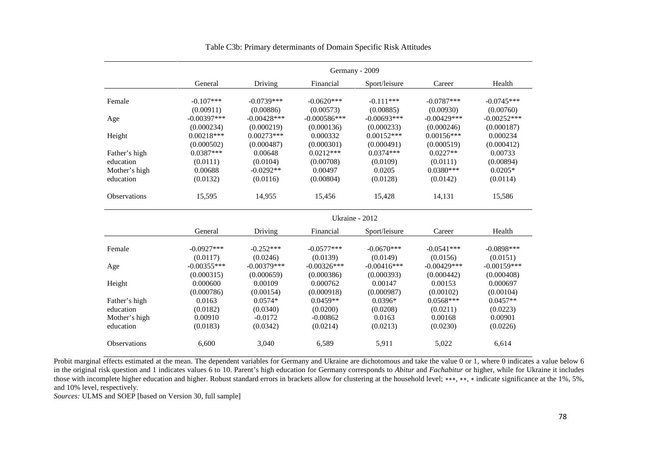|                     |               | Germany - 2009 |                |               |               |               |  |  |
|---------------------|---------------|----------------|----------------|---------------|---------------|---------------|--|--|
|                     | General       | Driving        | Financial      | Sport/leisure | Career        | Health        |  |  |
| Female              | $-0.107***$   | $-0.0739***$   | $-0.0620***$   | $-0.111***$   | $-0.0787***$  | $-0.0745***$  |  |  |
|                     | (0.00911)     | (0.00886)      | (0.00573)      | (0.00885)     | (0.00930)     | (0.00760)     |  |  |
| Age                 | $-0.00397***$ | $-0.00428$ *** | $-0.000586***$ | $-0.00693***$ | $-0.00429***$ | $-0.00252***$ |  |  |
|                     | (0.000234)    | (0.000219)     | (0.000136)     | (0.000233)    | (0.000246)    | (0.000187)    |  |  |
| Height              | $0.00218***$  | $0.00273***$   | 0.000332       | $0.00152***$  | $0.00156***$  | 0.000234      |  |  |
|                     | (0.000502)    | (0.000487)     | (0.000301)     | (0.000491)    | (0.000519)    | (0.000412)    |  |  |
| Father's high       | $0.0387***$   | 0.00648        | $0.0212***$    | $0.0374***$   | $0.0227**$    | 0.00733       |  |  |
| education           | (0.0111)      | (0.0104)       | (0.00708)      | (0.0109)      | (0.0111)      | (0.00894)     |  |  |
| Mother's high       | 0.00688       | $-0.0292**$    | 0.00497        | 0.0205        | $0.0380***$   | $0.0205*$     |  |  |
| education           | (0.0132)      | (0.0116)       | (0.00804)      | (0.0128)      | (0.0142)      | (0.0114)      |  |  |
| <b>Observations</b> | 15,595        | 14,955         | 15,456         | 15,428        | 14,131        | 15,586        |  |  |
|                     |               |                | Ukraine - 2012 |               |               |               |  |  |
|                     | General       | Driving        | Financial      | Sport/leisure | Career        | Health        |  |  |
| Female              | $-0.0927***$  | $-0.252***$    | $-0.0577***$   | $-0.0670***$  | $-0.0541***$  | $-0.0898***$  |  |  |
|                     | (0.0117)      | (0.0246)       | (0.0139)       | (0.0149)      | (0.0156)      | (0.0151)      |  |  |
| Age                 | $-0.00355***$ | $-0.00379***$  | $-0.00326***$  | $-0.00416***$ | $-0.00429***$ | $-0.00159***$ |  |  |
|                     | (0.000315)    | (0.000659)     | (0.000386)     | (0.000393)    | (0.000442)    | (0.000408)    |  |  |
| Height              | 0.000600      | 0.00109        | 0.000762       | 0.00147       | 0.00153       | 0.000697      |  |  |
|                     | (0.000786)    | (0.00154)      | (0.000918)     | (0.000987)    | (0.00102)     | (0.00104)     |  |  |
| Father's high       | 0.0163        | $0.0574*$      | $0.0459**$     | $0.0396*$     | $0.0568***$   | $0.0457**$    |  |  |
| education           | (0.0182)      | (0.0340)       | (0.0200)       | (0.0208)      | (0.0211)      | (0.0223)      |  |  |
| Mother's high       | 0.00910       | $-0.0172$      | $-0.00862$     | 0.0163        | 0.00168       | 0.00901       |  |  |
| education           | (0.0183)      | (0.0342)       | (0.0214)       | (0.0213)      | (0.0230)      | (0.0226)      |  |  |
| <b>Observations</b> | 6,600         | 3,040          | 6,589          | 5,911         | 5,022         | 6,614         |  |  |

Table C3b: Primary determinants of Domain Specific Risk Attitudes

Probit marginal effects estimated at the mean. The dependent variables for Germany and Ukraine are dichotomous and take the value 0 or 1, where 0 indicates a value below 6 in the original risk question and 1 indicates values 6 to 10. Parent's high education for Germany corresponds to *Abitur* and *Fachabitur* or higher, while for Ukraine it includes those with incomplete higher education and higher. Robust standard errors in brackets allow for clustering at the household level; \*\*\*, \*\*, \* indicate significance at the 1%, 5%, and 10% level, respectively.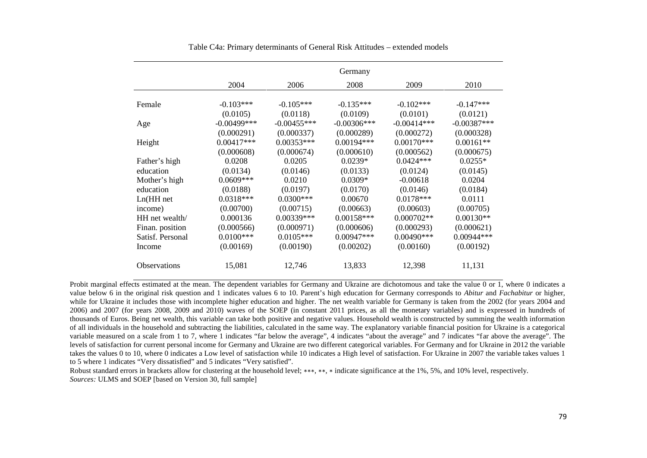|                  |                |               | Germany        |               |               |
|------------------|----------------|---------------|----------------|---------------|---------------|
|                  | 2004           | 2006          | 2008           | 2009          | 2010          |
| Female           | $-0.103***$    | $-0.105***$   | $-0.135***$    | $-0.102***$   | $-0.147***$   |
|                  | (0.0105)       | (0.0118)      | (0.0109)       | (0.0101)      | (0.0121)      |
| Age              | $-0.00499$ *** | $-0.00455***$ | $-0.00306$ *** | $-0.00414***$ | $-0.00387***$ |
|                  | (0.000291)     | (0.000337)    | (0.000289)     | (0.000272)    | (0.000328)    |
| Height           | $0.00417***$   | $0.00353***$  | $0.00194***$   | $0.00170***$  | $0.00161**$   |
|                  | (0.000608)     | (0.000674)    | (0.000610)     | (0.000562)    | (0.000675)    |
| Father's high    | 0.0208         | 0.0205        | $0.0239*$      | $0.0424***$   | $0.0255*$     |
| education        | (0.0134)       | (0.0146)      | (0.0133)       | (0.0124)      | (0.0145)      |
| Mother's high    | $0.0609***$    | 0.0210        | $0.0309*$      | $-0.00618$    | 0.0204        |
| education        | (0.0188)       | (0.0197)      | (0.0170)       | (0.0146)      | (0.0184)      |
| $Ln(HH$ net      | $0.0318***$    | $0.0300***$   | 0.00670        | $0.0178***$   | 0.0111        |
| income)          | (0.00700)      | (0.00715)     | (0.00663)      | (0.00603)     | (0.00705)     |
| HH net wealth/   | 0.000136       | 0.00339***    | $0.00158***$   | $0.000702**$  | $0.00130**$   |
| Finan. position  | (0.000566)     | (0.000971)    | (0.000606)     | (0.000293)    | (0.000621)    |
| Satisf. Personal | $0.0100***$    | $0.0105***$   | $0.00947***$   | $0.00490***$  | $0.00944***$  |
| Income           | (0.00169)      | (0.00190)     | (0.00202)      | (0.00160)     | (0.00192)     |
| Observations     | 15,081         | 12,746        | 13,833         | 12,398        | 11,131        |

Table C4a: Primary determinants of General Risk Attitudes – extended models

Probit marginal effects estimated at the mean. The dependent variables for Germany and Ukraine are dichotomous and take the value  $0$  or 1, where 0 indicates a value below 6 in the original risk question and 1 indicates values 6 to 10. Parent's high education for Germany corresponds to *Abitur* and *Fachabitur* or higher, while for Ukraine it includes those with incomplete higher education and higher. The net wealth variable for Germany is taken from the 2002 (for years 2004 and 2006) and 2007 (for years 2008, 2009 and 2010) waves of the SOEP (in constant 2011 prices, as all the monetary variables) and is expressed in hundreds of thousands of Euros. Being net wealth, this variable can take both positive and negative values. Household wealth is constructed by summing the wealth information of all individuals in the household and subtracting the liabilities, calculated in the same way. The explanatory variable financial position for Ukraine is a categorical variable measured on a scale from 1 to 7, where 1 indicates "far below the average", 4 indicates "about the average" and 7 indicates "far above the average". The levels of satisfaction for current personal income for Germany and Ukraine are two different categorical variables. For Germany and for Ukraine in 2012 the variable takes the values 0 to 10, where 0 indicates a Low level of satisfaction while 10 indicates a High level of satisfaction. For Ukraine in 2007 the variable takes values 1 to 5 where 1 indicates "Very dissatisfied" and 5 indicates "Very satisfied".

Robust standard errors in brackets allow for clustering at the household level; \*\*\*, \*\*, \*indicate significance at the 1%, 5%, and 10% level, respectively. *Sources:* ULMS and SOEP [based on Version 30, full sample]